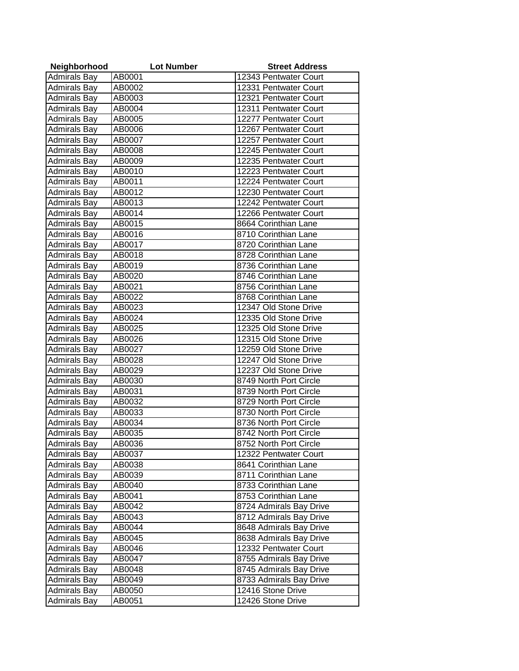| Neighborhood        | <b>Lot Number</b> | <b>Street Address</b>   |
|---------------------|-------------------|-------------------------|
| <b>Admirals Bay</b> | AB0001            | 12343 Pentwater Court   |
| <b>Admirals Bay</b> | AB0002            | 12331 Pentwater Court   |
| <b>Admirals Bay</b> | AB0003            | 12321 Pentwater Court   |
| <b>Admirals Bay</b> | AB0004            | 12311 Pentwater Court   |
| <b>Admirals Bay</b> | AB0005            | 12277 Pentwater Court   |
| <b>Admirals Bay</b> | AB0006            | 12267 Pentwater Court   |
| <b>Admirals Bay</b> | AB0007            | 12257 Pentwater Court   |
| <b>Admirals Bay</b> | AB0008            | 12245 Pentwater Court   |
| <b>Admirals Bay</b> | AB0009            | 12235 Pentwater Court   |
| <b>Admirals Bay</b> | AB0010            | 12223 Pentwater Court   |
| <b>Admirals Bay</b> | AB0011            | 12224 Pentwater Court   |
| <b>Admirals Bay</b> | AB0012            | 12230 Pentwater Court   |
| <b>Admirals Bay</b> | AB0013            | 12242 Pentwater Court   |
| <b>Admirals Bay</b> | AB0014            | 12266 Pentwater Court   |
| <b>Admirals Bay</b> | AB0015            | 8664 Corinthian Lane    |
| <b>Admirals Bay</b> | AB0016            | 8710 Corinthian Lane    |
| <b>Admirals Bay</b> | AB0017            | 8720 Corinthian Lane    |
| <b>Admirals Bay</b> | AB0018            | 8728 Corinthian Lane    |
| <b>Admirals Bay</b> | AB0019            | 8736 Corinthian Lane    |
| <b>Admirals Bay</b> | AB0020            | 8746 Corinthian Lane    |
| <b>Admirals Bay</b> | AB0021            | 8756 Corinthian Lane    |
| <b>Admirals Bay</b> | AB0022            | 8768 Corinthian Lane    |
| <b>Admirals Bay</b> | AB0023            | 12347 Old Stone Drive   |
| <b>Admirals Bay</b> | AB0024            | 12335 Old Stone Drive   |
| <b>Admirals Bay</b> | AB0025            | 12325 Old Stone Drive   |
| <b>Admirals Bay</b> | AB0026            | 12315 Old Stone Drive   |
| <b>Admirals Bay</b> | AB0027            | 12259 Old Stone Drive   |
| <b>Admirals Bay</b> | AB0028            | 12247 Old Stone Drive   |
| <b>Admirals Bay</b> | AB0029            | 12237 Old Stone Drive   |
| <b>Admirals Bay</b> | AB0030            | 8749 North Port Circle  |
| <b>Admirals Bay</b> | AB0031            | 8739 North Port Circle  |
| <b>Admirals Bay</b> | AB0032            | 8729 North Port Circle  |
| <b>Admirals Bay</b> | AB0033            | 8730 North Port Circle  |
| <b>Admirals Bay</b> | AB0034            | 8736 North Port Circle  |
| <b>Admirals Bay</b> | AB0035            | 8742 North Port Circle  |
| <b>Admirals Bay</b> | AB0036            | 8752 North Port Circle  |
| <b>Admirals Bay</b> | AB0037            | 12322 Pentwater Court   |
| <b>Admirals Bay</b> | AB0038            | 8641 Corinthian Lane    |
| <b>Admirals Bay</b> | AB0039            | 8711 Corinthian Lane    |
| <b>Admirals Bay</b> | AB0040            | 8733 Corinthian Lane    |
| <b>Admirals Bay</b> | AB0041            | 8753 Corinthian Lane    |
| <b>Admirals Bay</b> | AB0042            | 8724 Admirals Bay Drive |
| <b>Admirals Bay</b> | AB0043            | 8712 Admirals Bay Drive |
| <b>Admirals Bay</b> | AB0044            | 8648 Admirals Bay Drive |
| <b>Admirals Bay</b> | AB0045            | 8638 Admirals Bay Drive |
| <b>Admirals Bay</b> | AB0046            | 12332 Pentwater Court   |
| <b>Admirals Bay</b> | AB0047            | 8755 Admirals Bay Drive |
| <b>Admirals Bay</b> | AB0048            | 8745 Admirals Bay Drive |
| <b>Admirals Bay</b> | AB0049            | 8733 Admirals Bay Drive |
| <b>Admirals Bay</b> | AB0050            | 12416 Stone Drive       |
| <b>Admirals Bay</b> | AB0051            | 12426 Stone Drive       |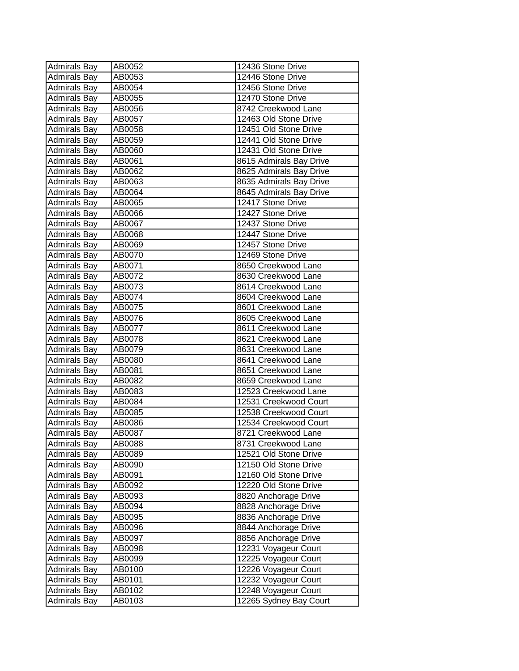| <b>Admirals Bay</b> | AB0052 | 12436 Stone Drive       |
|---------------------|--------|-------------------------|
| <b>Admirals Bay</b> | AB0053 | 12446 Stone Drive       |
| <b>Admirals Bay</b> | AB0054 | 12456 Stone Drive       |
| <b>Admirals Bay</b> | AB0055 | 12470 Stone Drive       |
| <b>Admirals Bay</b> | AB0056 | 8742 Creekwood Lane     |
| <b>Admirals Bay</b> | AB0057 | 12463 Old Stone Drive   |
| <b>Admirals Bay</b> | AB0058 | 12451 Old Stone Drive   |
| <b>Admirals Bay</b> | AB0059 | 12441 Old Stone Drive   |
| <b>Admirals Bay</b> | AB0060 | 12431 Old Stone Drive   |
| <b>Admirals Bay</b> | AB0061 | 8615 Admirals Bay Drive |
| <b>Admirals Bay</b> | AB0062 | 8625 Admirals Bay Drive |
| <b>Admirals Bay</b> | AB0063 | 8635 Admirals Bay Drive |
| Admirals Bay        | AB0064 | 8645 Admirals Bay Drive |
| <b>Admirals Bay</b> | AB0065 | 12417 Stone Drive       |
| <b>Admirals Bay</b> | AB0066 | 12427 Stone Drive       |
| <b>Admirals Bay</b> | AB0067 | 12437 Stone Drive       |
| <b>Admirals Bay</b> | AB0068 | 12447 Stone Drive       |
| <b>Admirals Bay</b> | AB0069 | 12457 Stone Drive       |
| <b>Admirals Bay</b> | AB0070 | 12469 Stone Drive       |
| <b>Admirals Bay</b> | AB0071 | 8650 Creekwood Lane     |
| Admirals Bay        | AB0072 | 8630 Creekwood Lane     |
| <b>Admirals Bay</b> | AB0073 | 8614 Creekwood Lane     |
| <b>Admirals Bay</b> | AB0074 | 8604 Creekwood Lane     |
| <b>Admirals Bay</b> | AB0075 | 8601 Creekwood Lane     |
| <b>Admirals Bay</b> | AB0076 | 8605 Creekwood Lane     |
| <b>Admirals Bay</b> | AB0077 | 8611 Creekwood Lane     |
| <b>Admirals Bay</b> | AB0078 | 8621 Creekwood Lane     |
| <b>Admirals Bay</b> | AB0079 | 8631 Creekwood Lane     |
| <b>Admirals Bay</b> | AB0080 | 8641 Creekwood Lane     |
| <b>Admirals Bay</b> | AB0081 | 8651 Creekwood Lane     |
| <b>Admirals Bay</b> | AB0082 | 8659 Creekwood Lane     |
| <b>Admirals Bay</b> | AB0083 | 12523 Creekwood Lane    |
| <b>Admirals Bay</b> | AB0084 | 12531 Creekwood Court   |
| <b>Admirals Bay</b> | AB0085 | 12538 Creekwood Court   |
| <b>Admirals Bay</b> | AB0086 | 12534 Creekwood Court   |
| <b>Admirals Bay</b> | AB0087 | 8721 Creekwood Lane     |
| Admirals Bay        | AB0088 | 8731 Creekwood Lane     |
| <b>Admirals Bay</b> | AB0089 | 12521 Old Stone Drive   |
| <b>Admirals Bay</b> | AB0090 | 12150 Old Stone Drive   |
| <b>Admirals Bay</b> | AB0091 | 12160 Old Stone Drive   |
| Admirals Bay        | AB0092 | 12220 Old Stone Drive   |
| <b>Admirals Bay</b> | AB0093 | 8820 Anchorage Drive    |
| <b>Admirals Bay</b> | AB0094 | 8828 Anchorage Drive    |
| <b>Admirals Bay</b> | AB0095 | 8836 Anchorage Drive    |
| <b>Admirals Bay</b> | AB0096 | 8844 Anchorage Drive    |
| <b>Admirals Bay</b> | AB0097 | 8856 Anchorage Drive    |
| <b>Admirals Bay</b> | AB0098 | 12231 Voyageur Court    |
| <b>Admirals Bay</b> | AB0099 | 12225 Voyageur Court    |
| <b>Admirals Bay</b> | AB0100 | 12226 Voyageur Court    |
| <b>Admirals Bay</b> | AB0101 | 12232 Voyageur Court    |
| <b>Admirals Bay</b> | AB0102 | 12248 Voyageur Court    |
| <b>Admirals Bay</b> | AB0103 | 12265 Sydney Bay Court  |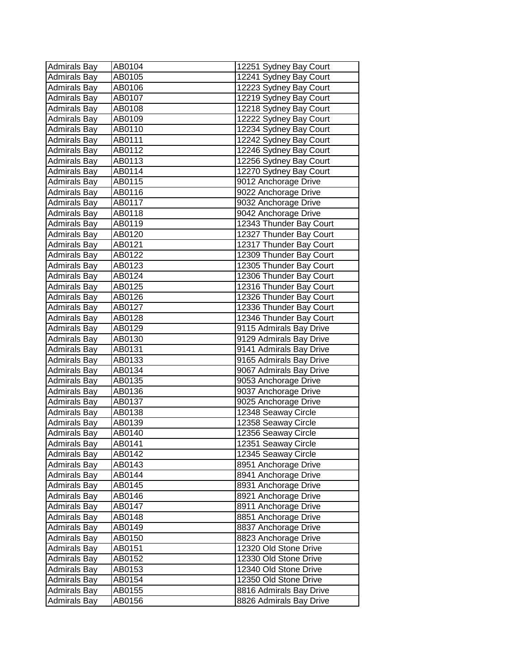| <b>Admirals Bay</b> | AB0104 | 12251 Sydney Bay Court  |
|---------------------|--------|-------------------------|
| <b>Admirals Bay</b> | AB0105 | 12241 Sydney Bay Court  |
| <b>Admirals Bay</b> | AB0106 | 12223 Sydney Bay Court  |
| <b>Admirals Bay</b> | AB0107 | 12219 Sydney Bay Court  |
| <b>Admirals Bay</b> | AB0108 | 12218 Sydney Bay Court  |
| <b>Admirals Bay</b> | AB0109 | 12222 Sydney Bay Court  |
| Admirals Bay        | AB0110 | 12234 Sydney Bay Court  |
| <b>Admirals Bay</b> | AB0111 | 12242 Sydney Bay Court  |
| <b>Admirals Bay</b> | AB0112 | 12246 Sydney Bay Court  |
| <b>Admirals Bay</b> | AB0113 | 12256 Sydney Bay Court  |
| <b>Admirals Bay</b> | AB0114 | 12270 Sydney Bay Court  |
| Admirals Bay        | AB0115 | 9012 Anchorage Drive    |
| Admirals Bay        | AB0116 | 9022 Anchorage Drive    |
| <b>Admirals Bay</b> | AB0117 | 9032 Anchorage Drive    |
| <b>Admirals Bay</b> | AB0118 | 9042 Anchorage Drive    |
| <b>Admirals Bay</b> | AB0119 | 12343 Thunder Bay Court |
| <b>Admirals Bay</b> | AB0120 | 12327 Thunder Bay Court |
| <b>Admirals Bay</b> | AB0121 | 12317 Thunder Bay Court |
| <b>Admirals Bay</b> | AB0122 | 12309 Thunder Bay Court |
| Admirals Bay        | AB0123 | 12305 Thunder Bay Court |
| Admirals Bay        | AB0124 | 12306 Thunder Bay Court |
| Admirals Bay        | AB0125 | 12316 Thunder Bay Court |
| <b>Admirals Bay</b> | AB0126 | 12326 Thunder Bay Court |
| <b>Admirals Bay</b> | AB0127 | 12336 Thunder Bay Court |
| <b>Admirals Bay</b> | AB0128 | 12346 Thunder Bay Court |
| <b>Admirals Bay</b> | AB0129 | 9115 Admirals Bay Drive |
| <b>Admirals Bay</b> | AB0130 | 9129 Admirals Bay Drive |
| <b>Admirals Bay</b> | AB0131 | 9141 Admirals Bay Drive |
| <b>Admirals Bay</b> | AB0133 | 9165 Admirals Bay Drive |
| <b>Admirals Bay</b> | AB0134 | 9067 Admirals Bay Drive |
| <b>Admirals Bay</b> | AB0135 | 9053 Anchorage Drive    |
| <b>Admirals Bay</b> | AB0136 | 9037 Anchorage Drive    |
| <b>Admirals Bay</b> | AB0137 | 9025 Anchorage Drive    |
| <b>Admirals Bay</b> | AB0138 | 12348 Seaway Circle     |
| Admirals Bay        | AB0139 | 12358 Seaway Circle     |
| <b>Admirals Bay</b> | AB0140 | 12356 Seaway Circle     |
| Admirals Bay        | AB0141 | 12351 Seaway Circle     |
| <b>Admirals Bay</b> | AB0142 | 12345 Seaway Circle     |
| <b>Admirals Bay</b> | AB0143 | 8951 Anchorage Drive    |
| <b>Admirals Bay</b> | AB0144 | 8941 Anchorage Drive    |
| <b>Admirals Bay</b> | AB0145 | 8931 Anchorage Drive    |
| <b>Admirals Bay</b> | AB0146 | 8921 Anchorage Drive    |
| <b>Admirals Bay</b> | AB0147 | 8911 Anchorage Drive    |
| Admirals Bay        | AB0148 | 8851 Anchorage Drive    |
| Admirals Bay        | AB0149 | 8837 Anchorage Drive    |
| Admirals Bay        | AB0150 | 8823 Anchorage Drive    |
| <b>Admirals Bay</b> | AB0151 | 12320 Old Stone Drive   |
| <b>Admirals Bay</b> | AB0152 | 12330 Old Stone Drive   |
| <b>Admirals Bay</b> | AB0153 | 12340 Old Stone Drive   |
| <b>Admirals Bay</b> | AB0154 | 12350 Old Stone Drive   |
| <b>Admirals Bay</b> | AB0155 | 8816 Admirals Bay Drive |
| <b>Admirals Bay</b> | AB0156 | 8826 Admirals Bay Drive |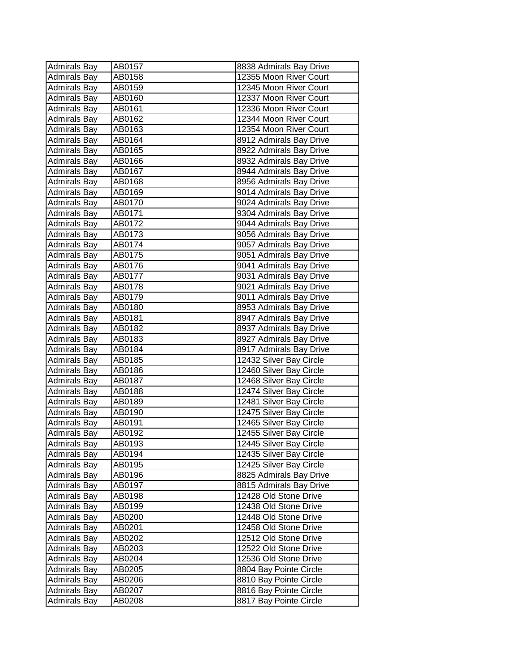| <b>Admirals Bay</b> | AB0157 | 8838 Admirals Bay Drive |
|---------------------|--------|-------------------------|
| <b>Admirals Bay</b> | AB0158 | 12355 Moon River Court  |
| <b>Admirals Bay</b> | AB0159 | 12345 Moon River Court  |
| <b>Admirals Bay</b> | AB0160 | 12337 Moon River Court  |
| <b>Admirals Bay</b> | AB0161 | 12336 Moon River Court  |
| <b>Admirals Bay</b> | AB0162 | 12344 Moon River Court  |
| <b>Admirals Bay</b> | AB0163 | 12354 Moon River Court  |
| <b>Admirals Bay</b> | AB0164 | 8912 Admirals Bay Drive |
| <b>Admirals Bay</b> | AB0165 | 8922 Admirals Bay Drive |
| <b>Admirals Bay</b> | AB0166 | 8932 Admirals Bay Drive |
| <b>Admirals Bay</b> | AB0167 | 8944 Admirals Bay Drive |
| <b>Admirals Bay</b> | AB0168 | 8956 Admirals Bay Drive |
| <b>Admirals Bay</b> | AB0169 | 9014 Admirals Bay Drive |
| <b>Admirals Bay</b> | AB0170 | 9024 Admirals Bay Drive |
| <b>Admirals Bay</b> | AB0171 | 9304 Admirals Bay Drive |
| <b>Admirals Bay</b> | AB0172 | 9044 Admirals Bay Drive |
| <b>Admirals Bay</b> | AB0173 | 9056 Admirals Bay Drive |
| <b>Admirals Bay</b> | AB0174 | 9057 Admirals Bay Drive |
| Admirals Bay        | AB0175 | 9051 Admirals Bay Drive |
| Admirals Bay        | AB0176 | 9041 Admirals Bay Drive |
| Admirals Bay        | AB0177 | 9031 Admirals Bay Drive |
| <b>Admirals Bay</b> | AB0178 | 9021 Admirals Bay Drive |
| <b>Admirals Bay</b> | AB0179 | 9011 Admirals Bay Drive |
| Admirals Bay        | AB0180 | 8953 Admirals Bay Drive |
| Admirals Bay        | AB0181 | 8947 Admirals Bay Drive |
| <b>Admirals Bay</b> | AB0182 | 8937 Admirals Bay Drive |
| <b>Admirals Bay</b> | AB0183 | 8927 Admirals Bay Drive |
| <b>Admirals Bay</b> | AB0184 | 8917 Admirals Bay Drive |
| Admirals Bay        | AB0185 | 12432 Silver Bay Circle |
| Admirals Bay        | AB0186 | 12460 Silver Bay Circle |
| <b>Admirals Bay</b> | AB0187 | 12468 Silver Bay Circle |
| <b>Admirals Bay</b> | AB0188 | 12474 Silver Bay Circle |
| <b>Admirals Bay</b> | AB0189 | 12481 Silver Bay Circle |
| <b>Admirals Bay</b> | AB0190 | 12475 Silver Bay Circle |
| <b>Admirals Bay</b> | AB0191 | 12465 Silver Bay Circle |
| <b>Admirals Bay</b> | AB0192 | 12455 Silver Bay Circle |
| <b>Admirals Bay</b> | AB0193 | 12445 Silver Bay Circle |
| <b>Admirals Bay</b> | AB0194 | 12435 Silver Bay Circle |
| <b>Admirals Bay</b> | AB0195 | 12425 Silver Bay Circle |
| <b>Admirals Bay</b> | AB0196 | 8825 Admirals Bay Drive |
| <b>Admirals Bay</b> | AB0197 | 8815 Admirals Bay Drive |
| <b>Admirals Bay</b> | AB0198 | 12428 Old Stone Drive   |
| <b>Admirals Bay</b> | AB0199 | 12438 Old Stone Drive   |
| <b>Admirals Bay</b> | AB0200 | 12448 Old Stone Drive   |
| <b>Admirals Bay</b> | AB0201 | 12458 Old Stone Drive   |
| <b>Admirals Bay</b> | AB0202 | 12512 Old Stone Drive   |
| <b>Admirals Bay</b> | AB0203 | 12522 Old Stone Drive   |
| <b>Admirals Bay</b> | AB0204 | 12536 Old Stone Drive   |
| <b>Admirals Bay</b> | AB0205 | 8804 Bay Pointe Circle  |
| <b>Admirals Bay</b> | AB0206 | 8810 Bay Pointe Circle  |
| <b>Admirals Bay</b> | AB0207 | 8816 Bay Pointe Circle  |
| <b>Admirals Bay</b> | AB0208 | 8817 Bay Pointe Circle  |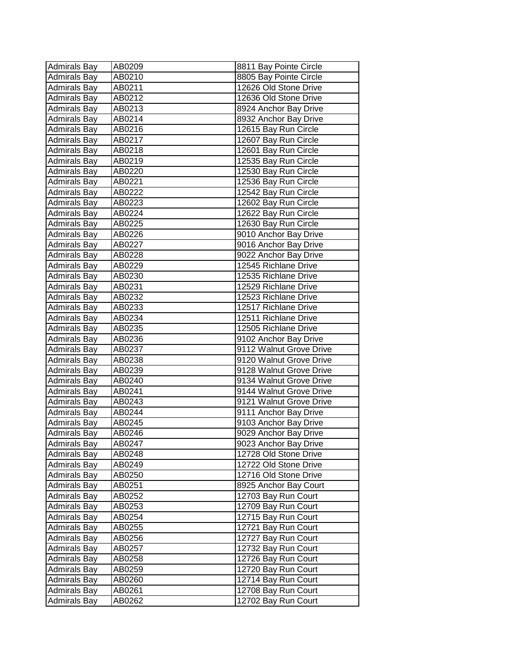| <b>Admirals Bay</b> | AB0209 | 8811 Bay Pointe Circle  |
|---------------------|--------|-------------------------|
| Admirals Bay        | AB0210 | 8805 Bay Pointe Circle  |
| <b>Admirals Bay</b> | AB0211 | 12626 Old Stone Drive   |
| Admirals Bay        | AB0212 | 12636 Old Stone Drive   |
| <b>Admirals Bay</b> | AB0213 | 8924 Anchor Bay Drive   |
| <b>Admirals Bay</b> | AB0214 | 8932 Anchor Bay Drive   |
| <b>Admirals Bay</b> | AB0216 | 12615 Bay Run Circle    |
| <b>Admirals Bay</b> | AB0217 | 12607 Bay Run Circle    |
| <b>Admirals Bay</b> | AB0218 | 12601 Bay Run Circle    |
| <b>Admirals Bay</b> | AB0219 | 12535 Bay Run Circle    |
| Admirals Bay        | AB0220 | 12530 Bay Run Circle    |
| Admirals Bay        | AB0221 | 12536 Bay Run Circle    |
| Admirals Bay        | AB0222 | 12542 Bay Run Circle    |
| Admirals Bay        | AB0223 | 12602 Bay Run Circle    |
| <b>Admirals Bay</b> | AB0224 | 12622 Bay Run Circle    |
| <b>Admirals Bay</b> | AB0225 | 12630 Bay Run Circle    |
| <b>Admirals Bay</b> | AB0226 | 9010 Anchor Bay Drive   |
| <b>Admirals Bay</b> | AB0227 | 9016 Anchor Bay Drive   |
| Admirals Bay        | AB0228 | 9022 Anchor Bay Drive   |
| <b>Admirals Bay</b> | AB0229 | 12545 Richlane Drive    |
| Admirals Bay        | AB0230 | 12535 Richlane Drive    |
| Admirals Bay        | AB0231 | 12529 Richlane Drive    |
| <b>Admirals Bay</b> | AB0232 | 12523 Richlane Drive    |
| <b>Admirals Bay</b> | AB0233 | 12517 Richlane Drive    |
| <b>Admirals Bay</b> | AB0234 | 12511 Richlane Drive    |
| <b>Admirals Bay</b> | AB0235 | 12505 Richlane Drive    |
| <b>Admirals Bay</b> | AB0236 | 9102 Anchor Bay Drive   |
| <b>Admirals Bay</b> | AB0237 | 9112 Walnut Grove Drive |
| Admirals Bay        | AB0238 | 9120 Walnut Grove Drive |
| <b>Admirals Bay</b> | AB0239 | 9128 Walnut Grove Drive |
| <b>Admirals Bay</b> | AB0240 | 9134 Walnut Grove Drive |
| <b>Admirals Bay</b> | AB0241 | 9144 Walnut Grove Drive |
| <b>Admirals Bay</b> | AB0243 | 9121 Walnut Grove Drive |
| <b>Admirals Bay</b> | AB0244 | 9111 Anchor Bay Drive   |
| <b>Admirals Bay</b> | AB0245 | 9103 Anchor Bay Drive   |
| <b>Admirals Bay</b> | AB0246 | 9029 Anchor Bay Drive   |
| Admirals Bay        | AB0247 | 9023 Anchor Bay Drive   |
| <b>Admirals Bay</b> | AB0248 | 12728 Old Stone Drive   |
| <b>Admirals Bay</b> | AB0249 | 12722 Old Stone Drive   |
| Admirals Bay        | AB0250 | 12716 Old Stone Drive   |
| Admirals Bay        | AB0251 | 8925 Anchor Bay Court   |
| <b>Admirals Bay</b> | AB0252 | 12703 Bay Run Court     |
| <b>Admirals Bay</b> | AB0253 | 12709 Bay Run Court     |
| Admirals Bay        | AB0254 | 12715 Bay Run Court     |
| Admirals Bay        | AB0255 | 12721 Bay Run Court     |
| Admirals Bay        | AB0256 | 12727 Bay Run Court     |
| Admirals Bay        | AB0257 | 12732 Bay Run Court     |
| <b>Admirals Bay</b> | AB0258 | 12726 Bay Run Court     |
| Admirals Bay        | AB0259 | 12720 Bay Run Court     |
| <b>Admirals Bay</b> | AB0260 | 12714 Bay Run Court     |
| <b>Admirals Bay</b> | AB0261 | 12708 Bay Run Court     |
| <b>Admirals Bay</b> | AB0262 | 12702 Bay Run Court     |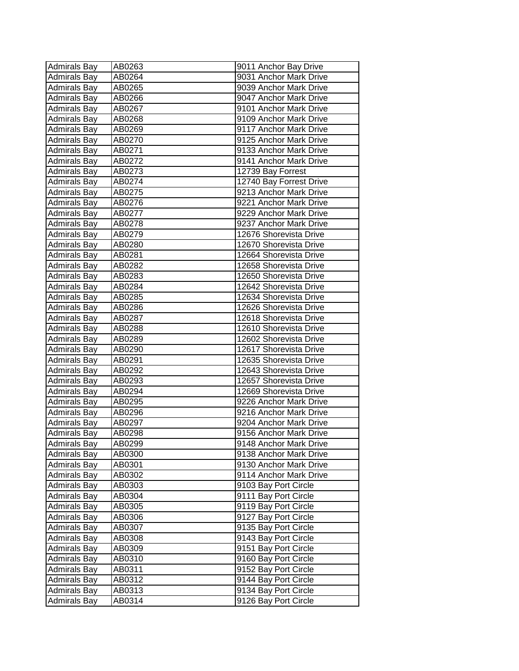| <b>Admirals Bay</b> | AB0263 | 9011 Anchor Bay Drive   |
|---------------------|--------|-------------------------|
| <b>Admirals Bay</b> | AB0264 | 9031 Anchor Mark Drive  |
| <b>Admirals Bay</b> | AB0265 | 9039 Anchor Mark Drive  |
| <b>Admirals Bay</b> | AB0266 | 9047 Anchor Mark Drive  |
| <b>Admirals Bay</b> | AB0267 | 9101 Anchor Mark Drive  |
| <b>Admirals Bay</b> | AB0268 | 9109 Anchor Mark Drive  |
| <b>Admirals Bay</b> | AB0269 | 9117 Anchor Mark Drive  |
| <b>Admirals Bay</b> | AB0270 | 9125 Anchor Mark Drive  |
| <b>Admirals Bay</b> | AB0271 | 9133 Anchor Mark Drive  |
| <b>Admirals Bay</b> | AB0272 | 9141 Anchor Mark Drive  |
| <b>Admirals Bay</b> | AB0273 | 12739 Bay Forrest       |
| <b>Admirals Bay</b> | AB0274 | 12740 Bay Forrest Drive |
| <b>Admirals Bay</b> | AB0275 | 9213 Anchor Mark Drive  |
| <b>Admirals Bay</b> | AB0276 | 9221 Anchor Mark Drive  |
| <b>Admirals Bay</b> | AB0277 | 9229 Anchor Mark Drive  |
| <b>Admirals Bay</b> | AB0278 | 9237 Anchor Mark Drive  |
| <b>Admirals Bay</b> | AB0279 | 12676 Shorevista Drive  |
| <b>Admirals Bay</b> | AB0280 | 12670 Shorevista Drive  |
| <b>Admirals Bay</b> | AB0281 | 12664 Shorevista Drive  |
| <b>Admirals Bay</b> | AB0282 | 12658 Shorevista Drive  |
| Admirals Bay        | AB0283 | 12650 Shorevista Drive  |
| <b>Admirals Bay</b> | AB0284 | 12642 Shorevista Drive  |
| <b>Admirals Bay</b> | AB0285 | 12634 Shorevista Drive  |
| <b>Admirals Bay</b> | AB0286 | 12626 Shorevista Drive  |
| <b>Admirals Bay</b> | AB0287 | 12618 Shorevista Drive  |
| <b>Admirals Bay</b> | AB0288 | 12610 Shorevista Drive  |
| <b>Admirals Bay</b> | AB0289 | 12602 Shorevista Drive  |
| <b>Admirals Bay</b> | AB0290 | 12617 Shorevista Drive  |
| <b>Admirals Bay</b> | AB0291 | 12635 Shorevista Drive  |
| <b>Admirals Bay</b> | AB0292 | 12643 Shorevista Drive  |
| <b>Admirals Bay</b> | AB0293 | 12657 Shorevista Drive  |
| <b>Admirals Bay</b> | AB0294 | 12669 Shorevista Drive  |
| <b>Admirals Bay</b> | AB0295 | 9226 Anchor Mark Drive  |
| <b>Admirals Bay</b> | AB0296 | 9216 Anchor Mark Drive  |
| <b>Admirals Bay</b> | AB0297 | 9204 Anchor Mark Drive  |
| <b>Admirals Bay</b> | AB0298 | 9156 Anchor Mark Drive  |
| <b>Admirals Bay</b> | AB0299 | 9148 Anchor Mark Drive  |
| <b>Admirals Bay</b> | AB0300 | 9138 Anchor Mark Drive  |
| <b>Admirals Bay</b> | AB0301 | 9130 Anchor Mark Drive  |
| <b>Admirals Bay</b> | AB0302 | 9114 Anchor Mark Drive  |
| <b>Admirals Bay</b> | AB0303 | 9103 Bay Port Circle    |
| <b>Admirals Bay</b> | AB0304 | 9111 Bay Port Circle    |
| <b>Admirals Bay</b> | AB0305 | 9119 Bay Port Circle    |
| <b>Admirals Bay</b> | AB0306 | 9127 Bay Port Circle    |
| <b>Admirals Bay</b> | AB0307 | 9135 Bay Port Circle    |
| <b>Admirals Bay</b> | AB0308 | 9143 Bay Port Circle    |
| <b>Admirals Bay</b> | AB0309 | 9151 Bay Port Circle    |
| <b>Admirals Bay</b> | AB0310 | 9160 Bay Port Circle    |
| <b>Admirals Bay</b> | AB0311 | 9152 Bay Port Circle    |
| <b>Admirals Bay</b> | AB0312 | 9144 Bay Port Circle    |
| <b>Admirals Bay</b> | AB0313 | 9134 Bay Port Circle    |
| <b>Admirals Bay</b> | AB0314 | 9126 Bay Port Circle    |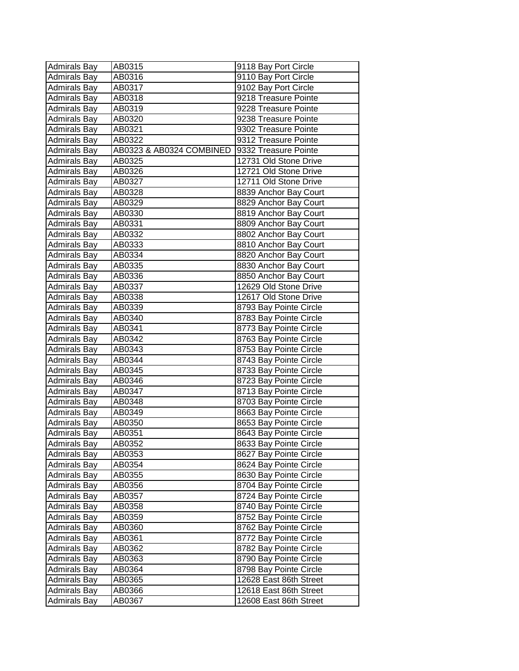| <b>Admirals Bay</b> | AB0315                   | 9118 Bay Port Circle   |
|---------------------|--------------------------|------------------------|
| <b>Admirals Bay</b> | AB0316                   | 9110 Bay Port Circle   |
| <b>Admirals Bay</b> | AB0317                   | 9102 Bay Port Circle   |
| Admirals Bay        | AB0318                   | 9218 Treasure Pointe   |
| Admirals Bay        | AB0319                   | 9228 Treasure Pointe   |
| <b>Admirals Bay</b> | AB0320                   | 9238 Treasure Pointe   |
| <b>Admirals Bay</b> | AB0321                   | 9302 Treasure Pointe   |
| Admirals Bay        | AB0322                   | 9312 Treasure Pointe   |
| <b>Admirals Bay</b> | AB0323 & AB0324 COMBINED | 9332 Treasure Pointe   |
| <b>Admirals Bay</b> | AB0325                   | 12731 Old Stone Drive  |
| <b>Admirals Bay</b> | AB0326                   | 12721 Old Stone Drive  |
| Admirals Bay        | AB0327                   | 12711 Old Stone Drive  |
| <b>Admirals Bay</b> | AB0328                   | 8839 Anchor Bay Court  |
| Admirals Bay        | AB0329                   | 8829 Anchor Bay Court  |
| <b>Admirals Bay</b> | AB0330                   | 8819 Anchor Bay Court  |
| <b>Admirals Bay</b> | AB0331                   | 8809 Anchor Bay Court  |
| <b>Admirals Bay</b> | AB0332                   | 8802 Anchor Bay Court  |
| <b>Admirals Bay</b> | AB0333                   | 8810 Anchor Bay Court  |
| Admirals Bay        | AB0334                   | 8820 Anchor Bay Court  |
| Admirals Bay        | AB0335                   | 8830 Anchor Bay Court  |
| Admirals Bay        | AB0336                   | 8850 Anchor Bay Court  |
| Admirals Bay        | AB0337                   | 12629 Old Stone Drive  |
| <b>Admirals Bay</b> | AB0338                   | 12617 Old Stone Drive  |
| Admirals Bay        | AB0339                   | 8793 Bay Pointe Circle |
| Admirals Bay        | AB0340                   | 8783 Bay Pointe Circle |
| <b>Admirals Bay</b> | AB0341                   | 8773 Bay Pointe Circle |
| <b>Admirals Bay</b> | AB0342                   | 8763 Bay Pointe Circle |
| Admirals Bay        | AB0343                   | 8753 Bay Pointe Circle |
| Admirals Bay        | AB0344                   | 8743 Bay Pointe Circle |
| Admirals Bay        | AB0345                   | 8733 Bay Pointe Circle |
| <b>Admirals Bay</b> | AB0346                   | 8723 Bay Pointe Circle |
| <b>Admirals Bay</b> | AB0347                   | 8713 Bay Pointe Circle |
| <b>Admirals Bay</b> | AB0348                   | 8703 Bay Pointe Circle |
| <b>Admirals Bay</b> | AB0349                   | 8663 Bay Pointe Circle |
| <b>Admirals Bay</b> | AB0350                   | 8653 Bay Pointe Circle |
| <b>Admirals Bay</b> | AB0351                   | 8643 Bay Pointe Circle |
| Admirals Bay        | AB0352                   | 8633 Bay Pointe Circle |
| <b>Admirals Bay</b> | AB0353                   | 8627 Bay Pointe Circle |
| <b>Admirals Bay</b> | AB0354                   | 8624 Bay Pointe Circle |
| <b>Admirals Bay</b> | AB0355                   | 8630 Bay Pointe Circle |
| Admirals Bay        | AB0356                   | 8704 Bay Pointe Circle |
| <b>Admirals Bay</b> | AB0357                   | 8724 Bay Pointe Circle |
| Admirals Bay        | AB0358                   | 8740 Bay Pointe Circle |
| <b>Admirals Bay</b> | AB0359                   | 8752 Bay Pointe Circle |
| <b>Admirals Bay</b> | AB0360                   | 8762 Bay Pointe Circle |
| Admirals Bay        | AB0361                   | 8772 Bay Pointe Circle |
| <b>Admirals Bay</b> | AB0362                   | 8782 Bay Pointe Circle |
| Admirals Bay        | AB0363                   | 8790 Bay Pointe Circle |
| <b>Admirals Bay</b> | AB0364                   | 8798 Bay Pointe Circle |
| <b>Admirals Bay</b> | AB0365                   | 12628 East 86th Street |
| Admirals Bay        | AB0366                   | 12618 East 86th Street |
| <b>Admirals Bay</b> | AB0367                   | 12608 East 86th Street |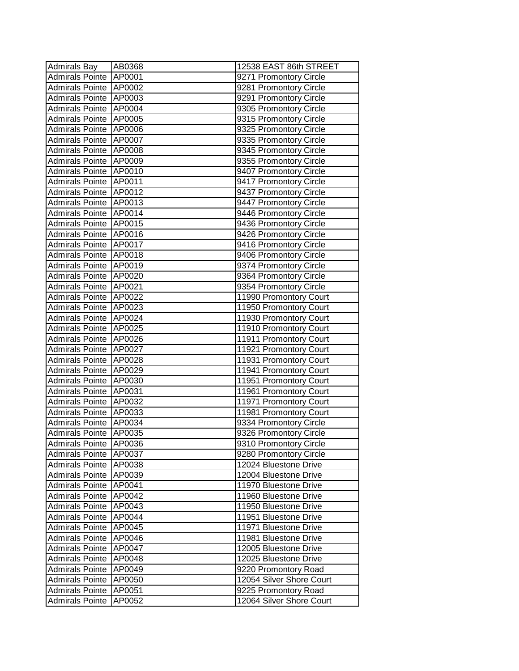| <b>Admirals Bay</b>      | AB0368        | 12538 EAST 86th STREET   |
|--------------------------|---------------|--------------------------|
| <b>Admirals Pointe</b>   | AP0001        | 9271 Promontory Circle   |
| <b>Admirals Pointe</b>   | AP0002        | 9281 Promontory Circle   |
| <b>Admirals Pointe</b>   | AP0003        | 9291 Promontory Circle   |
| <b>Admirals Pointe</b>   | AP0004        | 9305 Promontory Circle   |
| <b>Admirals Pointe</b>   | AP0005        | 9315 Promontory Circle   |
| <b>Admirals Pointe</b>   | AP0006        | 9325 Promontory Circle   |
| <b>Admirals Pointe</b>   | <b>AP0007</b> | 9335 Promontory Circle   |
| <b>Admirals Pointe</b>   | AP0008        | 9345 Promontory Circle   |
| <b>Admirals Pointe</b>   | AP0009        | 9355 Promontory Circle   |
| <b>Admirals Pointe</b>   | AP0010        | 9407 Promontory Circle   |
| <b>Admirals Pointe</b>   | AP0011        | 9417 Promontory Circle   |
| <b>Admirals Pointe</b>   | AP0012        | 9437 Promontory Circle   |
| <b>Admirals Pointe</b>   | AP0013        | 9447 Promontory Circle   |
| <b>Admirals Pointe</b>   | AP0014        | 9446 Promontory Circle   |
| Admirals Pointe          | AP0015        | 9436 Promontory Circle   |
| <b>Admirals Pointe</b>   | AP0016        | 9426 Promontory Circle   |
| <b>Admirals Pointe</b>   | AP0017        | 9416 Promontory Circle   |
| <b>Admirals Pointe</b>   | AP0018        | 9406 Promontory Circle   |
| <b>Admirals Pointe</b>   | AP0019        | 9374 Promontory Circle   |
| <b>Admirals Pointe</b>   | AP0020        | 9364 Promontory Circle   |
| <b>Admirals Pointe</b>   | AP0021        | 9354 Promontory Circle   |
| <b>Admirals Pointe</b>   | AP0022        | 11990 Promontory Court   |
| <b>Admirals Pointe</b>   | AP0023        | 11950 Promontory Court   |
| <b>Admirals Pointe</b>   | AP0024        | 11930 Promontory Court   |
| <b>Admirals Pointe</b>   | AP0025        | 11910 Promontory Court   |
| <b>Admirals Pointe</b>   | AP0026        | 11911 Promontory Court   |
| <b>Admirals Pointe</b>   | AP0027        | 11921 Promontory Court   |
| <b>Admirals Pointe</b>   | AP0028        | 11931 Promontory Court   |
| <b>Admirals Pointe</b>   | AP0029        | 11941 Promontory Court   |
| <b>Admirals Pointe</b>   | AP0030        | 11951 Promontory Court   |
| <b>Admirals Pointe</b>   | AP0031        | 11961 Promontory Court   |
| <b>Admirals Pointe</b>   | AP0032        | 11971 Promontory Court   |
| <b>Admirals Pointe</b>   | AP0033        | 11981 Promontory Court   |
| <b>Admirals Pointe</b>   | AP0034        | 9334 Promontory Circle   |
| <b>Admirals Pointe</b>   | AP0035        | 9326 Promontory Circle   |
| Admirals Pointe   AP0036 |               | 9310 Promontory Circle   |
| <b>Admirals Pointe</b>   | AP0037        | 9280 Promontory Circle   |
| <b>Admirals Pointe</b>   | AP0038        | 12024 Bluestone Drive    |
| <b>Admirals Pointe</b>   | AP0039        | 12004 Bluestone Drive    |
| <b>Admirals Pointe</b>   | AP0041        | 11970 Bluestone Drive    |
| <b>Admirals Pointe</b>   | AP0042        | 11960 Bluestone Drive    |
| <b>Admirals Pointe</b>   | AP0043        | 11950 Bluestone Drive    |
| <b>Admirals Pointe</b>   | AP0044        | 11951 Bluestone Drive    |
| <b>Admirals Pointe</b>   | AP0045        | 11971 Bluestone Drive    |
| <b>Admirals Pointe</b>   | AP0046        | 11981 Bluestone Drive    |
| <b>Admirals Pointe</b>   | AP0047        | 12005 Bluestone Drive    |
| <b>Admirals Pointe</b>   | AP0048        | 12025 Bluestone Drive    |
| <b>Admirals Pointe</b>   | AP0049        | 9220 Promontory Road     |
| <b>Admirals Pointe</b>   | AP0050        | 12054 Silver Shore Court |
| <b>Admirals Pointe</b>   | AP0051        | 9225 Promontory Road     |
| <b>Admirals Pointe</b>   | AP0052        | 12064 Silver Shore Court |
|                          |               |                          |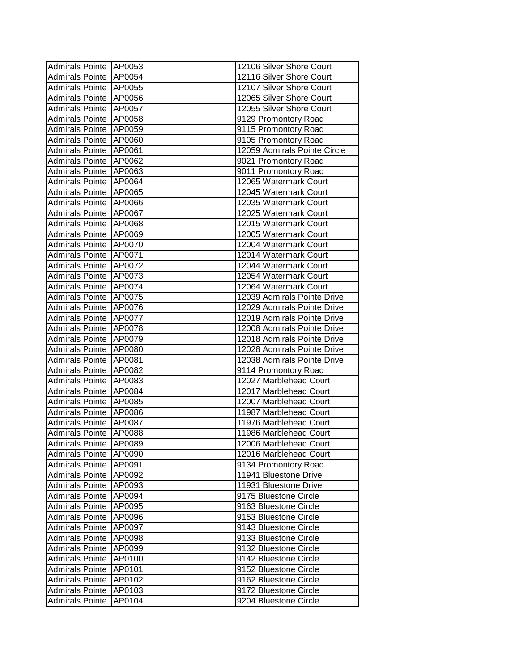| Admirals Pointe   AP0053 |        | 12106 Silver Shore Court     |
|--------------------------|--------|------------------------------|
| Admirals Pointe          | AP0054 | 12116 Silver Shore Court     |
| <b>Admirals Pointe</b>   | AP0055 | 12107 Silver Shore Court     |
| <b>Admirals Pointe</b>   | AP0056 | 12065 Silver Shore Court     |
| <b>Admirals Pointe</b>   | AP0057 | 12055 Silver Shore Court     |
| <b>Admirals Pointe</b>   | AP0058 | 9129 Promontory Road         |
| <b>Admirals Pointe</b>   | AP0059 | 9115 Promontory Road         |
| <b>Admirals Pointe</b>   | AP0060 | 9105 Promontory Road         |
| <b>Admirals Pointe</b>   | AP0061 | 12059 Admirals Pointe Circle |
| <b>Admirals Pointe</b>   | AP0062 | 9021 Promontory Road         |
| <b>Admirals Pointe</b>   | AP0063 | 9011 Promontory Road         |
| <b>Admirals Pointe</b>   | AP0064 | 12065 Watermark Court        |
| <b>Admirals Pointe</b>   | AP0065 | 12045 Watermark Court        |
| <b>Admirals Pointe</b>   | AP0066 | 12035 Watermark Court        |
| <b>Admirals Pointe</b>   | AP0067 | 12025 Watermark Court        |
| <b>Admirals Pointe</b>   | AP0068 | 12015 Watermark Court        |
| <b>Admirals Pointe</b>   | AP0069 | 12005 Watermark Court        |
| <b>Admirals Pointe</b>   | AP0070 | 12004 Watermark Court        |
| Admirals Pointe          | AP0071 | 12014 Watermark Court        |
| Admirals Pointe          | AP0072 | 12044 Watermark Court        |
| <b>Admirals Pointe</b>   | AP0073 | 12054 Watermark Court        |
| <b>Admirals Pointe</b>   | AP0074 | 12064 Watermark Court        |
| <b>Admirals Pointe</b>   | AP0075 | 12039 Admirals Pointe Drive  |
| <b>Admirals Pointe</b>   | AP0076 | 12029 Admirals Pointe Drive  |
| <b>Admirals Pointe</b>   | AP0077 | 12019 Admirals Pointe Drive  |
| <b>Admirals Pointe</b>   | AP0078 | 12008 Admirals Pointe Drive  |
| <b>Admirals Pointe</b>   | AP0079 | 12018 Admirals Pointe Drive  |
| <b>Admirals Pointe</b>   | AP0080 | 12028 Admirals Pointe Drive  |
| <b>Admirals Pointe</b>   | AP0081 | 12038 Admirals Pointe Drive  |
| <b>Admirals Pointe</b>   | AP0082 | 9114 Promontory Road         |
| <b>Admirals Pointe</b>   | AP0083 | 12027 Marblehead Court       |
| <b>Admirals Pointe</b>   | AP0084 | 12017 Marblehead Court       |
| <b>Admirals Pointe</b>   | AP0085 | 12007 Marblehead Court       |
| <b>Admirals Pointe</b>   | AP0086 | 11987 Marblehead Court       |
| <b>Admirals Pointe</b>   | AP0087 | 11976 Marblehead Court       |
| Admirals Pointe          | AP0088 | 11986 Marblehead Court       |
| Admirals Pointe   AP0089 |        | 12006 Marblehead Court       |
| Admirals Pointe          | AP0090 | 12016 Marblehead Court       |
| Admirals Pointe          | AP0091 | 9134 Promontory Road         |
| Admirals Pointe          | AP0092 | 11941 Bluestone Drive        |
| <b>Admirals Pointe</b>   | AP0093 | 11931 Bluestone Drive        |
| <b>Admirals Pointe</b>   | AP0094 | 9175 Bluestone Circle        |
| <b>Admirals Pointe</b>   | AP0095 | 9163 Bluestone Circle        |
| <b>Admirals Pointe</b>   | AP0096 | 9153 Bluestone Circle        |
| <b>Admirals Pointe</b>   | AP0097 | 9143 Bluestone Circle        |
| <b>Admirals Pointe</b>   | AP0098 | 9133 Bluestone Circle        |
| <b>Admirals Pointe</b>   | AP0099 | 9132 Bluestone Circle        |
| <b>Admirals Pointe</b>   | AP0100 | 9142 Bluestone Circle        |
| <b>Admirals Pointe</b>   | AP0101 | 9152 Bluestone Circle        |
| <b>Admirals Pointe</b>   | AP0102 | 9162 Bluestone Circle        |
| <b>Admirals Pointe</b>   | AP0103 | 9172 Bluestone Circle        |
| <b>Admirals Pointe</b>   | AP0104 | 9204 Bluestone Circle        |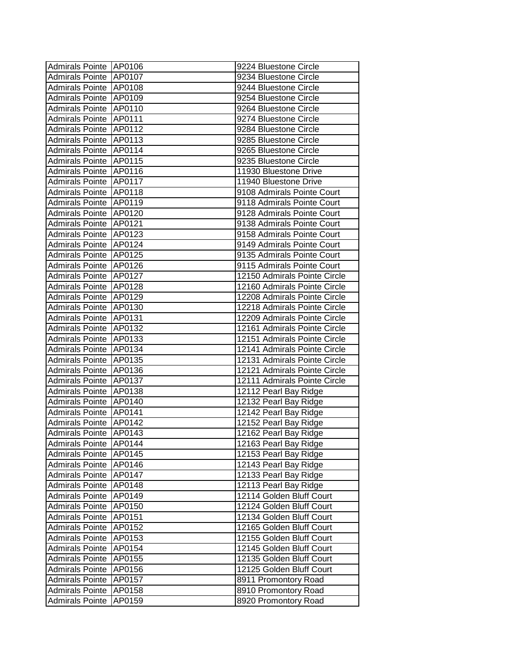| Admirals Pointe AP0106   |               | 9224 Bluestone Circle        |
|--------------------------|---------------|------------------------------|
| <b>Admirals Pointe</b>   | AP0107        | 9234 Bluestone Circle        |
| Admirals Pointe   AP0108 |               | 9244 Bluestone Circle        |
| Admirals Pointe   AP0109 |               | 9254 Bluestone Circle        |
| Admirals Pointe          | AP0110        | 9264 Bluestone Circle        |
| <b>Admirals Pointe</b>   | <b>AP0111</b> | 9274 Bluestone Circle        |
| Admirals Pointe   AP0112 |               | 9284 Bluestone Circle        |
| <b>Admirals Pointe</b>   | AP0113        | 9285 Bluestone Circle        |
| <b>Admirals Pointe</b>   | AP0114        | 9265 Bluestone Circle        |
| <b>Admirals Pointe</b>   | AP0115        | 9235 Bluestone Circle        |
| <b>Admirals Pointe</b>   | AP0116        | 11930 Bluestone Drive        |
| <b>Admirals Pointe</b>   | AP0117        | 11940 Bluestone Drive        |
| Admirals Pointe          | AP0118        | 9108 Admirals Pointe Court   |
| <b>Admirals Pointe</b>   | AP0119        | 9118 Admirals Pointe Court   |
| <b>Admirals Pointe</b>   | AP0120        | 9128 Admirals Pointe Court   |
| <b>Admirals Pointe</b>   | AP0121        | 9138 Admirals Pointe Court   |
| <b>Admirals Pointe</b>   | AP0123        | 9158 Admirals Pointe Court   |
| Admirals Pointe          | AP0124        | 9149 Admirals Pointe Court   |
| Admirals Pointe          | AP0125        | 9135 Admirals Pointe Court   |
| Admirals Pointe          | AP0126        | 9115 Admirals Pointe Court   |
| Admirals Pointe          | AP0127        | 12150 Admirals Pointe Circle |
| <b>Admirals Pointe</b>   | AP0128        | 12160 Admirals Pointe Circle |
| Admirals Pointe          | AP0129        | 12208 Admirals Pointe Circle |
| <b>Admirals Pointe</b>   | AP0130        | 12218 Admirals Pointe Circle |
| <b>Admirals Pointe</b>   | AP0131        | 12209 Admirals Pointe Circle |
| <b>Admirals Pointe</b>   | AP0132        | 12161 Admirals Pointe Circle |
| <b>Admirals Pointe</b>   | AP0133        | 12151 Admirals Pointe Circle |
| <b>Admirals Pointe</b>   | AP0134        | 12141 Admirals Pointe Circle |
| Admirals Pointe          | AP0135        | 12131 Admirals Pointe Circle |
| <b>Admirals Pointe</b>   | AP0136        | 12121 Admirals Pointe Circle |
| <b>Admirals Pointe</b>   | AP0137        | 12111 Admirals Pointe Circle |
| <b>Admirals Pointe</b>   | AP0138        | 12112 Pearl Bay Ridge        |
| <b>Admirals Pointe</b>   | AP0140        | 12132 Pearl Bay Ridge        |
| <b>Admirals Pointe</b>   | AP0141        | 12142 Pearl Bay Ridge        |
| <b>Admirals Pointe</b>   | AP0142        | 12152 Pearl Bay Ridge        |
| <b>Admirals Pointe</b>   | AP0143        | 12162 Pearl Bay Ridge        |
| Admirals Pointe AP0144   |               | 12163 Pearl Bay Ridge        |
| Admirals Pointe          | AP0145        | 12153 Pearl Bay Ridge        |
| <b>Admirals Pointe</b>   | AP0146        | 12143 Pearl Bay Ridge        |
| <b>Admirals Pointe</b>   | AP0147        | 12133 Pearl Bay Ridge        |
| <b>Admirals Pointe</b>   | AP0148        | 12113 Pearl Bay Ridge        |
| <b>Admirals Pointe</b>   | AP0149        | 12114 Golden Bluff Court     |
| <b>Admirals Pointe</b>   | AP0150        | 12124 Golden Bluff Court     |
| <b>Admirals Pointe</b>   | AP0151        | 12134 Golden Bluff Court     |
| <b>Admirals Pointe</b>   | AP0152        | 12165 Golden Bluff Court     |
| <b>Admirals Pointe</b>   | AP0153        | 12155 Golden Bluff Court     |
| <b>Admirals Pointe</b>   | AP0154        | 12145 Golden Bluff Court     |
| <b>Admirals Pointe</b>   | AP0155        | 12135 Golden Bluff Court     |
| <b>Admirals Pointe</b>   | AP0156        | 12125 Golden Bluff Court     |
| <b>Admirals Pointe</b>   | AP0157        | 8911 Promontory Road         |
| <b>Admirals Pointe</b>   | AP0158        | 8910 Promontory Road         |
| Admirals Pointe          | AP0159        | 8920 Promontory Road         |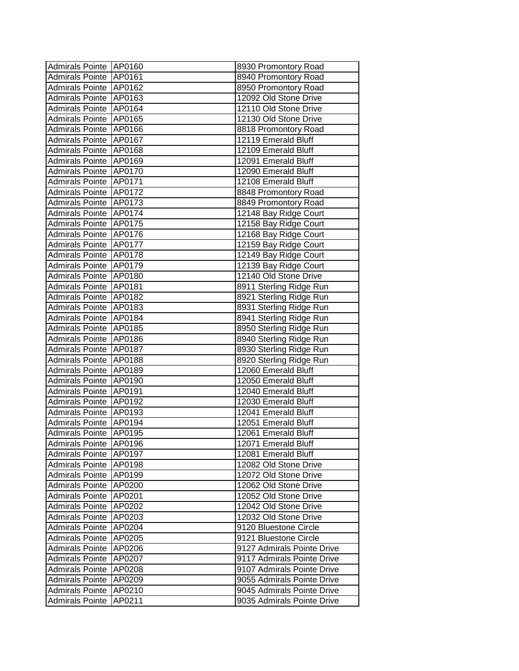| Admirals Pointe AP0160 |               | 8930 Promontory Road       |
|------------------------|---------------|----------------------------|
| Admirals Pointe AP0161 |               | 8940 Promontory Road       |
| Admirals Pointe AP0162 |               | 8950 Promontory Road       |
| Admirals Pointe AP0163 |               | 12092 Old Stone Drive      |
| Admirals Pointe AP0164 |               | 12110 Old Stone Drive      |
| Admirals Pointe AP0165 |               | 12130 Old Stone Drive      |
| Admirals Pointe AP0166 |               | 8818 Promontory Road       |
| <b>Admirals Pointe</b> | AP0167        | 12119 Emerald Bluff        |
| <b>Admirals Pointe</b> | AP0168        | 12109 Emerald Bluff        |
| <b>Admirals Pointe</b> | AP0169        | 12091 Emerald Bluff        |
| <b>Admirals Pointe</b> | AP0170        | 12090 Emerald Bluff        |
| <b>Admirals Pointe</b> | AP0171        | 12108 Emerald Bluff        |
| <b>Admirals Pointe</b> | AP0172        | 8848 Promontory Road       |
| <b>Admirals Pointe</b> | AP0173        | 8849 Promontory Road       |
| Admirals Pointe AP0174 |               | 12148 Bay Ridge Court      |
| <b>Admirals Pointe</b> | AP0175        | 12158 Bay Ridge Court      |
| Admirals Pointe        | AP0176        | 12168 Bay Ridge Court      |
| <b>Admirals Pointe</b> | AP0177        | 12159 Bay Ridge Court      |
| Admirals Pointe        | AP0178        | 12149 Bay Ridge Court      |
| <b>Admirals Pointe</b> | AP0179        | 12139 Bay Ridge Court      |
| Admirals Pointe        | <b>AP0180</b> | 12140 Old Stone Drive      |
| Admirals Pointe        | AP0181        | 8911 Sterling Ridge Run    |
| Admirals Pointe        | AP0182        | 8921 Sterling Ridge Run    |
| <b>Admirals Pointe</b> | AP0183        | 8931 Sterling Ridge Run    |
| <b>Admirals Pointe</b> | AP0184        | 8941 Sterling Ridge Run    |
| <b>Admirals Pointe</b> | AP0185        | 8950 Sterling Ridge Run    |
| <b>Admirals Pointe</b> | AP0186        | 8940 Sterling Ridge Run    |
| <b>Admirals Pointe</b> | AP0187        | 8930 Sterling Ridge Run    |
| Admirals Pointe        | AP0188        | 8920 Sterling Ridge Run    |
| Admirals Pointe        | AP0189        | 12060 Emerald Bluff        |
| <b>Admirals Pointe</b> | AP0190        | 12050 Emerald Bluff        |
| <b>Admirals Pointe</b> | AP0191        | 12040 Emerald Bluff        |
| <b>Admirals Pointe</b> | AP0192        | 12030 Emerald Bluff        |
| <b>Admirals Pointe</b> | AP0193        | 12041 Emerald Bluff        |
| <b>Admirals Pointe</b> | AP0194        | 12051 Emerald Bluff        |
| <b>Admirals Pointe</b> | AP0195        | 12061 Emerald Bluff        |
| Admirals Pointe AP0196 |               | 12071 Emerald Bluff        |
| Admirals Pointe        | AP0197        | 12081 Emerald Bluff        |
| <b>Admirals Pointe</b> | AP0198        | 12082 Old Stone Drive      |
| <b>Admirals Pointe</b> | AP0199        | 12072 Old Stone Drive      |
| <b>Admirals Pointe</b> | AP0200        | 12062 Old Stone Drive      |
| <b>Admirals Pointe</b> | AP0201        | 12052 Old Stone Drive      |
| <b>Admirals Pointe</b> | AP0202        | 12042 Old Stone Drive      |
| <b>Admirals Pointe</b> | AP0203        | 12032 Old Stone Drive      |
| <b>Admirals Pointe</b> | AP0204        | 9120 Bluestone Circle      |
| <b>Admirals Pointe</b> | AP0205        | 9121 Bluestone Circle      |
| <b>Admirals Pointe</b> | AP0206        | 9127 Admirals Pointe Drive |
| <b>Admirals Pointe</b> | AP0207        | 9117 Admirals Pointe Drive |
| <b>Admirals Pointe</b> | AP0208        | 9107 Admirals Pointe Drive |
| <b>Admirals Pointe</b> | AP0209        | 9055 Admirals Pointe Drive |
| Admirals Pointe        | AP0210        | 9045 Admirals Pointe Drive |
| <b>Admirals Pointe</b> | AP0211        | 9035 Admirals Pointe Drive |
|                        |               |                            |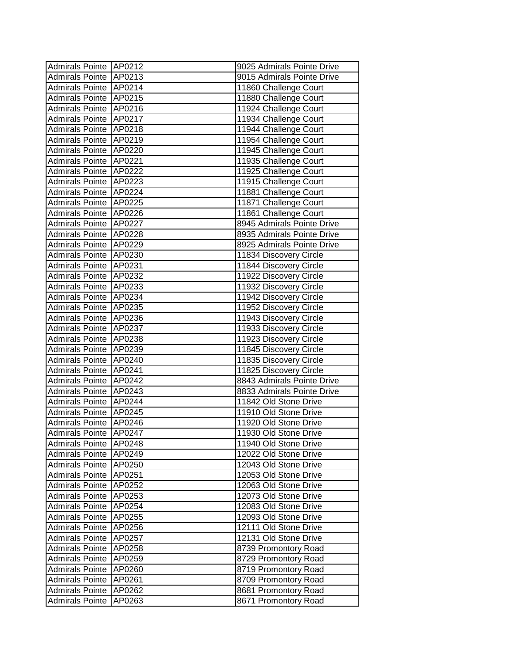| Admirals Pointe AP0212   |        | 9025 Admirals Pointe Drive |
|--------------------------|--------|----------------------------|
| Admirals Pointe          | AP0213 | 9015 Admirals Pointe Drive |
| Admirals Pointe AP0214   |        | 11860 Challenge Court      |
| <b>Admirals Pointe</b>   | AP0215 | 11880 Challenge Court      |
| Admirals Pointe          | AP0216 | 11924 Challenge Court      |
| <b>Admirals Pointe</b>   | AP0217 | 11934 Challenge Court      |
| <b>Admirals Pointe</b>   | AP0218 | 11944 Challenge Court      |
| <b>Admirals Pointe</b>   | AP0219 | 11954 Challenge Court      |
| <b>Admirals Pointe</b>   | AP0220 | 11945 Challenge Court      |
| <b>Admirals Pointe</b>   | AP0221 | 11935 Challenge Court      |
| <b>Admirals Pointe</b>   | AP0222 | 11925 Challenge Court      |
| <b>Admirals Pointe</b>   | AP0223 | 11915 Challenge Court      |
| <b>Admirals Pointe</b>   | AP0224 | 11881 Challenge Court      |
| <b>Admirals Pointe</b>   | AP0225 | 11871 Challenge Court      |
| Admirals Pointe          | AP0226 | 11861 Challenge Court      |
| <b>Admirals Pointe</b>   | AP0227 | 8945 Admirals Pointe Drive |
| Admirals Pointe          | AP0228 | 8935 Admirals Pointe Drive |
| <b>Admirals Pointe</b>   | AP0229 | 8925 Admirals Pointe Drive |
| Admirals Pointe          | AP0230 | 11834 Discovery Circle     |
| Admirals Pointe          | AP0231 | 11844 Discovery Circle     |
| Admirals Pointe          | AP0232 | 11922 Discovery Circle     |
| Admirals Pointe          | AP0233 | 11932 Discovery Circle     |
| Admirals Pointe          | AP0234 | 11942 Discovery Circle     |
| <b>Admirals Pointe</b>   | AP0235 | 11952 Discovery Circle     |
| <b>Admirals Pointe</b>   | AP0236 | 11943 Discovery Circle     |
| <b>Admirals Pointe</b>   | AP0237 | 11933 Discovery Circle     |
| <b>Admirals Pointe</b>   | AP0238 | 11923 Discovery Circle     |
| <b>Admirals Pointe</b>   | AP0239 | 11845 Discovery Circle     |
| <b>Admirals Pointe</b>   | AP0240 | 11835 Discovery Circle     |
| Admirals Pointe          | AP0241 | 11825 Discovery Circle     |
| <b>Admirals Pointe</b>   | AP0242 | 8843 Admirals Pointe Drive |
| <b>Admirals Pointe</b>   | AP0243 | 8833 Admirals Pointe Drive |
| <b>Admirals Pointe</b>   | AP0244 | 11842 Old Stone Drive      |
| <b>Admirals Pointe</b>   | AP0245 | 11910 Old Stone Drive      |
| <b>Admirals Pointe</b>   | AP0246 | 11920 Old Stone Drive      |
| <b>Admirals Pointe</b>   | AP0247 | 11930 Old Stone Drive      |
| Admirals Pointe   AP0248 |        | 11940 Old Stone Drive      |
| Admirals Pointe          | AP0249 | 12022 Old Stone Drive      |
| <b>Admirals Pointe</b>   | AP0250 | 12043 Old Stone Drive      |
| <b>Admirals Pointe</b>   | AP0251 | 12053 Old Stone Drive      |
| <b>Admirals Pointe</b>   | AP0252 | 12063 Old Stone Drive      |
| <b>Admirals Pointe</b>   | AP0253 | 12073 Old Stone Drive      |
| <b>Admirals Pointe</b>   | AP0254 | 12083 Old Stone Drive      |
| <b>Admirals Pointe</b>   | AP0255 | 12093 Old Stone Drive      |
| <b>Admirals Pointe</b>   | AP0256 | 12111 Old Stone Drive      |
| <b>Admirals Pointe</b>   | AP0257 | 12131 Old Stone Drive      |
| <b>Admirals Pointe</b>   | AP0258 | 8739 Promontory Road       |
| <b>Admirals Pointe</b>   | AP0259 | 8729 Promontory Road       |
| <b>Admirals Pointe</b>   | AP0260 | 8719 Promontory Road       |
| <b>Admirals Pointe</b>   | AP0261 | 8709 Promontory Road       |
| <b>Admirals Pointe</b>   | AP0262 | 8681 Promontory Road       |
| <b>Admirals Pointe</b>   | AP0263 | 8671 Promontory Road       |
|                          |        |                            |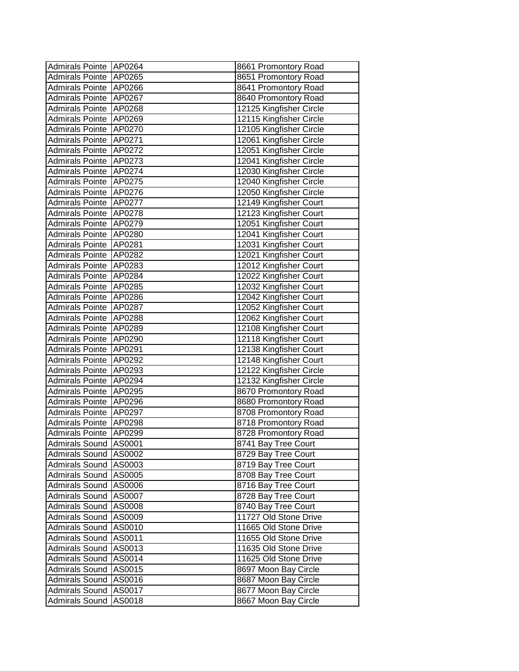| Admirals Pointe AP0264  |        | 8661 Promontory Road    |
|-------------------------|--------|-------------------------|
| Admirals Pointe         | AP0265 | 8651 Promontory Road    |
| Admirals Pointe AP0266  |        | 8641 Promontory Road    |
| Admirals Pointe         | AP0267 | 8640 Promontory Road    |
| Admirals Pointe         | AP0268 | 12125 Kingfisher Circle |
| <b>Admirals Pointe</b>  | AP0269 | 12115 Kingfisher Circle |
| <b>Admirals Pointe</b>  | AP0270 | 12105 Kingfisher Circle |
| <b>Admirals Pointe</b>  | AP0271 | 12061 Kingfisher Circle |
| <b>Admirals Pointe</b>  | AP0272 | 12051 Kingfisher Circle |
| <b>Admirals Pointe</b>  | AP0273 | 12041 Kingfisher Circle |
| <b>Admirals Pointe</b>  | AP0274 | 12030 Kingfisher Circle |
| <b>Admirals Pointe</b>  | AP0275 | 12040 Kingfisher Circle |
| <b>Admirals Pointe</b>  | AP0276 | 12050 Kingfisher Circle |
| Admirals Pointe         | AP0277 | 12149 Kingfisher Court  |
| Admirals Pointe         | AP0278 | 12123 Kingfisher Court  |
| <b>Admirals Pointe</b>  | AP0279 | 12051 Kingfisher Court  |
| <b>Admirals Pointe</b>  | AP0280 | 12041 Kingfisher Court  |
| <b>Admirals Pointe</b>  | AP0281 | 12031 Kingfisher Court  |
| Admirals Pointe         | AP0282 | 12021 Kingfisher Court  |
| Admirals Pointe         | AP0283 | 12012 Kingfisher Court  |
| Admirals Pointe         | AP0284 | 12022 Kingfisher Court  |
| Admirals Pointe         | AP0285 | 12032 Kingfisher Court  |
| <b>Admirals Pointe</b>  | AP0286 | 12042 Kingfisher Court  |
| <b>Admirals Pointe</b>  | AP0287 | 12052 Kingfisher Court  |
| <b>Admirals Pointe</b>  | AP0288 | 12062 Kingfisher Court  |
| <b>Admirals Pointe</b>  | AP0289 | 12108 Kingfisher Court  |
| <b>Admirals Pointe</b>  | AP0290 | 12118 Kingfisher Court  |
| <b>Admirals Pointe</b>  | AP0291 | 12138 Kingfisher Court  |
| <b>Admirals Pointe</b>  | AP0292 | 12148 Kingfisher Court  |
| <b>Admirals Pointe</b>  | AP0293 | 12122 Kingfisher Circle |
| <b>Admirals Pointe</b>  | AP0294 | 12132 Kingfisher Circle |
| <b>Admirals Pointe</b>  | AP0295 | 8670 Promontory Road    |
| <b>Admirals Pointe</b>  | AP0296 | 8680 Promontory Road    |
| <b>Admirals Pointe</b>  | AP0297 | 8708 Promontory Road    |
| <b>Admirals Pointe</b>  | AP0298 | 8718 Promontory Road    |
| Admirals Pointe         | AP0299 | 8728 Promontory Road    |
| Admirals Sound   AS0001 |        | 8741 Bay Tree Court     |
| Admirals Sound   AS0002 |        | 8729 Bay Tree Court     |
| Admirals Sound AS0003   |        | 8719 Bay Tree Court     |
| Admirals Sound AS0005   |        | 8708 Bay Tree Court     |
| Admirals Sound AS0006   |        | 8716 Bay Tree Court     |
| <b>Admirals Sound</b>   | AS0007 | 8728 Bay Tree Court     |
| Admirals Sound          | AS0008 | 8740 Bay Tree Court     |
| Admirals Sound          | AS0009 | 11727 Old Stone Drive   |
| Admirals Sound AS0010   |        | 11665 Old Stone Drive   |
| Admirals Sound AS0011   |        | 11655 Old Stone Drive   |
| <b>Admirals Sound</b>   | AS0013 | 11635 Old Stone Drive   |
| Admirals Sound AS0014   |        | 11625 Old Stone Drive   |
| Admirals Sound AS0015   |        | 8697 Moon Bay Circle    |
| Admirals Sound   AS0016 |        | 8687 Moon Bay Circle    |
| Admirals Sound AS0017   |        | 8677 Moon Bay Circle    |
| Admirals Sound          | AS0018 | 8667 Moon Bay Circle    |
|                         |        |                         |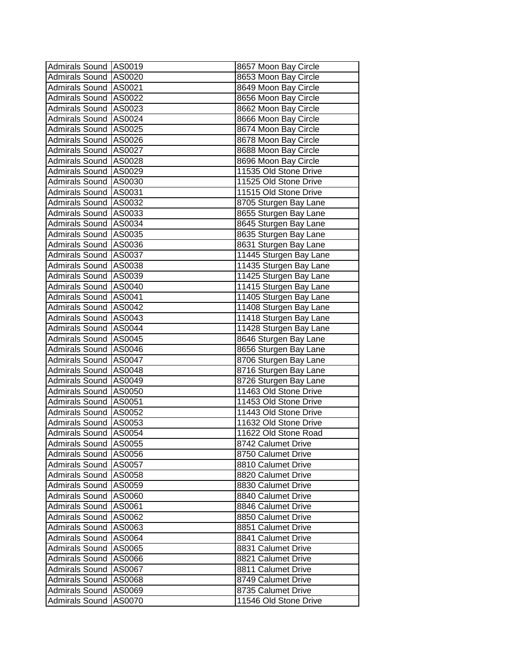| Admirals Sound AS0019   |        | 8657 Moon Bay Circle   |
|-------------------------|--------|------------------------|
| Admirals Sound   AS0020 |        | 8653 Moon Bay Circle   |
| Admirals Sound AS0021   |        | 8649 Moon Bay Circle   |
| Admirals Sound AS0022   |        | 8656 Moon Bay Circle   |
| Admirals Sound AS0023   |        | 8662 Moon Bay Circle   |
| Admirals Sound AS0024   |        | 8666 Moon Bay Circle   |
| Admirals Sound AS0025   |        | 8674 Moon Bay Circle   |
| Admirals Sound AS0026   |        | 8678 Moon Bay Circle   |
| Admirals Sound AS0027   |        | 8688 Moon Bay Circle   |
| Admirals Sound AS0028   |        | 8696 Moon Bay Circle   |
| Admirals Sound AS0029   |        | 11535 Old Stone Drive  |
| Admirals Sound AS0030   |        | 11525 Old Stone Drive  |
| Admirals Sound AS0031   |        | 11515 Old Stone Drive  |
| Admirals Sound   AS0032 |        | 8705 Sturgen Bay Lane  |
| Admirals Sound AS0033   |        | 8655 Sturgen Bay Lane  |
| Admirals Sound AS0034   |        | 8645 Sturgen Bay Lane  |
| Admirals Sound AS0035   |        | 8635 Sturgen Bay Lane  |
| Admirals Sound AS0036   |        | 8631 Sturgen Bay Lane  |
| Admirals Sound AS0037   |        | 11445 Sturgen Bay Lane |
| Admirals Sound AS0038   |        | 11435 Sturgen Bay Lane |
| Admirals Sound AS0039   |        | 11425 Sturgen Bay Lane |
| Admirals Sound AS0040   |        | 11415 Sturgen Bay Lane |
| Admirals Sound AS0041   |        | 11405 Sturgen Bay Lane |
| Admirals Sound AS0042   |        | 11408 Sturgen Bay Lane |
| Admirals Sound AS0043   |        | 11418 Sturgen Bay Lane |
| Admirals Sound AS0044   |        | 11428 Sturgen Bay Lane |
| Admirals Sound AS0045   |        | 8646 Sturgen Bay Lane  |
| Admirals Sound AS0046   |        | 8656 Sturgen Bay Lane  |
| Admirals Sound AS0047   |        | 8706 Sturgen Bay Lane  |
| Admirals Sound AS0048   |        | 8716 Sturgen Bay Lane  |
| Admirals Sound AS0049   |        | 8726 Sturgen Bay Lane  |
| Admirals Sound AS0050   |        | 11463 Old Stone Drive  |
| Admirals Sound AS0051   |        | 11453 Old Stone Drive  |
| Admirals Sound   AS0052 |        | 11443 Old Stone Drive  |
| Admirals Sound   AS0053 |        | 11632 Old Stone Drive  |
| Admirals Sound AS0054   |        | 11622 Old Stone Road   |
| Admirals Sound AS0055   |        | 8742 Calumet Drive     |
| Admirals Sound AS0056   |        | 8750 Calumet Drive     |
| Admirals Sound AS0057   |        | 8810 Calumet Drive     |
| Admirals Sound AS0058   |        | 8820 Calumet Drive     |
| Admirals Sound AS0059   |        | 8830 Calumet Drive     |
| <b>Admirals Sound</b>   | AS0060 | 8840 Calumet Drive     |
| <b>Admirals Sound</b>   | AS0061 | 8846 Calumet Drive     |
| <b>Admirals Sound</b>   | AS0062 | 8850 Calumet Drive     |
| Admirals Sound   AS0063 |        | 8851 Calumet Drive     |
| Admirals Sound          | AS0064 | 8841 Calumet Drive     |
| <b>Admirals Sound</b>   | AS0065 | 8831 Calumet Drive     |
| Admirals Sound          | AS0066 | 8821 Calumet Drive     |
| Admirals Sound AS0067   |        | 8811 Calumet Drive     |
| <b>Admirals Sound</b>   | AS0068 | 8749 Calumet Drive     |
| Admirals Sound AS0069   |        | 8735 Calumet Drive     |
| <b>Admirals Sound</b>   | AS0070 | 11546 Old Stone Drive  |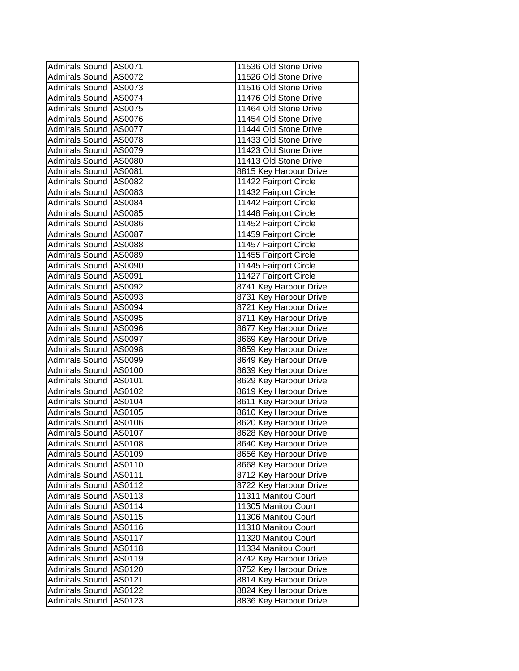| Admirals Sound AS0071   |        | 11536 Old Stone Drive  |
|-------------------------|--------|------------------------|
| Admirals Sound AS0072   |        | 11526 Old Stone Drive  |
| Admirals Sound AS0073   |        | 11516 Old Stone Drive  |
| Admirals Sound AS0074   |        | 11476 Old Stone Drive  |
| Admirals Sound AS0075   |        | 11464 Old Stone Drive  |
| Admirals Sound AS0076   |        | 11454 Old Stone Drive  |
| Admirals Sound AS0077   |        | 11444 Old Stone Drive  |
| Admirals Sound AS0078   |        | 11433 Old Stone Drive  |
| Admirals Sound AS0079   |        | 11423 Old Stone Drive  |
| Admirals Sound AS0080   |        | 11413 Old Stone Drive  |
| Admirals Sound AS0081   |        | 8815 Key Harbour Drive |
| Admirals Sound AS0082   |        | 11422 Fairport Circle  |
| Admirals Sound AS0083   |        | 11432 Fairport Circle  |
| Admirals Sound AS0084   |        | 11442 Fairport Circle  |
| Admirals Sound AS0085   |        | 11448 Fairport Circle  |
| Admirals Sound AS0086   |        | 11452 Fairport Circle  |
| Admirals Sound AS0087   |        | 11459 Fairport Circle  |
| Admirals Sound AS0088   |        | 11457 Fairport Circle  |
| Admirals Sound AS0089   |        | 11455 Fairport Circle  |
| Admirals Sound AS0090   |        | 11445 Fairport Circle  |
| Admirals Sound AS0091   |        | 11427 Fairport Circle  |
| Admirals Sound AS0092   |        | 8741 Key Harbour Drive |
| Admirals Sound AS0093   |        | 8731 Key Harbour Drive |
| Admirals Sound AS0094   |        | 8721 Key Harbour Drive |
| Admirals Sound AS0095   |        | 8711 Key Harbour Drive |
| Admirals Sound AS0096   |        | 8677 Key Harbour Drive |
| Admirals Sound AS0097   |        | 8669 Key Harbour Drive |
| Admirals Sound AS0098   |        | 8659 Key Harbour Drive |
| Admirals Sound AS0099   |        | 8649 Key Harbour Drive |
| Admirals Sound AS0100   |        | 8639 Key Harbour Drive |
| Admirals Sound AS0101   |        | 8629 Key Harbour Drive |
| Admirals Sound AS0102   |        | 8619 Key Harbour Drive |
| Admirals Sound AS0104   |        | 8611 Key Harbour Drive |
| Admirals Sound AS0105   |        | 8610 Key Harbour Drive |
| Admirals Sound AS0106   |        | 8620 Key Harbour Drive |
| Admirals Sound AS0107   |        | 8628 Key Harbour Drive |
| Admirals Sound   AS0108 |        | 8640 Key Harbour Drive |
| Admirals Sound AS0109   |        | 8656 Key Harbour Drive |
| Admirals Sound   AS0110 |        | 8668 Key Harbour Drive |
| Admirals Sound AS0111   |        | 8712 Key Harbour Drive |
| <b>Admirals Sound</b>   | AS0112 | 8722 Key Harbour Drive |
| <b>Admirals Sound</b>   | AS0113 | 11311 Manitou Court    |
| <b>Admirals Sound</b>   | AS0114 | 11305 Manitou Court    |
| <b>Admirals Sound</b>   | AS0115 | 11306 Manitou Court    |
| <b>Admirals Sound</b>   | AS0116 | 11310 Manitou Court    |
| <b>Admirals Sound</b>   | AS0117 | 11320 Manitou Court    |
| <b>Admirals Sound</b>   | AS0118 | 11334 Manitou Court    |
| <b>Admirals Sound</b>   | AS0119 | 8742 Key Harbour Drive |
| <b>Admirals Sound</b>   | AS0120 | 8752 Key Harbour Drive |
| <b>Admirals Sound</b>   | AS0121 | 8814 Key Harbour Drive |
| <b>Admirals Sound</b>   | AS0122 | 8824 Key Harbour Drive |
| <b>Admirals Sound</b>   | AS0123 | 8836 Key Harbour Drive |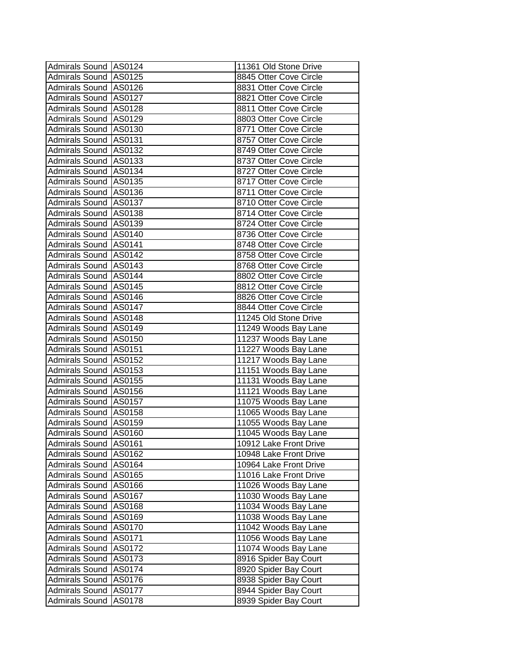| Admirals Sound AS0124   |        | 11361 Old Stone Drive  |
|-------------------------|--------|------------------------|
| Admirals Sound   AS0125 |        | 8845 Otter Cove Circle |
| Admirals Sound   AS0126 |        | 8831 Otter Cove Circle |
| Admirals Sound AS0127   |        | 8821 Otter Cove Circle |
| Admirals Sound AS0128   |        | 8811 Otter Cove Circle |
| Admirals Sound AS0129   |        | 8803 Otter Cove Circle |
| Admirals Sound AS0130   |        | 8771 Otter Cove Circle |
| Admirals Sound AS0131   |        | 8757 Otter Cove Circle |
| Admirals Sound AS0132   |        | 8749 Otter Cove Circle |
| Admirals Sound   AS0133 |        | 8737 Otter Cove Circle |
| Admirals Sound AS0134   |        | 8727 Otter Cove Circle |
| Admirals Sound AS0135   |        | 8717 Otter Cove Circle |
| Admirals Sound AS0136   |        | 8711 Otter Cove Circle |
| Admirals Sound AS0137   |        | 8710 Otter Cove Circle |
| Admirals Sound AS0138   |        | 8714 Otter Cove Circle |
| Admirals Sound AS0139   |        | 8724 Otter Cove Circle |
| Admirals Sound AS0140   |        | 8736 Otter Cove Circle |
| Admirals Sound AS0141   |        | 8748 Otter Cove Circle |
| Admirals Sound AS0142   |        | 8758 Otter Cove Circle |
| Admirals Sound   AS0143 |        | 8768 Otter Cove Circle |
| Admirals Sound AS0144   |        | 8802 Otter Cove Circle |
| Admirals Sound AS0145   |        | 8812 Otter Cove Circle |
| Admirals Sound AS0146   |        | 8826 Otter Cove Circle |
| Admirals Sound AS0147   |        | 8844 Otter Cove Circle |
| Admirals Sound AS0148   |        | 11245 Old Stone Drive  |
| Admirals Sound AS0149   |        | 11249 Woods Bay Lane   |
| Admirals Sound AS0150   |        | 11237 Woods Bay Lane   |
| Admirals Sound AS0151   |        | 11227 Woods Bay Lane   |
| Admirals Sound AS0152   |        | 11217 Woods Bay Lane   |
| Admirals Sound AS0153   |        | 11151 Woods Bay Lane   |
| Admirals Sound   AS0155 |        | 11131 Woods Bay Lane   |
| Admirals Sound AS0156   |        | 11121 Woods Bay Lane   |
| Admirals Sound   AS0157 |        | 11075 Woods Bay Lane   |
| Admirals Sound AS0158   |        | 11065 Woods Bay Lane   |
| Admirals Sound   AS0159 |        | 11055 Woods Bay Lane   |
| Admirals Sound AS0160   |        | 11045 Woods Bay Lane   |
| Admirals Sound   AS0161 |        | 10912 Lake Front Drive |
| Admirals Sound AS0162   |        | 10948 Lake Front Drive |
| Admirals Sound AS0164   |        | 10964 Lake Front Drive |
| Admirals Sound AS0165   |        | 11016 Lake Front Drive |
| Admirals Sound AS0166   |        | 11026 Woods Bay Lane   |
| Admirals Sound AS0167   |        | 11030 Woods Bay Lane   |
| Admirals Sound   AS0168 |        | 11034 Woods Bay Lane   |
| Admirals Sound AS0169   |        | 11038 Woods Bay Lane   |
| Admirals Sound AS0170   |        | 11042 Woods Bay Lane   |
| Admirals Sound AS0171   |        | 11056 Woods Bay Lane   |
| Admirals Sound AS0172   |        | 11074 Woods Bay Lane   |
| Admirals Sound AS0173   |        | 8916 Spider Bay Court  |
| Admirals Sound AS0174   |        | 8920 Spider Bay Court  |
| Admirals Sound AS0176   |        | 8938 Spider Bay Court  |
| Admirals Sound AS0177   |        | 8944 Spider Bay Court  |
| Admirals Sound          | AS0178 | 8939 Spider Bay Court  |
|                         |        |                        |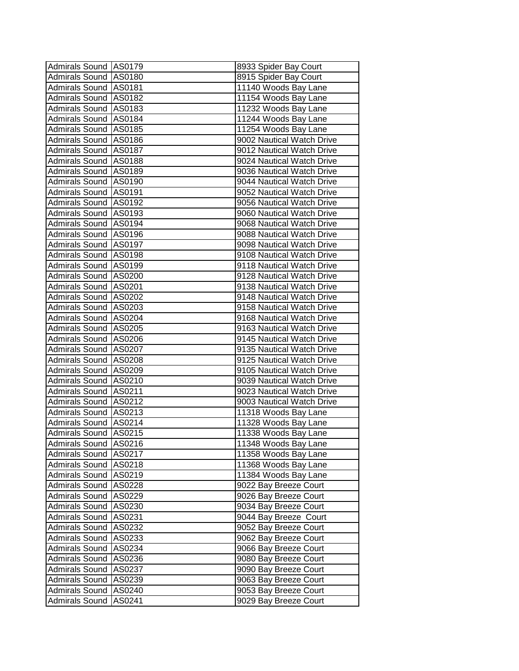| Admirals Sound AS0179   |        | 8933 Spider Bay Court     |
|-------------------------|--------|---------------------------|
| Admirals Sound AS0180   |        | 8915 Spider Bay Court     |
| Admirals Sound AS0181   |        | 11140 Woods Bay Lane      |
| Admirals Sound AS0182   |        | 11154 Woods Bay Lane      |
| Admirals Sound AS0183   |        | 11232 Woods Bay Lane      |
| Admirals Sound AS0184   |        | 11244 Woods Bay Lane      |
| Admirals Sound AS0185   |        | 11254 Woods Bay Lane      |
| Admirals Sound AS0186   |        | 9002 Nautical Watch Drive |
| Admirals Sound AS0187   |        | 9012 Nautical Watch Drive |
| Admirals Sound AS0188   |        | 9024 Nautical Watch Drive |
| Admirals Sound   AS0189 |        | 9036 Nautical Watch Drive |
| Admirals Sound AS0190   |        | 9044 Nautical Watch Drive |
| Admirals Sound   AS0191 |        | 9052 Nautical Watch Drive |
| Admirals Sound AS0192   |        | 9056 Nautical Watch Drive |
| Admirals Sound AS0193   |        | 9060 Nautical Watch Drive |
| Admirals Sound AS0194   |        | 9068 Nautical Watch Drive |
| Admirals Sound AS0196   |        | 9088 Nautical Watch Drive |
| Admirals Sound AS0197   |        | 9098 Nautical Watch Drive |
| Admirals Sound   AS0198 |        | 9108 Nautical Watch Drive |
| Admirals Sound AS0199   |        | 9118 Nautical Watch Drive |
| Admirals Sound AS0200   |        | 9128 Nautical Watch Drive |
| Admirals Sound AS0201   |        | 9138 Nautical Watch Drive |
| Admirals Sound AS0202   |        | 9148 Nautical Watch Drive |
| Admirals Sound AS0203   |        | 9158 Nautical Watch Drive |
| Admirals Sound AS0204   |        | 9168 Nautical Watch Drive |
| Admirals Sound AS0205   |        | 9163 Nautical Watch Drive |
| Admirals Sound AS0206   |        | 9145 Nautical Watch Drive |
| Admirals Sound AS0207   |        | 9135 Nautical Watch Drive |
| Admirals Sound AS0208   |        | 9125 Nautical Watch Drive |
| Admirals Sound AS0209   |        | 9105 Nautical Watch Drive |
| Admirals Sound AS0210   |        | 9039 Nautical Watch Drive |
| Admirals Sound AS0211   |        | 9023 Nautical Watch Drive |
| Admirals Sound AS0212   |        | 9003 Nautical Watch Drive |
| Admirals Sound AS0213   |        | 11318 Woods Bay Lane      |
| Admirals Sound AS0214   |        | 11328 Woods Bay Lane      |
| Admirals Sound AS0215   |        | 11338 Woods Bay Lane      |
| Admirals Sound   AS0216 |        | 11348 Woods Bay Lane      |
| Admirals Sound AS0217   |        | 11358 Woods Bay Lane      |
| Admirals Sound AS0218   |        | 11368 Woods Bay Lane      |
| Admirals Sound AS0219   |        | 11384 Woods Bay Lane      |
| Admirals Sound AS0228   |        | 9022 Bay Breeze Court     |
| <b>Admirals Sound</b>   | AS0229 | 9026 Bay Breeze Court     |
| <b>Admirals Sound</b>   | AS0230 | 9034 Bay Breeze Court     |
| <b>Admirals Sound</b>   | AS0231 | 9044 Bay Breeze Court     |
| Admirals Sound AS0232   |        | 9052 Bay Breeze Court     |
| <b>Admirals Sound</b>   | AS0233 | 9062 Bay Breeze Court     |
| Admirals Sound AS0234   |        | 9066 Bay Breeze Court     |
| Admirals Sound AS0236   |        | 9080 Bay Breeze Court     |
| Admirals Sound   AS0237 |        | 9090 Bay Breeze Court     |
| Admirals Sound AS0239   |        | 9063 Bay Breeze Court     |
| Admirals Sound AS0240   |        | 9053 Bay Breeze Court     |
| <b>Admirals Sound</b>   | AS0241 | 9029 Bay Breeze Court     |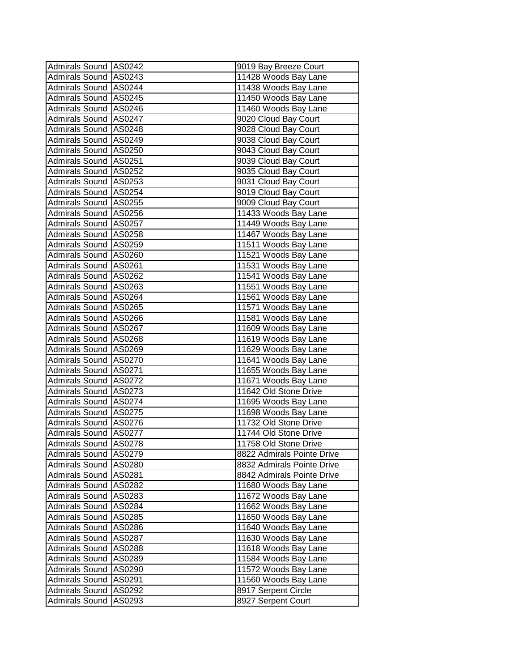| Admirals Sound   AS0243<br>11428 Woods Bay Lane       |  |
|-------------------------------------------------------|--|
|                                                       |  |
| Admirals Sound   AS0244<br>11438 Woods Bay Lane       |  |
| Admirals Sound AS0245<br>11450 Woods Bay Lane         |  |
| Admirals Sound AS0246<br>11460 Woods Bay Lane         |  |
| Admirals Sound AS0247<br>9020 Cloud Bay Court         |  |
| Admirals Sound AS0248<br>9028 Cloud Bay Court         |  |
| Admirals Sound AS0249<br>9038 Cloud Bay Court         |  |
| Admirals Sound AS0250<br>9043 Cloud Bay Court         |  |
| Admirals Sound AS0251<br>9039 Cloud Bay Court         |  |
| Admirals Sound AS0252<br>9035 Cloud Bay Court         |  |
| 9031 Cloud Bay Court<br>Admirals Sound AS0253         |  |
| Admirals Sound AS0254<br>9019 Cloud Bay Court         |  |
| 9009 Cloud Bay Court<br>Admirals Sound   AS0255       |  |
| Admirals Sound AS0256<br>11433 Woods Bay Lane         |  |
| Admirals Sound AS0257<br>11449 Woods Bay Lane         |  |
| Admirals Sound   AS0258<br>11467 Woods Bay Lane       |  |
| Admirals Sound   AS0259<br>11511 Woods Bay Lane       |  |
| Admirals Sound AS0260<br>11521 Woods Bay Lane         |  |
| Admirals Sound AS0261<br>11531 Woods Bay Lane         |  |
| Admirals Sound AS0262<br>11541 Woods Bay Lane         |  |
| Admirals Sound   AS0263<br>11551 Woods Bay Lane       |  |
| Admirals Sound AS0264<br>11561 Woods Bay Lane         |  |
| Admirals Sound AS0265<br>11571 Woods Bay Lane         |  |
| Admirals Sound   AS0266<br>11581 Woods Bay Lane       |  |
| Admirals Sound   AS0267<br>11609 Woods Bay Lane       |  |
| Admirals Sound AS0268<br>11619 Woods Bay Lane         |  |
| Admirals Sound AS0269<br>11629 Woods Bay Lane         |  |
| Admirals Sound AS0270<br>11641 Woods Bay Lane         |  |
| Admirals Sound AS0271<br>11655 Woods Bay Lane         |  |
| Admirals Sound AS0272<br>11671 Woods Bay Lane         |  |
| Admirals Sound   AS0273<br>11642 Old Stone Drive      |  |
| Admirals Sound   AS0274<br>11695 Woods Bay Lane       |  |
| Admirals Sound   AS0275<br>11698 Woods Bay Lane       |  |
| Admirals Sound   AS0276<br>11732 Old Stone Drive      |  |
| 11744 Old Stone Drive<br>Admirals Sound AS0277        |  |
| Admirals Sound AS0278<br>11758 Old Stone Drive        |  |
| Admirals Sound   AS0279<br>8822 Admirals Pointe Drive |  |
| Admirals Sound AS0280<br>8832 Admirals Pointe Drive   |  |
| Admirals Sound AS0281<br>8842 Admirals Pointe Drive   |  |
| Admirals Sound AS0282<br>11680 Woods Bay Lane         |  |
| Admirals Sound<br>11672 Woods Bay Lane<br>AS0283      |  |
| Admirals Sound<br>AS0284<br>11662 Woods Bay Lane      |  |
| Admirals Sound<br>AS0285<br>11650 Woods Bay Lane      |  |
| Admirals Sound AS0286<br>11640 Woods Bay Lane         |  |
| Admirals Sound AS0287<br>11630 Woods Bay Lane         |  |
| 11618 Woods Bay Lane<br>Admirals Sound AS0288         |  |
| 11584 Woods Bay Lane<br>Admirals Sound AS0289         |  |
| 11572 Woods Bay Lane<br>Admirals Sound   AS0290       |  |
| 11560 Woods Bay Lane<br>Admirals Sound AS0291         |  |
| 8917 Serpent Circle<br>Admirals Sound AS0292          |  |
| Admirals Sound<br>8927 Serpent Court<br>AS0293        |  |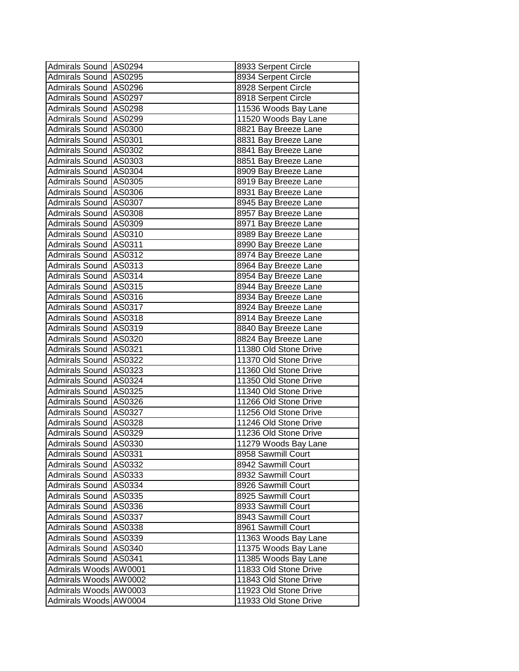| Admirals Sound   AS0294 |        | 8933 Serpent Circle   |
|-------------------------|--------|-----------------------|
| Admirals Sound AS0295   |        | 8934 Serpent Circle   |
| Admirals Sound   AS0296 |        | 8928 Serpent Circle   |
| Admirals Sound AS0297   |        | 8918 Serpent Circle   |
| Admirals Sound AS0298   |        | 11536 Woods Bay Lane  |
| Admirals Sound AS0299   |        | 11520 Woods Bay Lane  |
| Admirals Sound AS0300   |        | 8821 Bay Breeze Lane  |
| Admirals Sound AS0301   |        | 8831 Bay Breeze Lane  |
| Admirals Sound AS0302   |        | 8841 Bay Breeze Lane  |
| Admirals Sound AS0303   |        | 8851 Bay Breeze Lane  |
| Admirals Sound AS0304   |        | 8909 Bay Breeze Lane  |
| Admirals Sound AS0305   |        | 8919 Bay Breeze Lane  |
| Admirals Sound AS0306   |        | 8931 Bay Breeze Lane  |
| Admirals Sound AS0307   |        | 8945 Bay Breeze Lane  |
| Admirals Sound AS0308   |        | 8957 Bay Breeze Lane  |
| Admirals Sound AS0309   |        | 8971 Bay Breeze Lane  |
| Admirals Sound   AS0310 |        | 8989 Bay Breeze Lane  |
| Admirals Sound AS0311   |        | 8990 Bay Breeze Lane  |
| Admirals Sound AS0312   |        | 8974 Bay Breeze Lane  |
| Admirals Sound AS0313   |        | 8964 Bay Breeze Lane  |
| Admirals Sound AS0314   |        | 8954 Bay Breeze Lane  |
| Admirals Sound   AS0315 |        | 8944 Bay Breeze Lane  |
| Admirals Sound AS0316   |        | 8934 Bay Breeze Lane  |
| Admirals Sound AS0317   |        | 8924 Bay Breeze Lane  |
| Admirals Sound AS0318   |        | 8914 Bay Breeze Lane  |
| Admirals Sound AS0319   |        | 8840 Bay Breeze Lane  |
| Admirals Sound   AS0320 |        | 8824 Bay Breeze Lane  |
| Admirals Sound AS0321   |        | 11380 Old Stone Drive |
| Admirals Sound AS0322   |        | 11370 Old Stone Drive |
| Admirals Sound AS0323   |        | 11360 Old Stone Drive |
| Admirals Sound   AS0324 |        | 11350 Old Stone Drive |
| Admirals Sound   AS0325 |        | 11340 Old Stone Drive |
| Admirals Sound   AS0326 |        | 11266 Old Stone Drive |
| Admirals Sound AS0327   |        | 11256 Old Stone Drive |
| Admirals Sound   AS0328 |        | 11246 Old Stone Drive |
| Admirals Sound AS0329   |        | 11236 Old Stone Drive |
| Admirals Sound   AS0330 |        | 11279 Woods Bay Lane  |
| Admirals Sound AS0331   |        | 8958 Sawmill Court    |
| Admirals Sound AS0332   |        | 8942 Sawmill Court    |
| Admirals Sound AS0333   |        | 8932 Sawmill Court    |
| Admirals Sound   AS0334 |        | 8926 Sawmill Court    |
| <b>Admirals Sound</b>   | AS0335 | 8925 Sawmill Court    |
| <b>Admirals Sound</b>   | AS0336 | 8933 Sawmill Court    |
| <b>Admirals Sound</b>   | AS0337 | 8943 Sawmill Court    |
| Admirals Sound AS0338   |        | 8961 Sawmill Court    |
| Admirals Sound AS0339   |        | 11363 Woods Bay Lane  |
| Admirals Sound AS0340   |        | 11375 Woods Bay Lane  |
| Admirals Sound AS0341   |        | 11385 Woods Bay Lane  |
| Admirals Woods AW0001   |        | 11833 Old Stone Drive |
| Admirals Woods AW0002   |        | 11843 Old Stone Drive |
| Admirals Woods AW0003   |        | 11923 Old Stone Drive |
| Admirals Woods AW0004   |        | 11933 Old Stone Drive |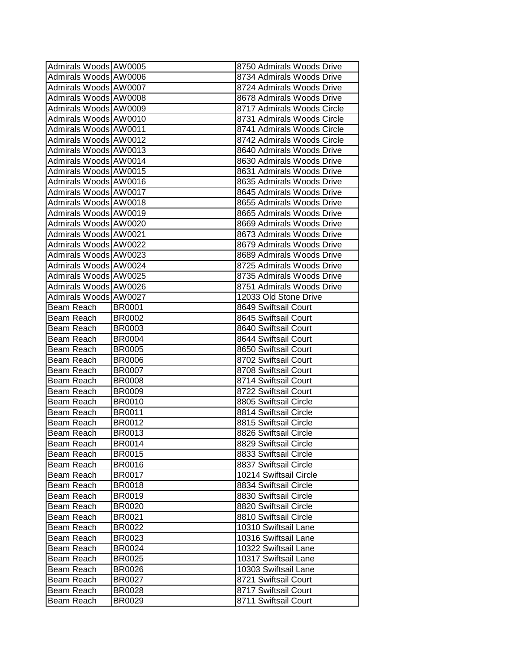| Admirals Woods AW0005 |               | 8750 Admirals Woods Drive  |
|-----------------------|---------------|----------------------------|
| Admirals Woods AW0006 |               | 8734 Admirals Woods Drive  |
| Admirals Woods AW0007 |               | 8724 Admirals Woods Drive  |
| Admirals Woods AW0008 |               | 8678 Admirals Woods Drive  |
| Admirals Woods AW0009 |               | 8717 Admirals Woods Circle |
| Admirals Woods AW0010 |               | 8731 Admirals Woods Circle |
| Admirals Woods AW0011 |               | 8741 Admirals Woods Circle |
| Admirals Woods AW0012 |               | 8742 Admirals Woods Circle |
| Admirals Woods AW0013 |               | 8640 Admirals Woods Drive  |
| Admirals Woods AW0014 |               | 8630 Admirals Woods Drive  |
| Admirals Woods AW0015 |               | 8631 Admirals Woods Drive  |
| Admirals Woods AW0016 |               | 8635 Admirals Woods Drive  |
| Admirals Woods AW0017 |               | 8645 Admirals Woods Drive  |
| Admirals Woods AW0018 |               | 8655 Admirals Woods Drive  |
| Admirals Woods AW0019 |               | 8665 Admirals Woods Drive  |
| Admirals Woods AW0020 |               | 8669 Admirals Woods Drive  |
| Admirals Woods AW0021 |               | 8673 Admirals Woods Drive  |
| Admirals Woods AW0022 |               | 8679 Admirals Woods Drive  |
| Admirals Woods AW0023 |               | 8689 Admirals Woods Drive  |
| Admirals Woods AW0024 |               | 8725 Admirals Woods Drive  |
| Admirals Woods AW0025 |               | 8735 Admirals Woods Drive  |
| Admirals Woods AW0026 |               | 8751 Admirals Woods Drive  |
| Admirals Woods AW0027 |               | 12033 Old Stone Drive      |
| Beam Reach            | <b>BR0001</b> | 8649 Swiftsail Court       |
| Beam Reach            | <b>BR0002</b> | 8645 Swiftsail Court       |
| Beam Reach            | <b>BR0003</b> | 8640 Swiftsail Court       |
| Beam Reach            | <b>BR0004</b> | 8644 Swiftsail Court       |
| Beam Reach            | <b>BR0005</b> | 8650 Swiftsail Court       |
| Beam Reach            | <b>BR0006</b> | 8702 Swiftsail Court       |
| Beam Reach            | <b>BR0007</b> | 8708 Swiftsail Court       |
| Beam Reach            | <b>BR0008</b> | 8714 Swiftsail Court       |
| Beam Reach            | <b>BR0009</b> | 8722 Swiftsail Court       |
| Beam Reach            | <b>BR0010</b> | 8805 Swiftsail Circle      |
| Beam Reach            | <b>BR0011</b> | 8814 Swiftsail Circle      |
| Beam Reach            | <b>BR0012</b> | 8815 Swiftsail Circle      |
| Beam Reach            | <b>BR0013</b> | 8826 Swiftsail Circle      |
| Beam Reach            | <b>BR0014</b> | 8829 Swiftsail Circle      |
| Beam Reach            | <b>BR0015</b> | 8833 Swiftsail Circle      |
| Beam Reach            | <b>BR0016</b> | 8837 Swiftsail Circle      |
| Beam Reach            | <b>BR0017</b> | 10214 Swiftsail Circle     |
| Beam Reach            | <b>BR0018</b> | 8834 Swiftsail Circle      |
| Beam Reach            | <b>BR0019</b> | 8830 Swiftsail Circle      |
| Beam Reach            | <b>BR0020</b> | 8820 Swiftsail Circle      |
| Beam Reach            | <b>BR0021</b> | 8810 Swiftsail Circle      |
| Beam Reach            | <b>BR0022</b> | 10310 Swiftsail Lane       |
| Beam Reach            | <b>BR0023</b> | 10316 Swiftsail Lane       |
| Beam Reach            | BR0024        | 10322 Swiftsail Lane       |
| Beam Reach            | <b>BR0025</b> | 10317 Swiftsail Lane       |
| Beam Reach            | <b>BR0026</b> | 10303 Swiftsail Lane       |
| Beam Reach            | <b>BR0027</b> | 8721 Swiftsail Court       |
| Beam Reach            | <b>BR0028</b> | 8717 Swiftsail Court       |
| Beam Reach            | <b>BR0029</b> | 8711 Swiftsail Court       |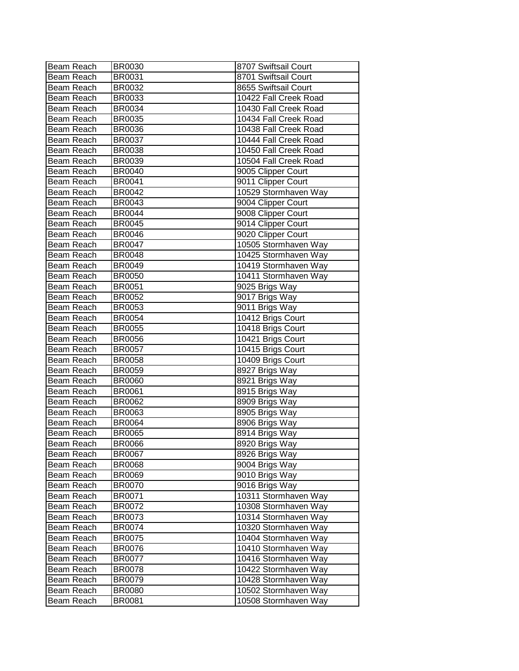| Beam Reach | <b>BR0030</b> | 8707 Swiftsail Court  |
|------------|---------------|-----------------------|
| Beam Reach | BR0031        | 8701 Swiftsail Court  |
| Beam Reach | <b>BR0032</b> | 8655 Swiftsail Court  |
| Beam Reach | <b>BR0033</b> | 10422 Fall Creek Road |
| Beam Reach | <b>BR0034</b> | 10430 Fall Creek Road |
| Beam Reach | <b>BR0035</b> | 10434 Fall Creek Road |
| Beam Reach | <b>BR0036</b> | 10438 Fall Creek Road |
| Beam Reach | <b>BR0037</b> | 10444 Fall Creek Road |
| Beam Reach | <b>BR0038</b> | 10450 Fall Creek Road |
| Beam Reach | <b>BR0039</b> | 10504 Fall Creek Road |
| Beam Reach | <b>BR0040</b> | 9005 Clipper Court    |
| Beam Reach | <b>BR0041</b> | 9011 Clipper Court    |
| Beam Reach | BR0042        | 10529 Stormhaven Way  |
| Beam Reach | BR0043        | 9004 Clipper Court    |
| Beam Reach | <b>BR0044</b> | 9008 Clipper Court    |
| Beam Reach | <b>BR0045</b> | 9014 Clipper Court    |
| Beam Reach | <b>BR0046</b> | 9020 Clipper Court    |
| Beam Reach | <b>BR0047</b> | 10505 Stormhaven Way  |
| Beam Reach | <b>BR0048</b> | 10425 Stormhaven Way  |
| Beam Reach | <b>BR0049</b> | 10419 Stormhaven Way  |
| Beam Reach | <b>BR0050</b> | 10411 Stormhaven Way  |
| Beam Reach | BR0051        | 9025 Brigs Way        |
| Beam Reach | <b>BR0052</b> | 9017 Brigs Way        |
| Beam Reach | <b>BR0053</b> | 9011 Brigs Way        |
| Beam Reach | <b>BR0054</b> | 10412 Brigs Court     |
| Beam Reach | <b>BR0055</b> | 10418 Brigs Court     |
| Beam Reach | <b>BR0056</b> | 10421 Brigs Court     |
| Beam Reach | <b>BR0057</b> | 10415 Brigs Court     |
| Beam Reach | <b>BR0058</b> | 10409 Brigs Court     |
| Beam Reach | <b>BR0059</b> | 8927 Brigs Way        |
| Beam Reach | <b>BR0060</b> | 8921 Brigs Way        |
| Beam Reach | <b>BR0061</b> | 8915 Brigs Way        |
| Beam Reach | <b>BR0062</b> | 8909 Brigs Way        |
| Beam Reach | <b>BR0063</b> | 8905 Brigs Way        |
| Beam Reach | <b>BR0064</b> | 8906 Brigs Way        |
| Beam Reach | <b>BR0065</b> | 8914 Brigs Way        |
| Beam Reach | <b>BR0066</b> | 8920 Brigs Way        |
| Beam Reach | <b>BR0067</b> | 8926 Brigs Way        |
| Beam Reach | <b>BR0068</b> | 9004 Brigs Way        |
| Beam Reach | <b>BR0069</b> | 9010 Brigs Way        |
| Beam Reach | <b>BR0070</b> | 9016 Brigs Way        |
| Beam Reach | BR0071        | 10311 Stormhaven Way  |
| Beam Reach | <b>BR0072</b> | 10308 Stormhaven Way  |
| Beam Reach | <b>BR0073</b> | 10314 Stormhaven Way  |
| Beam Reach | <b>BR0074</b> | 10320 Stormhaven Way  |
| Beam Reach | <b>BR0075</b> | 10404 Stormhaven Way  |
| Beam Reach | <b>BR0076</b> | 10410 Stormhaven Way  |
| Beam Reach | <b>BR0077</b> | 10416 Stormhaven Way  |
| Beam Reach | <b>BR0078</b> | 10422 Stormhaven Way  |
| Beam Reach | <b>BR0079</b> | 10428 Stormhaven Way  |
| Beam Reach | <b>BR0080</b> | 10502 Stormhaven Way  |
| Beam Reach | <b>BR0081</b> | 10508 Stormhaven Way  |
|            |               |                       |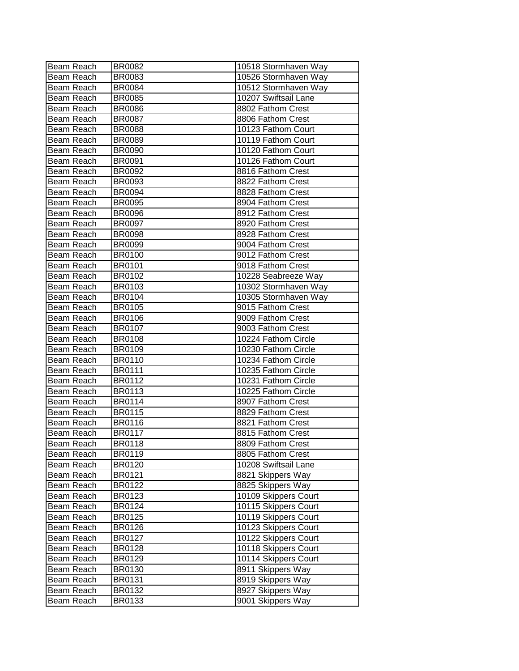| Beam Reach | <b>BR0082</b> | 10518 Stormhaven Way |
|------------|---------------|----------------------|
| Beam Reach | <b>BR0083</b> | 10526 Stormhaven Way |
| Beam Reach | <b>BR0084</b> | 10512 Stormhaven Way |
| Beam Reach | <b>BR0085</b> | 10207 Swiftsail Lane |
| Beam Reach | <b>BR0086</b> | 8802 Fathom Crest    |
| Beam Reach | <b>BR0087</b> | 8806 Fathom Crest    |
| Beam Reach | <b>BR0088</b> | 10123 Fathom Court   |
| Beam Reach | <b>BR0089</b> | 10119 Fathom Court   |
| Beam Reach | <b>BR0090</b> | 10120 Fathom Court   |
| Beam Reach | <b>BR0091</b> | 10126 Fathom Court   |
| Beam Reach | <b>BR0092</b> | 8816 Fathom Crest    |
| Beam Reach | <b>BR0093</b> | 8822 Fathom Crest    |
| Beam Reach | <b>BR0094</b> | 8828 Fathom Crest    |
| Beam Reach | <b>BR0095</b> | 8904 Fathom Crest    |
| Beam Reach | <b>BR0096</b> | 8912 Fathom Crest    |
| Beam Reach | <b>BR0097</b> | 8920 Fathom Crest    |
| Beam Reach | <b>BR0098</b> | 8928 Fathom Crest    |
| Beam Reach | <b>BR0099</b> | 9004 Fathom Crest    |
| Beam Reach | <b>BR0100</b> | 9012 Fathom Crest    |
| Beam Reach | <b>BR0101</b> | 9018 Fathom Crest    |
| Beam Reach | <b>BR0102</b> | 10228 Seabreeze Way  |
| Beam Reach | BR0103        | 10302 Stormhaven Way |
| Beam Reach | <b>BR0104</b> | 10305 Stormhaven Way |
| Beam Reach | <b>BR0105</b> | 9015 Fathom Crest    |
| Beam Reach | <b>BR0106</b> | 9009 Fathom Crest    |
| Beam Reach | <b>BR0107</b> | 9003 Fathom Crest    |
| Beam Reach | <b>BR0108</b> | 10224 Fathom Circle  |
| Beam Reach | <b>BR0109</b> | 10230 Fathom Circle  |
| Beam Reach | <b>BR0110</b> | 10234 Fathom Circle  |
| Beam Reach | <b>BR0111</b> | 10235 Fathom Circle  |
| Beam Reach | <b>BR0112</b> | 10231 Fathom Circle  |
| Beam Reach | <b>BR0113</b> | 10225 Fathom Circle  |
| Beam Reach | <b>BR0114</b> | 8907 Fathom Crest    |
| Beam Reach | <b>BR0115</b> | 8829 Fathom Crest    |
| Beam Reach | <b>BR0116</b> | 8821 Fathom Crest    |
| Beam Reach | <b>BR0117</b> | 8815 Fathom Crest    |
| Beam Reach | BR0118        | 8809 Fathom Crest    |
| Beam Reach | <b>BR0119</b> | 8805 Fathom Crest    |
| Beam Reach | <b>BR0120</b> | 10208 Swiftsail Lane |
| Beam Reach | <b>BR0121</b> | 8821 Skippers Way    |
| Beam Reach | <b>BR0122</b> | 8825 Skippers Way    |
| Beam Reach | BR0123        | 10109 Skippers Court |
| Beam Reach | BR0124        | 10115 Skippers Court |
| Beam Reach | <b>BR0125</b> | 10119 Skippers Court |
| Beam Reach | <b>BR0126</b> | 10123 Skippers Court |
| Beam Reach | <b>BR0127</b> | 10122 Skippers Court |
| Beam Reach | <b>BR0128</b> | 10118 Skippers Court |
| Beam Reach | <b>BR0129</b> | 10114 Skippers Court |
| Beam Reach | <b>BR0130</b> | 8911 Skippers Way    |
| Beam Reach | BR0131        | 8919 Skippers Way    |
| Beam Reach | <b>BR0132</b> | 8927 Skippers Way    |
| Beam Reach | BR0133        | 9001 Skippers Way    |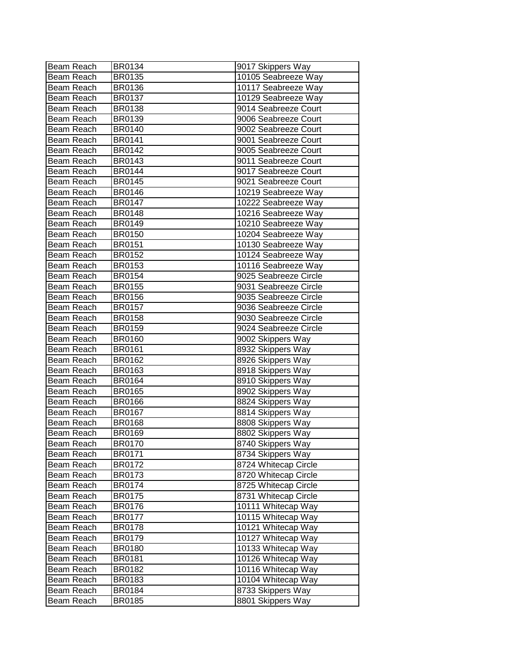| Beam Reach | <b>BR0134</b> | 9017 Skippers Way     |
|------------|---------------|-----------------------|
| Beam Reach | <b>BR0135</b> | 10105 Seabreeze Way   |
| Beam Reach | <b>BR0136</b> | 10117 Seabreeze Way   |
| Beam Reach | <b>BR0137</b> | 10129 Seabreeze Way   |
| Beam Reach | <b>BR0138</b> | 9014 Seabreeze Court  |
| Beam Reach | BR0139        | 9006 Seabreeze Court  |
| Beam Reach | <b>BR0140</b> | 9002 Seabreeze Court  |
| Beam Reach | BR0141        | 9001 Seabreeze Court  |
| Beam Reach | <b>BR0142</b> | 9005 Seabreeze Court  |
| Beam Reach | <b>BR0143</b> | 9011 Seabreeze Court  |
| Beam Reach | <b>BR0144</b> | 9017 Seabreeze Court  |
| Beam Reach | <b>BR0145</b> | 9021 Seabreeze Court  |
| Beam Reach | <b>BR0146</b> | 10219 Seabreeze Way   |
| Beam Reach | <b>BR0147</b> | 10222 Seabreeze Way   |
| Beam Reach | <b>BR0148</b> | 10216 Seabreeze Way   |
| Beam Reach | <b>BR0149</b> | 10210 Seabreeze Way   |
| Beam Reach | <b>BR0150</b> | 10204 Seabreeze Way   |
| Beam Reach | BR0151        | 10130 Seabreeze Way   |
| Beam Reach | BR0152        | 10124 Seabreeze Way   |
| Beam Reach | <b>BR0153</b> | 10116 Seabreeze Way   |
| Beam Reach | <b>BR0154</b> | 9025 Seabreeze Circle |
| Beam Reach | <b>BR0155</b> | 9031 Seabreeze Circle |
| Beam Reach | <b>BR0156</b> | 9035 Seabreeze Circle |
| Beam Reach | <b>BR0157</b> | 9036 Seabreeze Circle |
| Beam Reach | <b>BR0158</b> | 9030 Seabreeze Circle |
| Beam Reach | BR0159        | 9024 Seabreeze Circle |
| Beam Reach | <b>BR0160</b> | 9002 Skippers Way     |
| Beam Reach | <b>BR0161</b> | 8932 Skippers Way     |
| Beam Reach | <b>BR0162</b> | 8926 Skippers Way     |
| Beam Reach | BR0163        | 8918 Skippers Way     |
| Beam Reach | <b>BR0164</b> | 8910 Skippers Way     |
| Beam Reach | <b>BR0165</b> | 8902 Skippers Way     |
| Beam Reach | <b>BR0166</b> | 8824 Skippers Way     |
| Beam Reach | <b>BR0167</b> | 8814 Skippers Way     |
| Beam Reach | <b>BR0168</b> | 8808 Skippers Way     |
| Beam Reach | <b>BR0169</b> | 8802 Skippers Way     |
| Beam Reach | <b>BR0170</b> | 8740 Skippers Way     |
| Beam Reach | BR0171        | 8734 Skippers Way     |
| Beam Reach | <b>BR0172</b> | 8724 Whitecap Circle  |
| Beam Reach | <b>BR0173</b> | 8720 Whitecap Circle  |
| Beam Reach | <b>BR0174</b> | 8725 Whitecap Circle  |
| Beam Reach | <b>BR0175</b> | 8731 Whitecap Circle  |
| Beam Reach | <b>BR0176</b> | 10111 Whitecap Way    |
| Beam Reach | <b>BR0177</b> | 10115 Whitecap Way    |
| Beam Reach | <b>BR0178</b> | 10121 Whitecap Way    |
| Beam Reach | <b>BR0179</b> | 10127 Whitecap Way    |
| Beam Reach | <b>BR0180</b> | 10133 Whitecap Way    |
| Beam Reach | BR0181        | 10126 Whitecap Way    |
| Beam Reach | <b>BR0182</b> | 10116 Whitecap Way    |
| Beam Reach | BR0183        | 10104 Whitecap Way    |
| Beam Reach | BR0184        | 8733 Skippers Way     |
| Beam Reach | <b>BR0185</b> | 8801 Skippers Way     |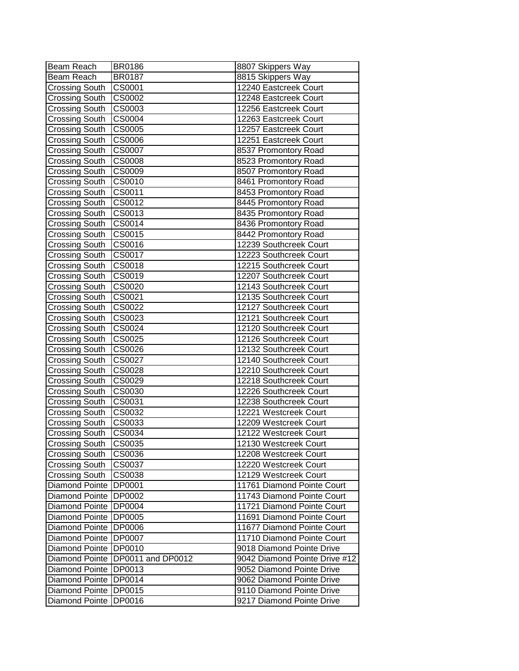| Beam Reach                              | <b>BR0186</b>     | 8807 Skippers Way                                   |
|-----------------------------------------|-------------------|-----------------------------------------------------|
| Beam Reach                              | <b>BR0187</b>     | 8815 Skippers Way                                   |
| Crossing South                          | CS0001            | 12240 Eastcreek Court                               |
| <b>Crossing South</b>                   | <b>CS0002</b>     | 12248 Eastcreek Court                               |
| <b>Crossing South</b>                   | CS0003            | 12256 Eastcreek Court                               |
| <b>Crossing South</b>                   | CS0004            | 12263 Eastcreek Court                               |
| <b>Crossing South</b>                   | CS0005            | 12257 Eastcreek Court                               |
| <b>Crossing South</b>                   | CS0006            | 12251 Eastcreek Court                               |
| <b>Crossing South</b>                   | <b>CS0007</b>     | 8537 Promontory Road                                |
| <b>Crossing South</b>                   | CS0008            | 8523 Promontory Road                                |
| <b>Crossing South</b>                   | CS0009            | 8507 Promontory Road                                |
| <b>Crossing South</b>                   | CS0010            | 8461 Promontory Road                                |
| <b>Crossing South</b>                   | CS0011            | 8453 Promontory Road                                |
| <b>Crossing South</b>                   | CS0012            | 8445 Promontory Road                                |
| <b>Crossing South</b>                   | CS0013            | 8435 Promontory Road                                |
| <b>Crossing South</b>                   | CS0014            | 8436 Promontory Road                                |
| <b>Crossing South</b>                   | CS0015            | 8442 Promontory Road                                |
| Crossing South                          | CS0016            | 12239 Southcreek Court                              |
| <b>Crossing South</b>                   | CS0017            | 12223 Southcreek Court                              |
| <b>Crossing South</b>                   | CS0018            | 12215 Southcreek Court                              |
| <b>Crossing South</b>                   | CS0019            | 12207 Southcreek Court                              |
| <b>Crossing South</b>                   | CS0020            | 12143 Southcreek Court                              |
| <b>Crossing South</b>                   | CS0021            | 12135 Southcreek Court                              |
| <b>Crossing South</b>                   | <b>CS0022</b>     | 12127 Southcreek Court                              |
| <b>Crossing South</b>                   | CS0023            | 12121 Southcreek Court                              |
| <b>Crossing South</b>                   | CS0024            | 12120 Southcreek Court                              |
| <b>Crossing South</b>                   | CS0025            | 12126 Southcreek Court                              |
| <b>Crossing South</b>                   | CS0026            | 12132 Southcreek Court                              |
| <b>Crossing South</b>                   | CS0027            | 12140 Southcreek Court                              |
| <b>Crossing South</b>                   | CS0028            | 12210 Southcreek Court                              |
| <b>Crossing South</b>                   | CS0029            | 12218 Southcreek Court                              |
| <b>Crossing South</b>                   | CS0030            | 12226 Southcreek Court                              |
| <b>Crossing South</b>                   | CS0031            | 12238 Southcreek Court                              |
| <b>Crossing South</b>                   | CS0032            | 12221 Westcreek Court                               |
| <b>Crossing South</b>                   | CS0033            | 12209 Westcreek Court                               |
| <b>Crossing South</b>                   | CS0034            | 12122 Westcreek Court                               |
|                                         | ICS0035           | 12130 Westcreek Court                               |
| Crossing South<br><b>Crossing South</b> | CS0036            | 12208 Westcreek Court                               |
| <b>Crossing South</b>                   | CS0037            | 12220 Westcreek Court                               |
|                                         | CS0038            |                                                     |
| <b>Crossing South</b><br>Diamond Pointe | <b>DP0001</b>     | 12129 Westcreek Court<br>11761 Diamond Pointe Court |
|                                         |                   |                                                     |
| <b>Diamond Pointe</b>                   | <b>DP0002</b>     | 11743 Diamond Pointe Court                          |
| Diamond Pointe                          | <b>DP0004</b>     | 11721 Diamond Pointe Court                          |
| Diamond Pointe                          | <b>DP0005</b>     | 11691 Diamond Pointe Court                          |
| <b>Diamond Pointe</b>                   | <b>DP0006</b>     | 11677 Diamond Pointe Court                          |
| Diamond Pointe                          | <b>DP0007</b>     | 11710 Diamond Pointe Court                          |
| Diamond Pointe                          | <b>DP0010</b>     | 9018 Diamond Pointe Drive                           |
| Diamond Pointe                          | DP0011 and DP0012 | 9042 Diamond Pointe Drive #12                       |
| Diamond Pointe                          | DP0013            | 9052 Diamond Pointe Drive                           |
| Diamond Pointe                          | DP0014            | 9062 Diamond Pointe Drive                           |
| Diamond Pointe                          | DP0015            | 9110 Diamond Pointe Drive                           |
| Diamond Pointe                          | DP0016            | 9217 Diamond Pointe Drive                           |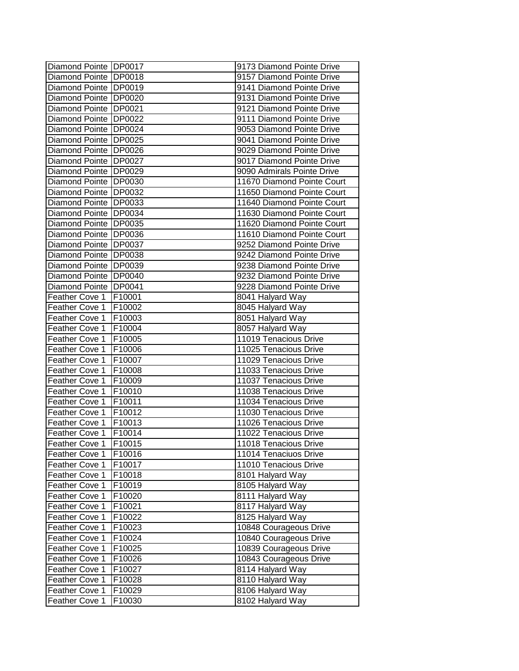| Diamond Pointe   DP0017 |         | 9173 Diamond Pointe Drive  |
|-------------------------|---------|----------------------------|
| Diamond Pointe DP0018   |         | 9157 Diamond Pointe Drive  |
| Diamond Pointe   DP0019 |         | 9141 Diamond Pointe Drive  |
| Diamond Pointe   DP0020 |         | 9131 Diamond Pointe Drive  |
| Diamond Pointe   DP0021 |         | 9121 Diamond Pointe Drive  |
| Diamond Pointe DP0022   |         | 9111 Diamond Pointe Drive  |
| Diamond Pointe DP0024   |         | 9053 Diamond Pointe Drive  |
| Diamond Pointe DP0025   |         | 9041 Diamond Pointe Drive  |
| Diamond Pointe DP0026   |         | 9029 Diamond Pointe Drive  |
| Diamond Pointe   DP0027 |         | 9017 Diamond Pointe Drive  |
| Diamond Pointe DP0029   |         | 9090 Admirals Pointe Drive |
| Diamond Pointe DP0030   |         | 11670 Diamond Pointe Court |
| Diamond Pointe   DP0032 |         | 11650 Diamond Pointe Court |
| Diamond Pointe   DP0033 |         | 11640 Diamond Pointe Court |
| Diamond Pointe   DP0034 |         | 11630 Diamond Pointe Court |
| Diamond Pointe   DP0035 |         | 11620 Diamond Pointe Court |
| Diamond Pointe DP0036   |         | 11610 Diamond Pointe Court |
| Diamond Pointe DP0037   |         | 9252 Diamond Pointe Drive  |
| Diamond Pointe   DP0038 |         | 9242 Diamond Pointe Drive  |
| Diamond Pointe IDP0039  |         | 9238 Diamond Pointe Drive  |
| Diamond Pointe   DP0040 |         | 9232 Diamond Pointe Drive  |
| Diamond Pointe   DP0041 |         | 9228 Diamond Pointe Drive  |
| Feather Cove 1          | F10001  | 8041 Halyard Way           |
| Feather Cove 1          | F10002  | 8045 Halyard Way           |
| Feather Cove 1          | F10003  | 8051 Halyard Way           |
| Feather Cove 1          | F10004  | 8057 Halyard Way           |
| Feather Cove 1          | F10005  | 11019 Tenacious Drive      |
| Feather Cove 1          | F10006  | 11025 Tenacious Drive      |
| Feather Cove 1          | F10007  | 11029 Tenacious Drive      |
| Feather Cove 1          | F10008  | 11033 Tenacious Drive      |
| Feather Cove 1          | F10009  | 11037 Tenacious Drive      |
| Feather Cove 1          | F10010  | 11038 Tenacious Drive      |
| Feather Cove 1          | F10011  | 11034 Tenacious Drive      |
| Feather Cove 1          | F10012  | 11030 Tenacious Drive      |
| Feather Cove 1          | F10013  | 11026 Tenacious Drive      |
| Feather Cove 1          | F10014  | 11022 Tenacious Drive      |
| Feather Cove 1          | F10015] | 11018 Tenacious Drive      |
| <b>Feather Cove 1</b>   | F10016  | 11014 Tenaciuos Drive      |
| Feather Cove 1          | F10017  | 11010 Tenacious Drive      |
| Feather Cove 1          | F10018  | 8101 Halyard Way           |
| Feather Cove 1          | F10019  | 8105 Halyard Way           |
| Feather Cove 1          | F10020  | 8111 Halyard Way           |
| Feather Cove 1          | F10021  | 8117 Halyard Way           |
| Feather Cove 1          | F10022  | 8125 Halyard Way           |
| Feather Cove 1          | F10023  | 10848 Courageous Drive     |
| Feather Cove 1          | F10024  | 10840 Courageous Drive     |
| Feather Cove 1          | F10025  | 10839 Courageous Drive     |
| Feather Cove 1          | F10026  | 10843 Courageous Drive     |
| Feather Cove 1          | F10027  | 8114 Halyard Way           |
| Feather Cove 1          | F10028  | 8110 Halyard Way           |
| Feather Cove 1          | F10029  | 8106 Halyard Way           |
| Feather Cove 1          | F10030  | 8102 Halyard Way           |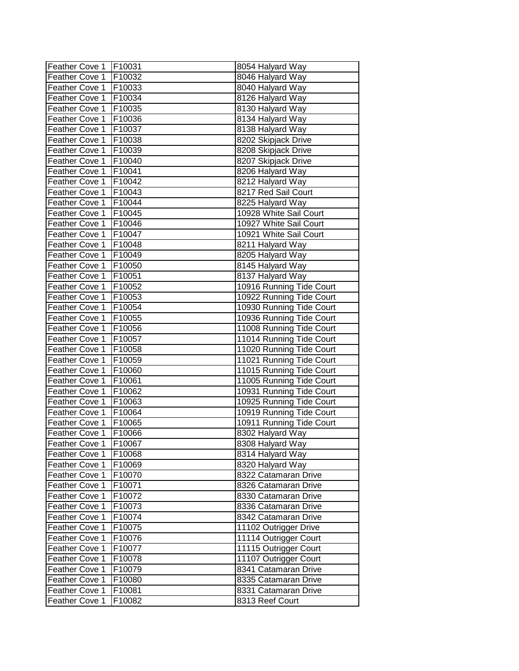| Feather Cove 1 | F10031 | 8054 Halyard Way         |
|----------------|--------|--------------------------|
| Feather Cove 1 | F10032 | 8046 Halyard Way         |
| Feather Cove 1 | F10033 | 8040 Halyard Way         |
| Feather Cove 1 | F10034 | 8126 Halyard Way         |
| Feather Cove 1 | F10035 | 8130 Halyard Way         |
| Feather Cove 1 | F10036 | 8134 Halyard Way         |
| Feather Cove 1 | F10037 | 8138 Halyard Way         |
| Feather Cove 1 | F10038 | 8202 Skipjack Drive      |
| Feather Cove 1 | F10039 | 8208 Skipjack Drive      |
| Feather Cove 1 | F10040 | 8207 Skipjack Drive      |
| Feather Cove 1 | F10041 | 8206 Halyard Way         |
| Feather Cove 1 | F10042 | 8212 Halyard Way         |
| Feather Cove 1 | F10043 | 8217 Red Sail Court      |
| Feather Cove 1 | F10044 | 8225 Halyard Way         |
| Feather Cove 1 | F10045 | 10928 White Sail Court   |
| Feather Cove 1 | F10046 | 10927 White Sail Court   |
| Feather Cove 1 | F10047 | 10921 White Sail Court   |
| Feather Cove 1 | F10048 | 8211 Halyard Way         |
| Feather Cove 1 | F10049 | 8205 Halyard Way         |
| Feather Cove 1 | F10050 | 8145 Halyard Way         |
| Feather Cove 1 | F10051 | 8137 Halyard Way         |
| Feather Cove 1 | F10052 | 10916 Running Tide Court |
| Feather Cove 1 | F10053 | 10922 Running Tide Court |
| Feather Cove 1 | F10054 | 10930 Running Tide Court |
| Feather Cove 1 | F10055 | 10936 Running Tide Court |
| Feather Cove 1 | F10056 | 11008 Running Tide Court |
| Feather Cove 1 | F10057 | 11014 Running Tide Court |
| Feather Cove 1 | F10058 | 11020 Running Tide Court |
| Feather Cove 1 | F10059 | 11021 Running Tide Court |
| Feather Cove 1 | F10060 | 11015 Running Tide Court |
| Feather Cove 1 | F10061 | 11005 Running Tide Court |
| Feather Cove 1 | F10062 | 10931 Running Tide Court |
| Feather Cove 1 | F10063 | 10925 Running Tide Court |
| Feather Cove 1 | F10064 | 10919 Running Tide Court |
| Feather Cove 1 | F10065 | 10911 Running Tide Court |
| Feather Cove 1 | F10066 | 8302 Halyard Way         |
| Feather Cove 1 | F10067 | 8308 Halyard Way         |
| Feather Cove 1 | F10068 | 8314 Halyard Way         |
| Feather Cove 1 | F10069 | 8320 Halyard Way         |
| Feather Cove 1 | F10070 | 8322 Catamaran Drive     |
| Feather Cove 1 | F10071 | 8326 Catamaran Drive     |
| Feather Cove 1 | F10072 | 8330 Catamaran Drive     |
| Feather Cove 1 | F10073 | 8336 Catamaran Drive     |
| Feather Cove 1 | F10074 | 8342 Catamaran Drive     |
| Feather Cove 1 | F10075 | 11102 Outrigger Drive    |
| Feather Cove 1 | F10076 | 11114 Outrigger Court    |
| Feather Cove 1 | F10077 | 11115 Outrigger Court    |
| Feather Cove 1 | F10078 | 11107 Outrigger Court    |
| Feather Cove 1 | F10079 | 8341 Catamaran Drive     |
| Feather Cove 1 | F10080 | 8335 Catamaran Drive     |
| Feather Cove 1 | F10081 | 8331 Catamaran Drive     |
| Feather Cove 1 | F10082 | 8313 Reef Court          |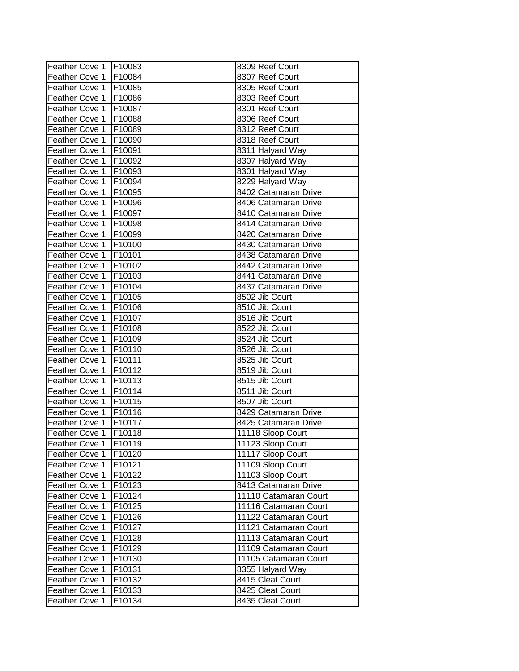| F10084<br>8307 Reef Court<br>Feather Cove 1<br>Feather Cove 1<br>F10085<br>8305 Reef Court<br>F10086<br>8303 Reef Court<br>Feather Cove 1<br>F10087<br>8301 Reef Court<br>Feather Cove 1<br>F10088<br>8306 Reef Court<br>F10089<br>8312 Reef Court<br>F10090<br>8318 Reef Court<br>F10091<br>8311 Halyard Way<br>F10092<br>8307 Halyard Way<br>F10093<br>8301 Halyard Way<br>F10094<br>8229 Halyard Way<br>F10095<br>8402 Catamaran Drive<br>F10096<br>8406 Catamaran Drive<br>Feather Cove 1<br>F10097<br>8410 Catamaran Drive<br>Feather Cove 1<br>F10098<br>8414 Catamaran Drive<br>Feather Cove 1<br>F10099<br>8420 Catamaran Drive<br>F10100<br>Feather Cove 1<br>8430 Catamaran Drive<br>Feather Cove 1<br>F10101<br>8438 Catamaran Drive<br>Feather Cove 1<br>F10102<br>8442 Catamaran Drive<br>Feather Cove 1<br>F10103<br>8441 Catamaran Drive<br>Feather Cove 1<br>F10104<br>8437 Catamaran Drive<br><b>Feather Cove 1</b><br>F10105<br>8502 Jib Court<br>F10106<br>8510 Jib Court<br>F10107<br>8516 Jib Court<br><b>Feather Cove 1</b><br>Feather Cove 1<br>F10108<br>8522 Jib Court<br>F10109<br>Feather Cove 1<br>8524 Jib Court<br>Feather Cove 1<br>F10110<br>8526 Jib Court<br>F10111<br>Feather Cove 1<br>8525 Jib Court<br>F10112<br>Feather Cove 1<br>8519 Jib Court<br>F10113<br>8515 Jib Court<br>Feather Cove 1<br>Feather Cove 1<br>F10114<br>8511 Jib Court<br>F10115<br>Feather Cove 1<br>8507 Jib Court<br>F10116<br>Feather Cove 1<br>8429 Catamaran Drive<br>F10117<br>Feather Cove 1<br>8425 Catamaran Drive<br>Feather Cove 1<br>F10118<br>11118 Sloop Court<br>11123 Sloop Court<br>F10119<br>Feather Cove 1<br>Feather Cove 1<br>11117 Sloop Court<br>F10120<br>F10121<br>Feather Cove 1<br>11109 Sloop Court<br>Feather Cove 1<br>F10122<br>11103 Sloop Court<br>Feather Cove 1<br>F10123<br>8413 Catamaran Drive<br>Feather Cove 1<br>F10124<br>11110 Catamaran Court<br>F10125<br>Feather Cove 1<br>11116 Catamaran Court<br>Feather Cove 1<br>F10126<br>11122 Catamaran Court<br>Feather Cove 1<br>F10127<br>11121 Catamaran Court<br>Feather Cove 1<br>F10128<br>11113 Catamaran Court<br>F10129<br>Feather Cove 1<br>11109 Catamaran Court<br>Feather Cove 1<br>F10130<br>11105 Catamaran Court<br>Feather Cove 1<br>F10131<br>8355 Halyard Way<br>8415 Cleat Court<br>Feather Cove 1<br>F10132<br>8425 Cleat Court<br>Feather Cove 1<br>F10133 | Feather Cove 1 | F10083 | 8309 Reef Court  |
|---------------------------------------------------------------------------------------------------------------------------------------------------------------------------------------------------------------------------------------------------------------------------------------------------------------------------------------------------------------------------------------------------------------------------------------------------------------------------------------------------------------------------------------------------------------------------------------------------------------------------------------------------------------------------------------------------------------------------------------------------------------------------------------------------------------------------------------------------------------------------------------------------------------------------------------------------------------------------------------------------------------------------------------------------------------------------------------------------------------------------------------------------------------------------------------------------------------------------------------------------------------------------------------------------------------------------------------------------------------------------------------------------------------------------------------------------------------------------------------------------------------------------------------------------------------------------------------------------------------------------------------------------------------------------------------------------------------------------------------------------------------------------------------------------------------------------------------------------------------------------------------------------------------------------------------------------------------------------------------------------------------------------------------------------------------------------------------------------------------------------------------------------------------------------------------------------------------------------------------------------------------------------------------------------------------------------------------------------------------------------------------|----------------|--------|------------------|
|                                                                                                                                                                                                                                                                                                                                                                                                                                                                                                                                                                                                                                                                                                                                                                                                                                                                                                                                                                                                                                                                                                                                                                                                                                                                                                                                                                                                                                                                                                                                                                                                                                                                                                                                                                                                                                                                                                                                                                                                                                                                                                                                                                                                                                                                                                                                                                                       |                |        |                  |
|                                                                                                                                                                                                                                                                                                                                                                                                                                                                                                                                                                                                                                                                                                                                                                                                                                                                                                                                                                                                                                                                                                                                                                                                                                                                                                                                                                                                                                                                                                                                                                                                                                                                                                                                                                                                                                                                                                                                                                                                                                                                                                                                                                                                                                                                                                                                                                                       |                |        |                  |
|                                                                                                                                                                                                                                                                                                                                                                                                                                                                                                                                                                                                                                                                                                                                                                                                                                                                                                                                                                                                                                                                                                                                                                                                                                                                                                                                                                                                                                                                                                                                                                                                                                                                                                                                                                                                                                                                                                                                                                                                                                                                                                                                                                                                                                                                                                                                                                                       | Feather Cove 1 |        |                  |
|                                                                                                                                                                                                                                                                                                                                                                                                                                                                                                                                                                                                                                                                                                                                                                                                                                                                                                                                                                                                                                                                                                                                                                                                                                                                                                                                                                                                                                                                                                                                                                                                                                                                                                                                                                                                                                                                                                                                                                                                                                                                                                                                                                                                                                                                                                                                                                                       |                |        |                  |
|                                                                                                                                                                                                                                                                                                                                                                                                                                                                                                                                                                                                                                                                                                                                                                                                                                                                                                                                                                                                                                                                                                                                                                                                                                                                                                                                                                                                                                                                                                                                                                                                                                                                                                                                                                                                                                                                                                                                                                                                                                                                                                                                                                                                                                                                                                                                                                                       |                |        |                  |
|                                                                                                                                                                                                                                                                                                                                                                                                                                                                                                                                                                                                                                                                                                                                                                                                                                                                                                                                                                                                                                                                                                                                                                                                                                                                                                                                                                                                                                                                                                                                                                                                                                                                                                                                                                                                                                                                                                                                                                                                                                                                                                                                                                                                                                                                                                                                                                                       | Feather Cove 1 |        |                  |
|                                                                                                                                                                                                                                                                                                                                                                                                                                                                                                                                                                                                                                                                                                                                                                                                                                                                                                                                                                                                                                                                                                                                                                                                                                                                                                                                                                                                                                                                                                                                                                                                                                                                                                                                                                                                                                                                                                                                                                                                                                                                                                                                                                                                                                                                                                                                                                                       | Feather Cove 1 |        |                  |
|                                                                                                                                                                                                                                                                                                                                                                                                                                                                                                                                                                                                                                                                                                                                                                                                                                                                                                                                                                                                                                                                                                                                                                                                                                                                                                                                                                                                                                                                                                                                                                                                                                                                                                                                                                                                                                                                                                                                                                                                                                                                                                                                                                                                                                                                                                                                                                                       | Feather Cove 1 |        |                  |
|                                                                                                                                                                                                                                                                                                                                                                                                                                                                                                                                                                                                                                                                                                                                                                                                                                                                                                                                                                                                                                                                                                                                                                                                                                                                                                                                                                                                                                                                                                                                                                                                                                                                                                                                                                                                                                                                                                                                                                                                                                                                                                                                                                                                                                                                                                                                                                                       | Feather Cove 1 |        |                  |
|                                                                                                                                                                                                                                                                                                                                                                                                                                                                                                                                                                                                                                                                                                                                                                                                                                                                                                                                                                                                                                                                                                                                                                                                                                                                                                                                                                                                                                                                                                                                                                                                                                                                                                                                                                                                                                                                                                                                                                                                                                                                                                                                                                                                                                                                                                                                                                                       | Feather Cove 1 |        |                  |
|                                                                                                                                                                                                                                                                                                                                                                                                                                                                                                                                                                                                                                                                                                                                                                                                                                                                                                                                                                                                                                                                                                                                                                                                                                                                                                                                                                                                                                                                                                                                                                                                                                                                                                                                                                                                                                                                                                                                                                                                                                                                                                                                                                                                                                                                                                                                                                                       | Feather Cove 1 |        |                  |
|                                                                                                                                                                                                                                                                                                                                                                                                                                                                                                                                                                                                                                                                                                                                                                                                                                                                                                                                                                                                                                                                                                                                                                                                                                                                                                                                                                                                                                                                                                                                                                                                                                                                                                                                                                                                                                                                                                                                                                                                                                                                                                                                                                                                                                                                                                                                                                                       | Feather Cove 1 |        |                  |
|                                                                                                                                                                                                                                                                                                                                                                                                                                                                                                                                                                                                                                                                                                                                                                                                                                                                                                                                                                                                                                                                                                                                                                                                                                                                                                                                                                                                                                                                                                                                                                                                                                                                                                                                                                                                                                                                                                                                                                                                                                                                                                                                                                                                                                                                                                                                                                                       |                |        |                  |
|                                                                                                                                                                                                                                                                                                                                                                                                                                                                                                                                                                                                                                                                                                                                                                                                                                                                                                                                                                                                                                                                                                                                                                                                                                                                                                                                                                                                                                                                                                                                                                                                                                                                                                                                                                                                                                                                                                                                                                                                                                                                                                                                                                                                                                                                                                                                                                                       |                |        |                  |
|                                                                                                                                                                                                                                                                                                                                                                                                                                                                                                                                                                                                                                                                                                                                                                                                                                                                                                                                                                                                                                                                                                                                                                                                                                                                                                                                                                                                                                                                                                                                                                                                                                                                                                                                                                                                                                                                                                                                                                                                                                                                                                                                                                                                                                                                                                                                                                                       | Feather Cove 1 |        |                  |
|                                                                                                                                                                                                                                                                                                                                                                                                                                                                                                                                                                                                                                                                                                                                                                                                                                                                                                                                                                                                                                                                                                                                                                                                                                                                                                                                                                                                                                                                                                                                                                                                                                                                                                                                                                                                                                                                                                                                                                                                                                                                                                                                                                                                                                                                                                                                                                                       |                |        |                  |
|                                                                                                                                                                                                                                                                                                                                                                                                                                                                                                                                                                                                                                                                                                                                                                                                                                                                                                                                                                                                                                                                                                                                                                                                                                                                                                                                                                                                                                                                                                                                                                                                                                                                                                                                                                                                                                                                                                                                                                                                                                                                                                                                                                                                                                                                                                                                                                                       |                |        |                  |
|                                                                                                                                                                                                                                                                                                                                                                                                                                                                                                                                                                                                                                                                                                                                                                                                                                                                                                                                                                                                                                                                                                                                                                                                                                                                                                                                                                                                                                                                                                                                                                                                                                                                                                                                                                                                                                                                                                                                                                                                                                                                                                                                                                                                                                                                                                                                                                                       |                |        |                  |
|                                                                                                                                                                                                                                                                                                                                                                                                                                                                                                                                                                                                                                                                                                                                                                                                                                                                                                                                                                                                                                                                                                                                                                                                                                                                                                                                                                                                                                                                                                                                                                                                                                                                                                                                                                                                                                                                                                                                                                                                                                                                                                                                                                                                                                                                                                                                                                                       |                |        |                  |
|                                                                                                                                                                                                                                                                                                                                                                                                                                                                                                                                                                                                                                                                                                                                                                                                                                                                                                                                                                                                                                                                                                                                                                                                                                                                                                                                                                                                                                                                                                                                                                                                                                                                                                                                                                                                                                                                                                                                                                                                                                                                                                                                                                                                                                                                                                                                                                                       |                |        |                  |
|                                                                                                                                                                                                                                                                                                                                                                                                                                                                                                                                                                                                                                                                                                                                                                                                                                                                                                                                                                                                                                                                                                                                                                                                                                                                                                                                                                                                                                                                                                                                                                                                                                                                                                                                                                                                                                                                                                                                                                                                                                                                                                                                                                                                                                                                                                                                                                                       |                |        |                  |
|                                                                                                                                                                                                                                                                                                                                                                                                                                                                                                                                                                                                                                                                                                                                                                                                                                                                                                                                                                                                                                                                                                                                                                                                                                                                                                                                                                                                                                                                                                                                                                                                                                                                                                                                                                                                                                                                                                                                                                                                                                                                                                                                                                                                                                                                                                                                                                                       |                |        |                  |
|                                                                                                                                                                                                                                                                                                                                                                                                                                                                                                                                                                                                                                                                                                                                                                                                                                                                                                                                                                                                                                                                                                                                                                                                                                                                                                                                                                                                                                                                                                                                                                                                                                                                                                                                                                                                                                                                                                                                                                                                                                                                                                                                                                                                                                                                                                                                                                                       | Feather Cove 1 |        |                  |
|                                                                                                                                                                                                                                                                                                                                                                                                                                                                                                                                                                                                                                                                                                                                                                                                                                                                                                                                                                                                                                                                                                                                                                                                                                                                                                                                                                                                                                                                                                                                                                                                                                                                                                                                                                                                                                                                                                                                                                                                                                                                                                                                                                                                                                                                                                                                                                                       |                |        |                  |
|                                                                                                                                                                                                                                                                                                                                                                                                                                                                                                                                                                                                                                                                                                                                                                                                                                                                                                                                                                                                                                                                                                                                                                                                                                                                                                                                                                                                                                                                                                                                                                                                                                                                                                                                                                                                                                                                                                                                                                                                                                                                                                                                                                                                                                                                                                                                                                                       |                |        |                  |
|                                                                                                                                                                                                                                                                                                                                                                                                                                                                                                                                                                                                                                                                                                                                                                                                                                                                                                                                                                                                                                                                                                                                                                                                                                                                                                                                                                                                                                                                                                                                                                                                                                                                                                                                                                                                                                                                                                                                                                                                                                                                                                                                                                                                                                                                                                                                                                                       |                |        |                  |
|                                                                                                                                                                                                                                                                                                                                                                                                                                                                                                                                                                                                                                                                                                                                                                                                                                                                                                                                                                                                                                                                                                                                                                                                                                                                                                                                                                                                                                                                                                                                                                                                                                                                                                                                                                                                                                                                                                                                                                                                                                                                                                                                                                                                                                                                                                                                                                                       |                |        |                  |
|                                                                                                                                                                                                                                                                                                                                                                                                                                                                                                                                                                                                                                                                                                                                                                                                                                                                                                                                                                                                                                                                                                                                                                                                                                                                                                                                                                                                                                                                                                                                                                                                                                                                                                                                                                                                                                                                                                                                                                                                                                                                                                                                                                                                                                                                                                                                                                                       |                |        |                  |
|                                                                                                                                                                                                                                                                                                                                                                                                                                                                                                                                                                                                                                                                                                                                                                                                                                                                                                                                                                                                                                                                                                                                                                                                                                                                                                                                                                                                                                                                                                                                                                                                                                                                                                                                                                                                                                                                                                                                                                                                                                                                                                                                                                                                                                                                                                                                                                                       |                |        |                  |
|                                                                                                                                                                                                                                                                                                                                                                                                                                                                                                                                                                                                                                                                                                                                                                                                                                                                                                                                                                                                                                                                                                                                                                                                                                                                                                                                                                                                                                                                                                                                                                                                                                                                                                                                                                                                                                                                                                                                                                                                                                                                                                                                                                                                                                                                                                                                                                                       |                |        |                  |
|                                                                                                                                                                                                                                                                                                                                                                                                                                                                                                                                                                                                                                                                                                                                                                                                                                                                                                                                                                                                                                                                                                                                                                                                                                                                                                                                                                                                                                                                                                                                                                                                                                                                                                                                                                                                                                                                                                                                                                                                                                                                                                                                                                                                                                                                                                                                                                                       |                |        |                  |
|                                                                                                                                                                                                                                                                                                                                                                                                                                                                                                                                                                                                                                                                                                                                                                                                                                                                                                                                                                                                                                                                                                                                                                                                                                                                                                                                                                                                                                                                                                                                                                                                                                                                                                                                                                                                                                                                                                                                                                                                                                                                                                                                                                                                                                                                                                                                                                                       |                |        |                  |
|                                                                                                                                                                                                                                                                                                                                                                                                                                                                                                                                                                                                                                                                                                                                                                                                                                                                                                                                                                                                                                                                                                                                                                                                                                                                                                                                                                                                                                                                                                                                                                                                                                                                                                                                                                                                                                                                                                                                                                                                                                                                                                                                                                                                                                                                                                                                                                                       |                |        |                  |
|                                                                                                                                                                                                                                                                                                                                                                                                                                                                                                                                                                                                                                                                                                                                                                                                                                                                                                                                                                                                                                                                                                                                                                                                                                                                                                                                                                                                                                                                                                                                                                                                                                                                                                                                                                                                                                                                                                                                                                                                                                                                                                                                                                                                                                                                                                                                                                                       |                |        |                  |
|                                                                                                                                                                                                                                                                                                                                                                                                                                                                                                                                                                                                                                                                                                                                                                                                                                                                                                                                                                                                                                                                                                                                                                                                                                                                                                                                                                                                                                                                                                                                                                                                                                                                                                                                                                                                                                                                                                                                                                                                                                                                                                                                                                                                                                                                                                                                                                                       |                |        |                  |
|                                                                                                                                                                                                                                                                                                                                                                                                                                                                                                                                                                                                                                                                                                                                                                                                                                                                                                                                                                                                                                                                                                                                                                                                                                                                                                                                                                                                                                                                                                                                                                                                                                                                                                                                                                                                                                                                                                                                                                                                                                                                                                                                                                                                                                                                                                                                                                                       |                |        |                  |
|                                                                                                                                                                                                                                                                                                                                                                                                                                                                                                                                                                                                                                                                                                                                                                                                                                                                                                                                                                                                                                                                                                                                                                                                                                                                                                                                                                                                                                                                                                                                                                                                                                                                                                                                                                                                                                                                                                                                                                                                                                                                                                                                                                                                                                                                                                                                                                                       |                |        |                  |
|                                                                                                                                                                                                                                                                                                                                                                                                                                                                                                                                                                                                                                                                                                                                                                                                                                                                                                                                                                                                                                                                                                                                                                                                                                                                                                                                                                                                                                                                                                                                                                                                                                                                                                                                                                                                                                                                                                                                                                                                                                                                                                                                                                                                                                                                                                                                                                                       |                |        |                  |
|                                                                                                                                                                                                                                                                                                                                                                                                                                                                                                                                                                                                                                                                                                                                                                                                                                                                                                                                                                                                                                                                                                                                                                                                                                                                                                                                                                                                                                                                                                                                                                                                                                                                                                                                                                                                                                                                                                                                                                                                                                                                                                                                                                                                                                                                                                                                                                                       |                |        |                  |
|                                                                                                                                                                                                                                                                                                                                                                                                                                                                                                                                                                                                                                                                                                                                                                                                                                                                                                                                                                                                                                                                                                                                                                                                                                                                                                                                                                                                                                                                                                                                                                                                                                                                                                                                                                                                                                                                                                                                                                                                                                                                                                                                                                                                                                                                                                                                                                                       |                |        |                  |
|                                                                                                                                                                                                                                                                                                                                                                                                                                                                                                                                                                                                                                                                                                                                                                                                                                                                                                                                                                                                                                                                                                                                                                                                                                                                                                                                                                                                                                                                                                                                                                                                                                                                                                                                                                                                                                                                                                                                                                                                                                                                                                                                                                                                                                                                                                                                                                                       |                |        |                  |
|                                                                                                                                                                                                                                                                                                                                                                                                                                                                                                                                                                                                                                                                                                                                                                                                                                                                                                                                                                                                                                                                                                                                                                                                                                                                                                                                                                                                                                                                                                                                                                                                                                                                                                                                                                                                                                                                                                                                                                                                                                                                                                                                                                                                                                                                                                                                                                                       |                |        |                  |
|                                                                                                                                                                                                                                                                                                                                                                                                                                                                                                                                                                                                                                                                                                                                                                                                                                                                                                                                                                                                                                                                                                                                                                                                                                                                                                                                                                                                                                                                                                                                                                                                                                                                                                                                                                                                                                                                                                                                                                                                                                                                                                                                                                                                                                                                                                                                                                                       |                |        |                  |
|                                                                                                                                                                                                                                                                                                                                                                                                                                                                                                                                                                                                                                                                                                                                                                                                                                                                                                                                                                                                                                                                                                                                                                                                                                                                                                                                                                                                                                                                                                                                                                                                                                                                                                                                                                                                                                                                                                                                                                                                                                                                                                                                                                                                                                                                                                                                                                                       |                |        |                  |
|                                                                                                                                                                                                                                                                                                                                                                                                                                                                                                                                                                                                                                                                                                                                                                                                                                                                                                                                                                                                                                                                                                                                                                                                                                                                                                                                                                                                                                                                                                                                                                                                                                                                                                                                                                                                                                                                                                                                                                                                                                                                                                                                                                                                                                                                                                                                                                                       |                |        |                  |
|                                                                                                                                                                                                                                                                                                                                                                                                                                                                                                                                                                                                                                                                                                                                                                                                                                                                                                                                                                                                                                                                                                                                                                                                                                                                                                                                                                                                                                                                                                                                                                                                                                                                                                                                                                                                                                                                                                                                                                                                                                                                                                                                                                                                                                                                                                                                                                                       |                |        |                  |
|                                                                                                                                                                                                                                                                                                                                                                                                                                                                                                                                                                                                                                                                                                                                                                                                                                                                                                                                                                                                                                                                                                                                                                                                                                                                                                                                                                                                                                                                                                                                                                                                                                                                                                                                                                                                                                                                                                                                                                                                                                                                                                                                                                                                                                                                                                                                                                                       |                |        |                  |
|                                                                                                                                                                                                                                                                                                                                                                                                                                                                                                                                                                                                                                                                                                                                                                                                                                                                                                                                                                                                                                                                                                                                                                                                                                                                                                                                                                                                                                                                                                                                                                                                                                                                                                                                                                                                                                                                                                                                                                                                                                                                                                                                                                                                                                                                                                                                                                                       |                |        |                  |
|                                                                                                                                                                                                                                                                                                                                                                                                                                                                                                                                                                                                                                                                                                                                                                                                                                                                                                                                                                                                                                                                                                                                                                                                                                                                                                                                                                                                                                                                                                                                                                                                                                                                                                                                                                                                                                                                                                                                                                                                                                                                                                                                                                                                                                                                                                                                                                                       |                |        |                  |
|                                                                                                                                                                                                                                                                                                                                                                                                                                                                                                                                                                                                                                                                                                                                                                                                                                                                                                                                                                                                                                                                                                                                                                                                                                                                                                                                                                                                                                                                                                                                                                                                                                                                                                                                                                                                                                                                                                                                                                                                                                                                                                                                                                                                                                                                                                                                                                                       |                |        |                  |
|                                                                                                                                                                                                                                                                                                                                                                                                                                                                                                                                                                                                                                                                                                                                                                                                                                                                                                                                                                                                                                                                                                                                                                                                                                                                                                                                                                                                                                                                                                                                                                                                                                                                                                                                                                                                                                                                                                                                                                                                                                                                                                                                                                                                                                                                                                                                                                                       | Feather Cove 1 | F10134 | 8435 Cleat Court |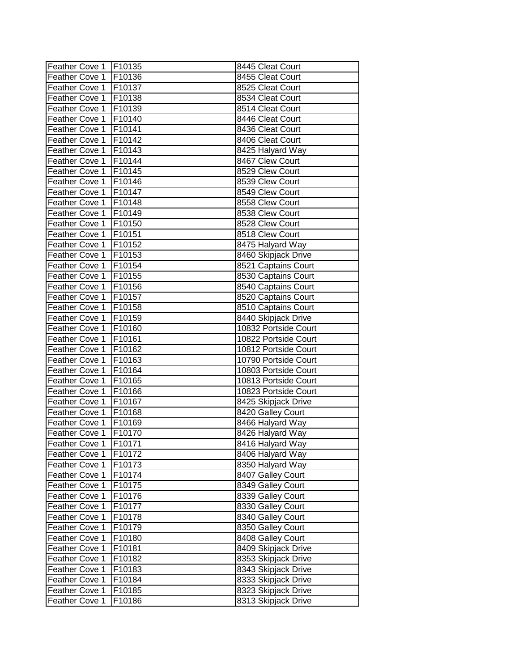| Feather Cove 1   F10135 |                    | 8445 Cleat Court     |
|-------------------------|--------------------|----------------------|
| Feather Cove 1          | F10136             | 8455 Cleat Court     |
| Feather Cove 1          | <b>F10137</b>      | 8525 Cleat Court     |
| Feather Cove 1          | F10138             | 8534 Cleat Court     |
| <b>Feather Cove 1</b>   | F10139             | 8514 Cleat Court     |
| Feather Cove 1          | F10140             | 8446 Cleat Court     |
| Feather Cove 1          | F10141             | 8436 Cleat Court     |
| Feather Cove 1          | F10142             | 8406 Cleat Court     |
| Feather Cove 1          | F10143             | 8425 Halyard Way     |
| Feather Cove 1          | F10144             | 8467 Clew Court      |
| Feather Cove 1          | F10145             | 8529 Clew Court      |
| Feather Cove 1          | F10146             | 8539 Clew Court      |
| Feather Cove 1          | F10147             | 8549 Clew Court      |
| Feather Cove 1          | F10148             | 8558 Clew Court      |
| Feather Cove 1          | F10149             | 8538 Clew Court      |
| Feather Cove 1          | F10150             | 8528 Clew Court      |
| Feather Cove 1          | F10151             | 8518 Clew Court      |
| Feather Cove 1          | F10152             | 8475 Halyard Way     |
| Feather Cove 1          | F10153             | 8460 Skipjack Drive  |
| Feather Cove 1          | F10154             | 8521 Captains Court  |
| Feather Cove 1          | F10155             | 8530 Captains Court  |
| <b>Feather Cove 1</b>   | F10156             | 8540 Captains Court  |
| <b>Feather Cove 1</b>   | F10157             | 8520 Captains Court  |
| Feather Cove 1          | F10158             | 8510 Captains Court  |
| Feather Cove 1          | F10159             | 8440 Skipjack Drive  |
| Feather Cove 1          | F10160             | 10832 Portside Court |
| Feather Cove 1          | F10161             | 10822 Portside Court |
| Feather Cove 1          | F10162             | 10812 Portside Court |
| Feather Cove 1          | F10163             | 10790 Portside Court |
| Feather Cove 1          | F10164             | 10803 Portside Court |
| Feather Cove 1          | F10165             | 10813 Portside Court |
| Feather Cove 1          | F10166             | 10823 Portside Court |
| Feather Cove 1          | F10167             | 8425 Skipjack Drive  |
| Feather Cove 1          | F10168             | 8420 Galley Court    |
| Feather Cove 1          | F10169             | 8466 Halyard Way     |
| <b>Feather Cove 1</b>   | F10170             | 8426 Halyard Way     |
| [Feather Cove 1         | [F10171            | 8416 Halyard Way     |
| Feather Cove 1          | F10172             | 8406 Halyard Way     |
| Feather Cove 1          | F10173             | 8350 Halyard Way     |
| Feather Cove 1          | F10174             | 8407 Galley Court    |
| Feather Cove 1          | F <sub>10175</sub> | 8349 Galley Court    |
| Feather Cove 1          | F10176             | 8339 Galley Court    |
| Feather Cove 1          | F10177             | 8330 Galley Court    |
| Feather Cove 1          | F10178             | 8340 Galley Court    |
| Feather Cove 1          | F10179             | 8350 Galley Court    |
| Feather Cove 1          | F10180             | 8408 Galley Court    |
| Feather Cove 1          | F10181             | 8409 Skipjack Drive  |
| Feather Cove 1          | F10182             | 8353 Skipjack Drive  |
| Feather Cove 1          | F10183             | 8343 Skipjack Drive  |
| Feather Cove 1          | F10184             | 8333 Skipjack Drive  |
| Feather Cove 1          | F10185             | 8323 Skipjack Drive  |
| Feather Cove 1          | F10186             | 8313 Skipjack Drive  |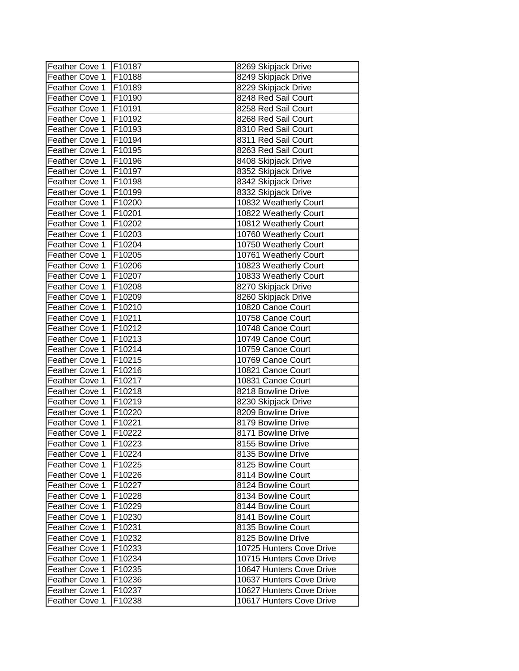| Feather Cove 1   F10187 |         | 8269 Skipjack Drive      |
|-------------------------|---------|--------------------------|
| Feather Cove 1          | F10188  | 8249 Skipjack Drive      |
| Feather Cove 1          | F10189  | 8229 Skipjack Drive      |
| Feather Cove 1          | F10190  | 8248 Red Sail Court      |
| Feather Cove 1          | F10191  | 8258 Red Sail Court      |
| Feather Cove 1          | F10192  | 8268 Red Sail Court      |
| Feather Cove 1          | F10193  | 8310 Red Sail Court      |
| Feather Cove 1          | F10194  | 8311 Red Sail Court      |
| Feather Cove 1          | F10195  | 8263 Red Sail Court      |
| Feather Cove 1          | F10196  | 8408 Skipjack Drive      |
| Feather Cove 1          | F10197  | 8352 Skipjack Drive      |
| Feather Cove 1          | F10198  | 8342 Skipjack Drive      |
| Feather Cove 1          | F10199  | 8332 Skipjack Drive      |
| Feather Cove 1          | F10200  | 10832 Weatherly Court    |
| Feather Cove 1          | F10201  | 10822 Weatherly Court    |
| Feather Cove 1          | F10202  | 10812 Weatherly Court    |
| Feather Cove 1          | F10203  | 10760 Weatherly Court    |
| Feather Cove 1          | F10204  | 10750 Weatherly Court    |
| Feather Cove 1          | F10205  | 10761 Weatherly Court    |
| Feather Cove 1          | F10206  | 10823 Weatherly Court    |
| Feather Cove 1          | F10207  | 10833 Weatherly Court    |
| Feather Cove 1          | F10208  | 8270 Skipjack Drive      |
| Feather Cove 1          | F10209  | 8260 Skipjack Drive      |
| Feather Cove 1          | F10210  | 10820 Canoe Court        |
| Feather Cove 1          | F10211  | 10758 Canoe Court        |
| Feather Cove 1          | F10212  | 10748 Canoe Court        |
| Feather Cove 1          | F10213  | 10749 Canoe Court        |
| Feather Cove 1          | F10214  | 10759 Canoe Court        |
| Feather Cove 1          | F10215  | 10769 Canoe Court        |
| Feather Cove 1          | F10216  | 10821 Canoe Court        |
| Feather Cove 1          | F10217  | 10831 Canoe Court        |
| Feather Cove 1          | F10218  | 8218 Bowline Drive       |
| Feather Cove 1          | F10219  | 8230 Skipjack Drive      |
| Feather Cove 1          | F10220  | 8209 Bowline Drive       |
| Feather Cove 1          | F10221  | 8179 Bowline Drive       |
| <b>Feather Cove 1</b>   | F10222  | 8171 Bowline Drive       |
| [Feather Cove 1         | IF10223 | 8155 Bowline Drive       |
| Feather Cove 1          | F10224  | 8135 Bowline Drive       |
| Feather Cove 1          | F10225  | 8125 Bowline Court       |
| Feather Cove 1          | F10226  | 8114 Bowline Court       |
| Feather Cove 1          | F10227  | 8124 Bowline Court       |
| Feather Cove 1          | F10228  | 8134 Bowline Court       |
| Feather Cove 1          | F10229  | 8144 Bowline Court       |
| <b>Feather Cove 1</b>   | F10230  | 8141 Bowline Court       |
| Feather Cove 1          | F10231  | 8135 Bowline Court       |
| <b>Feather Cove 1</b>   | F10232  | 8125 Bowline Drive       |
| <b>Feather Cove 1</b>   | F10233  | 10725 Hunters Cove Drive |
| <b>Feather Cove 1</b>   | F10234  | 10715 Hunters Cove Drive |
| Feather Cove 1          | F10235  | 10647 Hunters Cove Drive |
| <b>Feather Cove 1</b>   | F10236  | 10637 Hunters Cove Drive |
| Feather Cove 1          | F10237  | 10627 Hunters Cove Drive |
| Feather Cove 1          | F10238  | 10617 Hunters Cove Drive |
|                         |         |                          |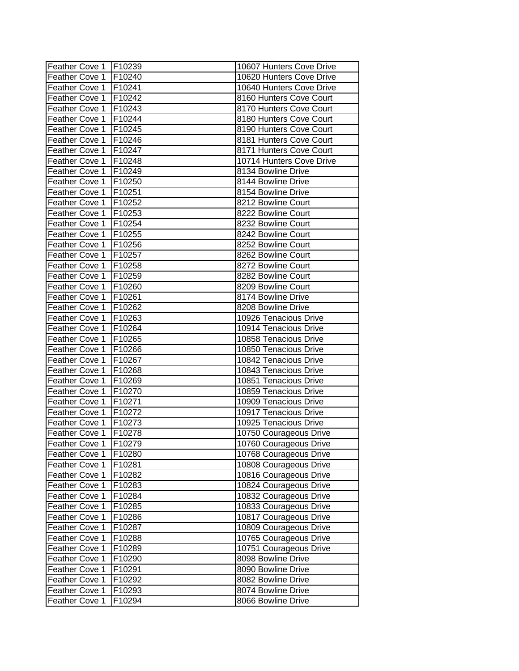| Feather Cove 1        | F10239 | 10607 Hunters Cove Drive |
|-----------------------|--------|--------------------------|
| Feather Cove 1        | F10240 | 10620 Hunters Cove Drive |
| Feather Cove 1        | F10241 | 10640 Hunters Cove Drive |
| <b>Feather Cove 1</b> | F10242 | 8160 Hunters Cove Court  |
| Feather Cove 1        | F10243 | 8170 Hunters Cove Court  |
| Feather Cove 1        | F10244 | 8180 Hunters Cove Court  |
| Feather Cove 1        | F10245 | 8190 Hunters Cove Court  |
| Feather Cove 1        | F10246 | 8181 Hunters Cove Court  |
| Feather Cove 1        | F10247 | 8171 Hunters Cove Court  |
| Feather Cove 1        | F10248 | 10714 Hunters Cove Drive |
| Feather Cove 1        | F10249 | 8134 Bowline Drive       |
| Feather Cove 1        | F10250 | 8144 Bowline Drive       |
| Feather Cove 1        | F10251 | 8154 Bowline Drive       |
| Feather Cove 1        | F10252 | 8212 Bowline Court       |
| Feather Cove 1        | F10253 | 8222 Bowline Court       |
| Feather Cove 1        | F10254 | 8232 Bowline Court       |
| Feather Cove 1        | F10255 | 8242 Bowline Court       |
| <b>Feather Cove 1</b> | F10256 | 8252 Bowline Court       |
| Feather Cove 1        | F10257 | 8262 Bowline Court       |
| Feather Cove 1        | F10258 | 8272 Bowline Court       |
| Feather Cove 1        | F10259 | 8282 Bowline Court       |
| <b>Feather Cove 1</b> | F10260 | 8209 Bowline Court       |
| <b>Feather Cove 1</b> | F10261 | 8174 Bowline Drive       |
| Feather Cove 1        | F10262 | 8208 Bowline Drive       |
| Feather Cove 1        | F10263 | 10926 Tenacious Drive    |
| Feather Cove 1        | F10264 | 10914 Tenacious Drive    |
| Feather Cove 1        | F10265 | 10858 Tenacious Drive    |
| Feather Cove 1        | F10266 | 10850 Tenacious Drive    |
| Feather Cove 1        | F10267 | 10842 Tenacious Drive    |
| <b>Feather Cove 1</b> | F10268 | 10843 Tenacious Drive    |
| <b>Feather Cove 1</b> | F10269 | 10851 Tenacious Drive    |
| Feather Cove 1        | F10270 | 10859 Tenacious Drive    |
| Feather Cove 1        | F10271 | 10909 Tenacious Drive    |
| Feather Cove 1        | F10272 | 10917 Tenacious Drive    |
| Feather Cove 1        | F10273 | 10925 Tenacious Drive    |
| Feather Cove 1        | F10278 | 10750 Courageous Drive   |
| Feather Cove 1        | F10279 | 10760 Courageous Drive   |
| Feather Cove 1        | F10280 | 10768 Courageous Drive   |
| Feather Cove 1        | F10281 | 10808 Courageous Drive   |
| Feather Cove 1        | F10282 | 10816 Courageous Drive   |
| Feather Cove 1        | F10283 | 10824 Courageous Drive   |
| Feather Cove 1        | F10284 | 10832 Courageous Drive   |
| Feather Cove 1        | F10285 | 10833 Courageous Drive   |
| Feather Cove 1        | F10286 | 10817 Courageous Drive   |
| Feather Cove 1        | F10287 | 10809 Courageous Drive   |
| Feather Cove 1        | F10288 | 10765 Courageous Drive   |
| Feather Cove 1        | F10289 | 10751 Courageous Drive   |
| Feather Cove 1        | F10290 | 8098 Bowline Drive       |
| Feather Cove 1        | F10291 | 8090 Bowline Drive       |
| Feather Cove 1        | F10292 | 8082 Bowline Drive       |
| Feather Cove 1        | F10293 | 8074 Bowline Drive       |
| Feather Cove 1        | F10294 | 8066 Bowline Drive       |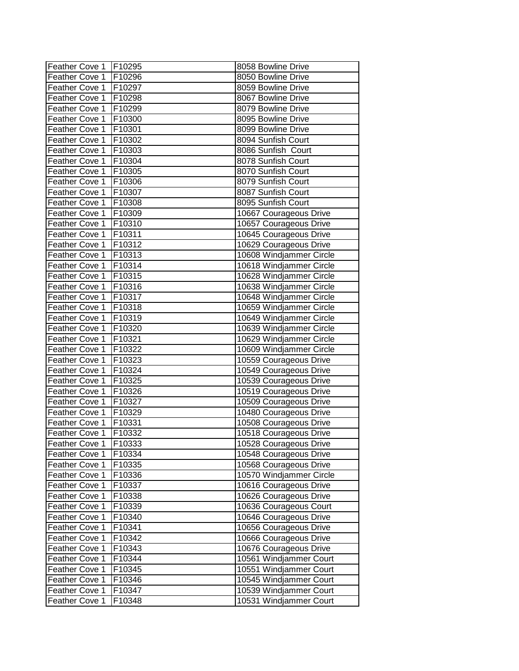| Feather Cove 1 | F10295             | 8058 Bowline Drive      |
|----------------|--------------------|-------------------------|
| Feather Cove 1 | F10296             | 8050 Bowline Drive      |
| Feather Cove 1 | F10297             | 8059 Bowline Drive      |
| Feather Cove 1 | F10298             | 8067 Bowline Drive      |
| Feather Cove 1 | F10299             | 8079 Bowline Drive      |
| Feather Cove 1 | F10300             | 8095 Bowline Drive      |
| Feather Cove 1 | F10301             | 8099 Bowline Drive      |
| Feather Cove 1 | F10302             | 8094 Sunfish Court      |
| Feather Cove 1 | F10303             | 8086 Sunfish Court      |
| Feather Cove 1 | F10304             | 8078 Sunfish Court      |
| Feather Cove 1 | F10305             | 8070 Sunfish Court      |
| Feather Cove 1 | F10306             | 8079 Sunfish Court      |
| Feather Cove 1 | F10307             | 8087 Sunfish Court      |
| Feather Cove 1 | F10308             | 8095 Sunfish Court      |
| Feather Cove 1 | F10309             | 10667 Courageous Drive  |
| Feather Cove 1 | F10310             | 10657 Courageous Drive  |
| Feather Cove 1 | F <sub>10311</sub> | 10645 Courageous Drive  |
| Feather Cove 1 | F10312             | 10629 Courageous Drive  |
| Feather Cove 1 | F10313             | 10608 Windjammer Circle |
| Feather Cove 1 | F10314             | 10618 Windjammer Circle |
| Feather Cove 1 | F10315             | 10628 Windjammer Circle |
| Feather Cove 1 | F10316             | 10638 Windjammer Circle |
| Feather Cove 1 | F10317             | 10648 Windjammer Circle |
| Feather Cove 1 | F10318             | 10659 Windjammer Circle |
| Feather Cove 1 | F10319             | 10649 Windjammer Circle |
| Feather Cove 1 | F10320             | 10639 Windjammer Circle |
| Feather Cove 1 | F10321             | 10629 Windjammer Circle |
| Feather Cove 1 | F10322             | 10609 Windjammer Circle |
| Feather Cove 1 | F10323             | 10559 Courageous Drive  |
| Feather Cove 1 | F10324             | 10549 Courageous Drive  |
| Feather Cove 1 | F10325             | 10539 Courageous Drive  |
| Feather Cove 1 | F10326             | 10519 Courageous Drive  |
| Feather Cove 1 | F10327             | 10509 Courageous Drive  |
| Feather Cove 1 | F10329             | 10480 Courageous Drive  |
| Feather Cove 1 | F10331             | 10508 Courageous Drive  |
| Feather Cove 1 | F10332             | 10518 Courageous Drive  |
| Feather Cove 1 | F10333             | 10528 Courageous Drive  |
| Feather Cove 1 | F10334             | 10548 Courageous Drive  |
| Feather Cove 1 | F10335             | 10568 Courageous Drive  |
| Feather Cove 1 | F10336             | 10570 Windjammer Circle |
| Feather Cove 1 | F10337             | 10616 Courageous Drive  |
| Feather Cove 1 | F10338             | 10626 Courageous Drive  |
| Feather Cove 1 | F10339             | 10636 Courageous Court  |
| Feather Cove 1 | F10340             | 10646 Courageous Drive  |
| Feather Cove 1 | F10341             | 10656 Courageous Drive  |
| Feather Cove 1 | F10342             | 10666 Courageous Drive  |
| Feather Cove 1 | F10343             | 10676 Courageous Drive  |
| Feather Cove 1 | F10344             | 10561 Windjammer Court  |
| Feather Cove 1 | F10345             | 10551 Windjammer Court  |
| Feather Cove 1 | F10346             | 10545 Windjammer Court  |
| Feather Cove 1 | F10347             | 10539 Windjammer Court  |
| Feather Cove 1 | F10348             | 10531 Windjammer Court  |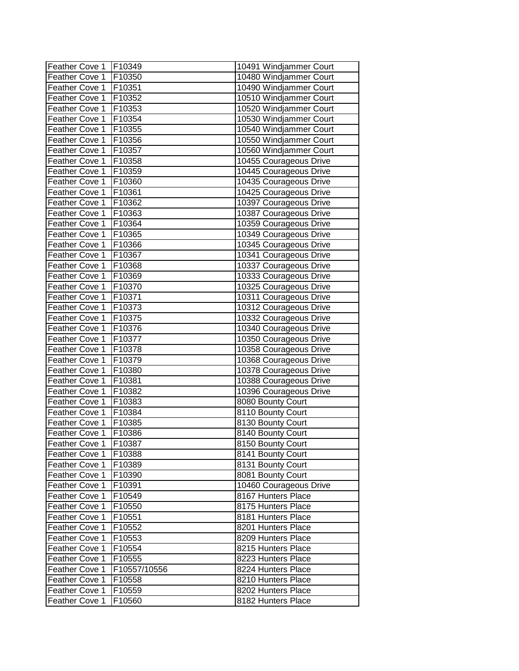| Feather Cove 1 | F10349       | 10491 Windjammer Court |
|----------------|--------------|------------------------|
| Feather Cove 1 | F10350       | 10480 Windjammer Court |
| Feather Cove 1 | F10351       | 10490 Windjammer Court |
| Feather Cove 1 | F10352       | 10510 Windjammer Court |
| Feather Cove 1 | F10353       | 10520 Windjammer Court |
| Feather Cove 1 | F10354       | 10530 Windjammer Court |
| Feather Cove 1 | F10355       | 10540 Windjammer Court |
| Feather Cove 1 | F10356       | 10550 Windjammer Court |
| Feather Cove 1 | F10357       | 10560 Windjammer Court |
| Feather Cove 1 | F10358       | 10455 Courageous Drive |
| Feather Cove 1 | F10359       | 10445 Courageous Drive |
| Feather Cove 1 | F10360       | 10435 Courageous Drive |
| Feather Cove 1 | F10361       | 10425 Courageous Drive |
| Feather Cove 1 | F10362       | 10397 Courageous Drive |
| Feather Cove 1 | F10363       | 10387 Courageous Drive |
| Feather Cove 1 | F10364       | 10359 Courageous Drive |
| Feather Cove 1 | F10365       | 10349 Courageous Drive |
| Feather Cove 1 | F10366       | 10345 Courageous Drive |
| Feather Cove 1 | F10367       | 10341 Courageous Drive |
| Feather Cove 1 | F10368       | 10337 Courageous Drive |
| Feather Cove 1 | F10369       | 10333 Courageous Drive |
| Feather Cove 1 | F10370       | 10325 Courageous Drive |
| Feather Cove 1 | F10371       | 10311 Courageous Drive |
| Feather Cove 1 | F10373       | 10312 Courageous Drive |
| Feather Cove 1 | F10375       | 10332 Courageous Drive |
| Feather Cove 1 | F10376       | 10340 Courageous Drive |
| Feather Cove 1 | F10377       | 10350 Courageous Drive |
| Feather Cove 1 | F10378       | 10358 Courageous Drive |
| Feather Cove 1 | F10379       | 10368 Courageous Drive |
| Feather Cove 1 | F10380       | 10378 Courageous Drive |
| Feather Cove 1 | F10381       | 10388 Courageous Drive |
| Feather Cove 1 | F10382       | 10396 Courageous Drive |
| Feather Cove 1 | F10383       | 8080 Bounty Court      |
| Feather Cove 1 | F10384       | 8110 Bounty Court      |
| Feather Cove 1 | F10385       | 8130 Bounty Court      |
| Feather Cove 1 | F10386       | 8140 Bounty Court      |
| Feather Cove 1 | [F10387      | 8150 Bounty Court      |
| Feather Cove 1 | F10388       | 8141 Bounty Court      |
| Feather Cove 1 | F10389       | 8131 Bounty Court      |
| Feather Cove 1 | F10390       | 8081 Bounty Court      |
| Feather Cove 1 | F10391       | 10460 Courageous Drive |
| Feather Cove 1 | F10549       | 8167 Hunters Place     |
| Feather Cove 1 | F10550       | 8175 Hunters Place     |
| Feather Cove 1 | F10551       | 8181 Hunters Place     |
| Feather Cove 1 | F10552       | 8201 Hunters Place     |
| Feather Cove 1 | F10553       | 8209 Hunters Place     |
| Feather Cove 1 | F10554       | 8215 Hunters Place     |
| Feather Cove 1 | F10555       | 8223 Hunters Place     |
| Feather Cove 1 | F10557/10556 | 8224 Hunters Place     |
| Feather Cove 1 | F10558       | 8210 Hunters Place     |
| Feather Cove 1 | F10559       | 8202 Hunters Place     |
| Feather Cove 1 | F10560       | 8182 Hunters Place     |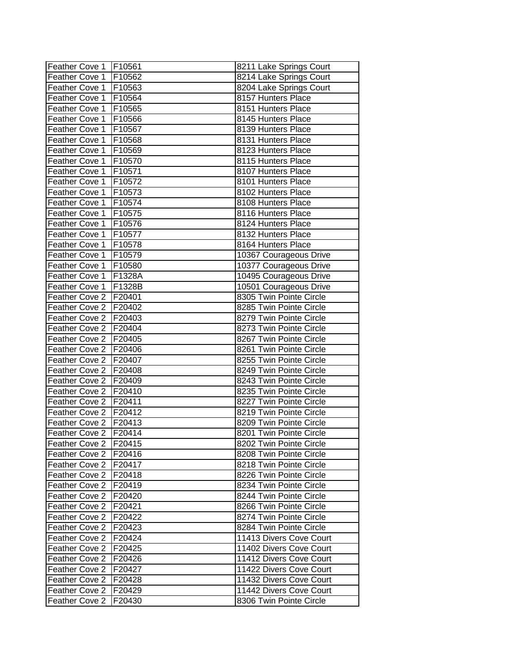| Feather Cove 1   F10561 |               | 8211 Lake Springs Court |
|-------------------------|---------------|-------------------------|
| Feather Cove 1          | F10562        | 8214 Lake Springs Court |
| Feather Cove 1          | F10563        | 8204 Lake Springs Court |
| Feather Cove 1          | F10564        | 8157 Hunters Place      |
| Feather Cove 1          | F10565        | 8151 Hunters Place      |
| Feather Cove 1          | F10566        | 8145 Hunters Place      |
| Feather Cove 1          | F10567        | 8139 Hunters Place      |
| Feather Cove 1          | F10568        | 8131 Hunters Place      |
| Feather Cove 1          | F10569        | 8123 Hunters Place      |
| Feather Cove 1          | F10570        | 8115 Hunters Place      |
| Feather Cove 1          | F10571        | 8107 Hunters Place      |
| Feather Cove 1          | F10572        | 8101 Hunters Place      |
| Feather Cove 1          | F10573        | 8102 Hunters Place      |
| Feather Cove 1          | F10574        | 8108 Hunters Place      |
| Feather Cove 1          | F10575        | 8116 Hunters Place      |
| Feather Cove 1          | F10576        | 8124 Hunters Place      |
| Feather Cove 1          | F10577        | 8132 Hunters Place      |
| Feather Cove 1          | F10578        | 8164 Hunters Place      |
| Feather Cove 1          | F10579        | 10367 Courageous Drive  |
| Feather Cove 1          | F10580        | 10377 Courageous Drive  |
| Feather Cove 1          | F1328A        | 10495 Courageous Drive  |
| Feather Cove 1          | F1328B        | 10501 Courageous Drive  |
| Feather Cove 2          | F20401        | 8305 Twin Pointe Circle |
| Feather Cove 2          | F20402        | 8285 Twin Pointe Circle |
| Feather Cove 2          | F20403        | 8279 Twin Pointe Circle |
| Feather Cove 2          | F20404        | 8273 Twin Pointe Circle |
| Feather Cove 2          | F20405        | 8267 Twin Pointe Circle |
| Feather Cove 2          | F20406        | 8261 Twin Pointe Circle |
| Feather Cove 2          | F20407        | 8255 Twin Pointe Circle |
| Feather Cove 2          | F20408        | 8249 Twin Pointe Circle |
| Feather Cove 2          | F20409        | 8243 Twin Pointe Circle |
| Feather Cove 2          | F20410        | 8235 Twin Pointe Circle |
| Feather Cove 2          | F20411        | 8227 Twin Pointe Circle |
| Feather Cove 2          | F20412        | 8219 Twin Pointe Circle |
| Feather Cove 2          | F20413        | 8209 Twin Pointe Circle |
| Feather Cove 2          | F20414        | 8201 Twin Pointe Circle |
| Feather Cove 2 IF20415  |               | 8202 Twin Pointe Circle |
| Feather Cove 2          | F20416        | 8208 Twin Pointe Circle |
| Feather Cove 2          | F20417        | 8218 Twin Pointe Circle |
| Feather Cove 2          | <b>F20418</b> | 8226 Twin Pointe Circle |
| Feather Cove 2          | F20419        | 8234 Twin Pointe Circle |
| Feather Cove 2          | F20420        | 8244 Twin Pointe Circle |
| Feather Cove 2          | F20421        | 8266 Twin Pointe Circle |
| Feather Cove 2          | F20422        | 8274 Twin Pointe Circle |
| Feather Cove 2          | F20423        | 8284 Twin Pointe Circle |
| Feather Cove 2          | F20424        | 11413 Divers Cove Court |
| Feather Cove 2          | F20425        | 11402 Divers Cove Court |
| Feather Cove 2          | F20426        | 11412 Divers Cove Court |
| Feather Cove 2          | F20427        | 11422 Divers Cove Court |
| Feather Cove 2          | F20428        | 11432 Divers Cove Court |
| Feather Cove 2          | F20429        | 11442 Divers Cove Court |
| Feather Cove 2          | F20430        | 8306 Twin Pointe Circle |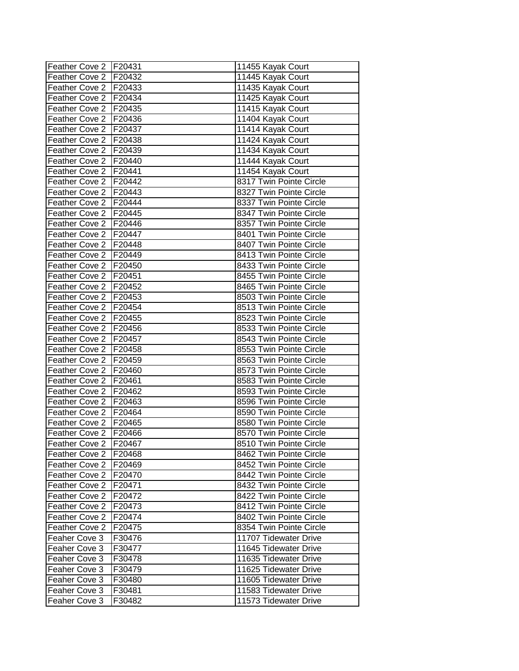| Feather Cove 2   F20431 |               | 11455 Kayak Court       |
|-------------------------|---------------|-------------------------|
| Feather Cove 2   F20432 |               | 11445 Kayak Court       |
| Feather Cove 2   F20433 |               | 11435 Kayak Court       |
| Feather Cove 2   F20434 |               | 11425 Kayak Court       |
| Feather Cove 2   F20435 |               | 11415 Kayak Court       |
| Feather Cove 2   F20436 |               | 11404 Kayak Court       |
| Feather Cove 2   F20437 |               | 11414 Kayak Court       |
| Feather Cove 2   F20438 |               | 11424 Kayak Court       |
| Feather Cove 2   F20439 |               | 11434 Kayak Court       |
| Feather Cove 2   F20440 |               | 11444 Kayak Court       |
| Feather Cove 2          | F20441        | 11454 Kayak Court       |
| Feather Cove 2 F20442   |               | 8317 Twin Pointe Circle |
| Feather Cove 2   F20443 |               | 8327 Twin Pointe Circle |
| Feather Cove 2   F20444 |               | 8337 Twin Pointe Circle |
| Feather Cove 2   F20445 |               | 8347 Twin Pointe Circle |
| Feather Cove 2   F20446 |               | 8357 Twin Pointe Circle |
| Feather Cove 2   F20447 |               | 8401 Twin Pointe Circle |
| Feather Cove 2   F20448 |               | 8407 Twin Pointe Circle |
| Feather Cove 2   F20449 |               | 8413 Twin Pointe Circle |
| Feather Cove 2   F20450 |               | 8433 Twin Pointe Circle |
| Feather Cove 2   F20451 |               | 8455 Twin Pointe Circle |
| Feather Cove 2   F20452 |               | 8465 Twin Pointe Circle |
| Feather Cove 2   F20453 |               | 8503 Twin Pointe Circle |
| Feather Cove 2   F20454 |               | 8513 Twin Pointe Circle |
| Feather Cove 2   F20455 |               | 8523 Twin Pointe Circle |
| Feather Cove 2          | <b>F20456</b> | 8533 Twin Pointe Circle |
| Feather Cove 2          | <b>F20457</b> | 8543 Twin Pointe Circle |
| Feather Cove 2          | F20458        | 8553 Twin Pointe Circle |
| Feather Cove 2          | F20459        | 8563 Twin Pointe Circle |
| Feather Cove 2          | F20460        | 8573 Twin Pointe Circle |
| Feather Cove 2          | F20461        | 8583 Twin Pointe Circle |
| Feather Cove 2   F20462 |               | 8593 Twin Pointe Circle |
| Feather Cove 2   F20463 |               | 8596 Twin Pointe Circle |
| Feather Cove 2   F20464 |               | 8590 Twin Pointe Circle |
| Feather Cove 2   F20465 |               | 8580 Twin Pointe Circle |
| Feather Cove 2   F20466 |               | 8570 Twin Pointe Circle |
| Feather Cove 2 IF20467  |               | 8510 Twin Pointe Circle |
| Feather Cove 2          | F20468        | 8462 Twin Pointe Circle |
| Feather Cove 2          | F20469        | 8452 Twin Pointe Circle |
| Feather Cove 2          | F20470        | 8442 Twin Pointe Circle |
| Feather Cove 2          | F20471        | 8432 Twin Pointe Circle |
| Feather Cove 2          | F20472        | 8422 Twin Pointe Circle |
| Feather Cove 2          | F20473        | 8412 Twin Pointe Circle |
| Feather Cove 2          | F20474        | 8402 Twin Pointe Circle |
| Feather Cove 2          | F20475        | 8354 Twin Pointe Circle |
| Feaher Cove 3           | F30476        | 11707 Tidewater Drive   |
| Feaher Cove 3           | F30477        | 11645 Tidewater Drive   |
| Feaher Cove 3           | F30478        | 11635 Tidewater Drive   |
| Feaher Cove 3           | F30479        | 11625 Tidewater Drive   |
| Feaher Cove 3           | F30480        | 11605 Tidewater Drive   |
| Feaher Cove 3           | F30481        | 11583 Tidewater Drive   |
| Feaher Cove 3           | F30482        | 11573 Tidewater Drive   |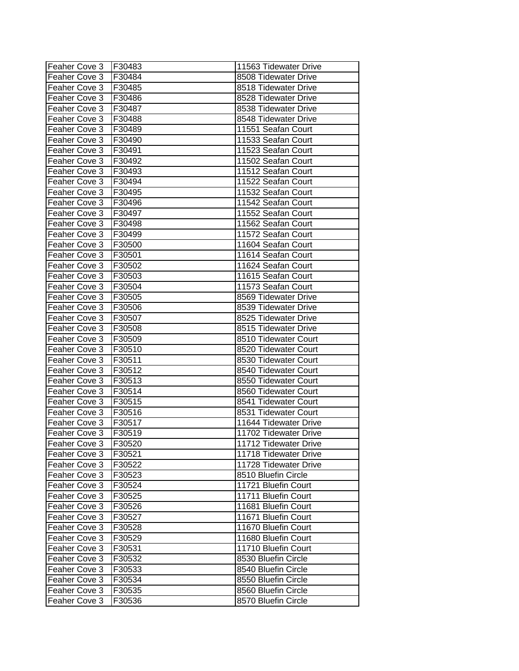| Feaher Cove 3 | F30483 | 11563 Tidewater Drive |
|---------------|--------|-----------------------|
| Feaher Cove 3 | F30484 | 8508 Tidewater Drive  |
| Feaher Cove 3 | F30485 | 8518 Tidewater Drive  |
| Feaher Cove 3 | F30486 | 8528 Tidewater Drive  |
| Feaher Cove 3 | F30487 | 8538 Tidewater Drive  |
| Feaher Cove 3 | F30488 | 8548 Tidewater Drive  |
| Feaher Cove 3 | F30489 | 11551 Seafan Court    |
| Feaher Cove 3 | F30490 | 11533 Seafan Court    |
| Feaher Cove 3 | F30491 | 11523 Seafan Court    |
| Feaher Cove 3 | F30492 | 11502 Seafan Court    |
| Feaher Cove 3 | F30493 | 11512 Seafan Court    |
| Feaher Cove 3 | F30494 | 11522 Seafan Court    |
| Feaher Cove 3 | F30495 | 11532 Seafan Court    |
| Feaher Cove 3 | F30496 | 11542 Seafan Court    |
| Feaher Cove 3 | F30497 | 11552 Seafan Court    |
| Feaher Cove 3 | F30498 | 11562 Seafan Court    |
| Feaher Cove 3 | F30499 | 11572 Seafan Court    |
| Feaher Cove 3 | F30500 | 11604 Seafan Court    |
| Feaher Cove 3 | F30501 | 11614 Seafan Court    |
| Feaher Cove 3 | F30502 | 11624 Seafan Court    |
| Feaher Cove 3 | F30503 | 11615 Seafan Court    |
| Feaher Cove 3 | F30504 | 11573 Seafan Court    |
| Feaher Cove 3 | F30505 | 8569 Tidewater Drive  |
| Feaher Cove 3 | F30506 | 8539 Tidewater Drive  |
| Feaher Cove 3 | F30507 | 8525 Tidewater Drive  |
| Feaher Cove 3 | F30508 | 8515 Tidewater Drive  |
| Feaher Cove 3 | F30509 | 8510 Tidewater Court  |
| Feaher Cove 3 | F30510 | 8520 Tidewater Court  |
| Feaher Cove 3 | F30511 | 8530 Tidewater Court  |
| Feaher Cove 3 | F30512 | 8540 Tidewater Court  |
| Feaher Cove 3 | F30513 | 8550 Tidewater Court  |
| Feaher Cove 3 | F30514 | 8560 Tidewater Court  |
| Feaher Cove 3 | F30515 | 8541 Tidewater Court  |
| Feaher Cove 3 | F30516 | 8531 Tidewater Court  |
| Feaher Cove 3 | F30517 | 11644 Tidewater Drive |
| Feaher Cove 3 | F30519 | 11702 Tidewater Drive |
| Feaher Cove 3 | F30520 | 11712 Tidewater Drive |
| Feaher Cove 3 | F30521 | 11718 Tidewater Drive |
| Feaher Cove 3 | F30522 | 11728 Tidewater Drive |
| Feaher Cove 3 | F30523 | 8510 Bluefin Circle   |
| Feaher Cove 3 | F30524 | 11721 Bluefin Court   |
| Feaher Cove 3 | F30525 | 11711 Bluefin Court   |
| Feaher Cove 3 | F30526 | 11681 Bluefin Court   |
| Feaher Cove 3 | F30527 | 11671 Bluefin Court   |
| Feaher Cove 3 | F30528 | 11670 Bluefin Court   |
| Feaher Cove 3 | F30529 | 11680 Bluefin Court   |
| Feaher Cove 3 | F30531 | 11710 Bluefin Court   |
| Feaher Cove 3 | F30532 | 8530 Bluefin Circle   |
| Feaher Cove 3 | F30533 | 8540 Bluefin Circle   |
| Feaher Cove 3 | F30534 | 8550 Bluefin Circle   |
| Feaher Cove 3 | F30535 | 8560 Bluefin Circle   |
| Feaher Cove 3 | F30536 | 8570 Bluefin Circle   |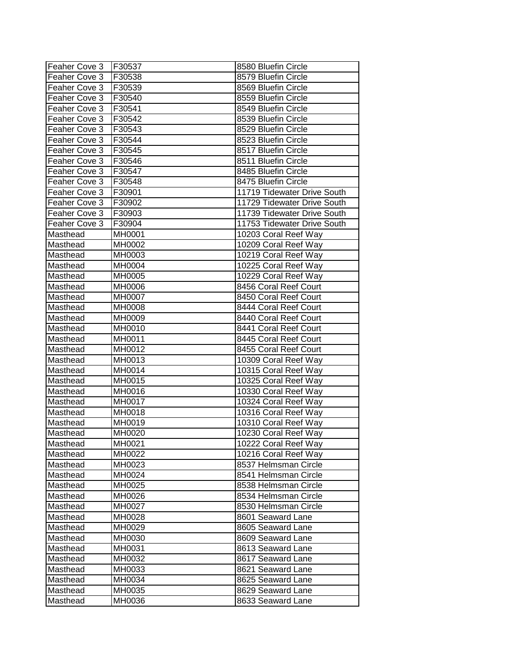| Feaher Cove 3 | F30537 | 8580 Bluefin Circle         |
|---------------|--------|-----------------------------|
| Feaher Cove 3 | F30538 | 8579 Bluefin Circle         |
| Feaher Cove 3 | F30539 | 8569 Bluefin Circle         |
| Feaher Cove 3 | F30540 | 8559 Bluefin Circle         |
| Feaher Cove 3 | F30541 | 8549 Bluefin Circle         |
| Feaher Cove 3 | F30542 | 8539 Bluefin Circle         |
| Feaher Cove 3 | F30543 | 8529 Bluefin Circle         |
| Feaher Cove 3 | F30544 | 8523 Bluefin Circle         |
| Feaher Cove 3 | F30545 | 8517 Bluefin Circle         |
| Feaher Cove 3 | F30546 | 8511 Bluefin Circle         |
| Feaher Cove 3 | F30547 | 8485 Bluefin Circle         |
| Feaher Cove 3 | F30548 | 8475 Bluefin Circle         |
| Feaher Cove 3 | F30901 | 11719 Tidewater Drive South |
| Feaher Cove 3 | F30902 | 11729 Tidewater Drive South |
| Feaher Cove 3 | F30903 | 11739 Tidewater Drive South |
| Feaher Cove 3 | F30904 | 11753 Tidewater Drive South |
| Masthead      | MH0001 | 10203 Coral Reef Way        |
| Masthead      | MH0002 | 10209 Coral Reef Way        |
| Masthead      | MH0003 | 10219 Coral Reef Way        |
| Masthead      | MH0004 | 10225 Coral Reef Way        |
| Masthead      | MH0005 | 10229 Coral Reef Way        |
| Masthead      | MH0006 | 8456 Coral Reef Court       |
| Masthead      | MH0007 | 8450 Coral Reef Court       |
| Masthead      | MH0008 | 8444 Coral Reef Court       |
| Masthead      | MH0009 | 8440 Coral Reef Court       |
| Masthead      | MH0010 | 8441 Coral Reef Court       |
| Masthead      | MH0011 | 8445 Coral Reef Court       |
| Masthead      | MH0012 | 8455 Coral Reef Court       |
| Masthead      | MH0013 | 10309 Coral Reef Way        |
| Masthead      | MH0014 | 10315 Coral Reef Way        |
| Masthead      | MH0015 | 10325 Coral Reef Way        |
| Masthead      | MH0016 | 10330 Coral Reef Way        |
| Masthead      | MH0017 | 10324 Coral Reef Way        |
| Masthead      | MH0018 | 10316 Coral Reef Way        |
| Masthead      | MH0019 | 10310 Coral Reef Way        |
| Masthead      | MH0020 | 10230 Coral Reef Way        |
| Masthead      | MH0021 | 10222 Coral Reef Way        |
| Masthead      | MH0022 | 10216 Coral Reef Way        |
| Masthead      | MH0023 | 8537 Helmsman Circle        |
| Masthead      | MH0024 | 8541 Helmsman Circle        |
| Masthead      | MH0025 | 8538 Helmsman Circle        |
| Masthead      | MH0026 | 8534 Helmsman Circle        |
| Masthead      | MH0027 | 8530 Helmsman Circle        |
| Masthead      | MH0028 | 8601 Seaward Lane           |
| Masthead      | MH0029 | 8605 Seaward Lane           |
| Masthead      | MH0030 | 8609 Seaward Lane           |
| Masthead      | MH0031 | 8613 Seaward Lane           |
| Masthead      | MH0032 | 8617 Seaward Lane           |
| Masthead      | MH0033 | 8621 Seaward Lane           |
| Masthead      | MH0034 | 8625 Seaward Lane           |
| Masthead      | MH0035 | 8629 Seaward Lane           |
| Masthead      | MH0036 | 8633 Seaward Lane           |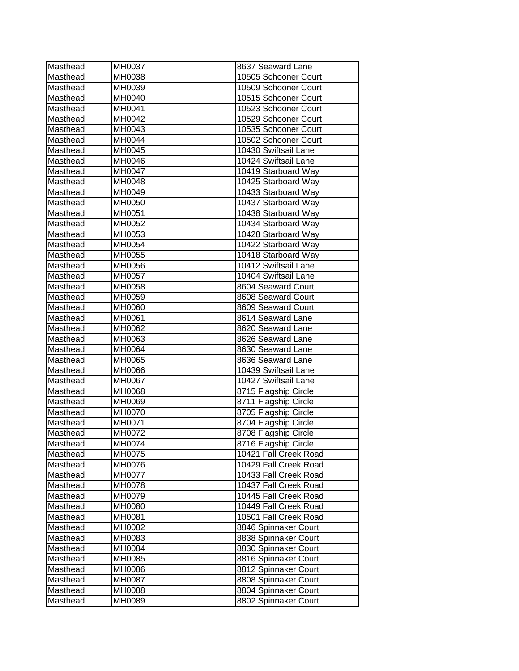| Masthead | MH0037 | 8637 Seaward Lane     |
|----------|--------|-----------------------|
| Masthead | MH0038 | 10505 Schooner Court  |
| Masthead | MH0039 | 10509 Schooner Court  |
| Masthead | MH0040 | 10515 Schooner Court  |
| Masthead | MH0041 | 10523 Schooner Court  |
| Masthead | MH0042 | 10529 Schooner Court  |
| Masthead | MH0043 | 10535 Schooner Court  |
| Masthead | MH0044 | 10502 Schooner Court  |
| Masthead | MH0045 | 10430 Swiftsail Lane  |
| Masthead | MH0046 | 10424 Swiftsail Lane  |
| Masthead | MH0047 | 10419 Starboard Way   |
| Masthead | MH0048 | 10425 Starboard Way   |
| Masthead | MH0049 | 10433 Starboard Way   |
| Masthead | MH0050 | 10437 Starboard Way   |
| Masthead | MH0051 | 10438 Starboard Way   |
| Masthead | MH0052 | 10434 Starboard Way   |
| Masthead | MH0053 | 10428 Starboard Way   |
| Masthead | MH0054 | 10422 Starboard Way   |
| Masthead | MH0055 | 10418 Starboard Way   |
| Masthead | MH0056 | 10412 Swiftsail Lane  |
| Masthead | MH0057 | 10404 Swiftsail Lane  |
| Masthead | MH0058 | 8604 Seaward Court    |
| Masthead | MH0059 | 8608 Seaward Court    |
| Masthead | MH0060 | 8609 Seaward Court    |
| Masthead | MH0061 | 8614 Seaward Lane     |
| Masthead | MH0062 | 8620 Seaward Lane     |
| Masthead | MH0063 | 8626 Seaward Lane     |
| Masthead | MH0064 | 8630 Seaward Lane     |
|          |        |                       |
| Masthead | MH0065 | 8636 Seaward Lane     |
| Masthead | MH0066 | 10439 Swiftsail Lane  |
| Masthead | MH0067 | 10427 Swiftsail Lane  |
| Masthead | MH0068 | 8715 Flagship Circle  |
| Masthead | MH0069 | 8711 Flagship Circle  |
| Masthead | MH0070 | 8705 Flagship Circle  |
| Masthead | MH0071 | 8704 Flagship Circle  |
| Masthead | MH0072 | 8708 Flagship Circle  |
| Masthead | MH0074 | 8716 Flagship Circle  |
| Masthead | MH0075 | 10421 Fall Creek Road |
| Masthead | MH0076 | 10429 Fall Creek Road |
| Masthead | MH0077 | 10433 Fall Creek Road |
| Masthead | MH0078 | 10437 Fall Creek Road |
| Masthead | MH0079 | 10445 Fall Creek Road |
| Masthead | MH0080 | 10449 Fall Creek Road |
| Masthead | MH0081 | 10501 Fall Creek Road |
| Masthead | MH0082 | 8846 Spinnaker Court  |
| Masthead | MH0083 | 8838 Spinnaker Court  |
| Masthead | MH0084 | 8830 Spinnaker Court  |
| Masthead | MH0085 | 8816 Spinnaker Court  |
| Masthead | MH0086 | 8812 Spinnaker Court  |
| Masthead | MH0087 | 8808 Spinnaker Court  |
| Masthead | MH0088 | 8804 Spinnaker Court  |
| Masthead | MH0089 | 8802 Spinnaker Court  |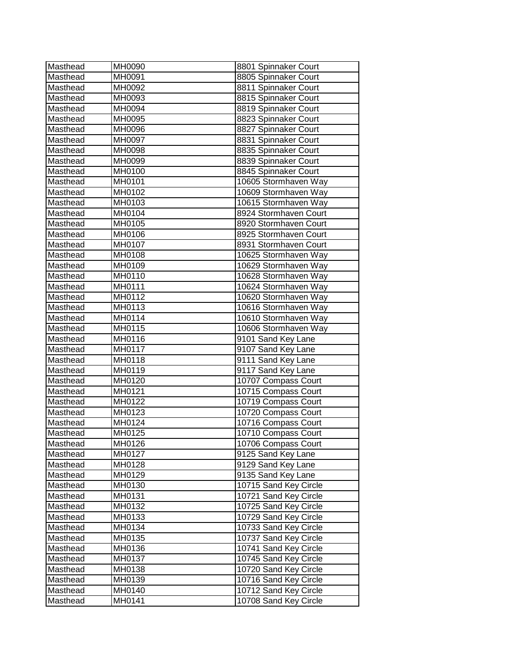| MH0091<br>8805 Spinnaker Court<br>Masthead<br>Masthead<br>8811 Spinnaker Court<br>MH0092<br>8815 Spinnaker Court<br>Masthead<br>MH0093<br>Masthead<br>MH0094<br>8819 Spinnaker Court<br>Masthead<br>MH0095<br>8823 Spinnaker Court<br>8827 Spinnaker Court<br>Masthead<br>MH0096<br>Masthead<br>MH0097<br>8831 Spinnaker Court<br>8835 Spinnaker Court<br>Masthead<br>MH0098<br>8839 Spinnaker Court<br>MH0099<br>Masthead<br>8845 Spinnaker Court<br>Masthead<br>MH0100<br>10605 Stormhaven Way<br>Masthead<br>MH0101<br>10609 Stormhaven Way<br>MH0102<br>Masthead<br>10615 Stormhaven Way<br>MH0103<br>Masthead<br>8924 Stormhaven Court<br>Masthead<br>MH0104<br>8920 Stormhaven Court<br>Masthead<br>MH0105<br>Masthead<br>MH0106<br>8925 Stormhaven Court<br>MH0107<br>8931 Stormhaven Court<br>Masthead<br>Masthead<br>MH0108<br>10625 Stormhaven Way<br>Masthead<br>MH0109<br>10629 Stormhaven Way<br>MH0110<br>10628 Stormhaven Way<br>Masthead<br>10624 Stormhaven Way<br>Masthead<br>MH0111<br>10620 Stormhaven Way<br>Masthead<br>MH0112<br>10616 Stormhaven Way<br>Masthead<br>MH0113<br>Masthead<br>MH0114<br>10610 Stormhaven Way<br>10606 Stormhaven Way<br>Masthead<br>MH0115<br>9101 Sand Key Lane<br>MH0116<br>Masthead<br>9107 Sand Key Lane<br>MH0117<br>Masthead<br>9111 Sand Key Lane<br>MH0118<br>Masthead<br>9117 Sand Key Lane<br>MH0119<br>Masthead<br>10707 Compass Court<br>MH0120<br>Masthead<br>10715 Compass Court<br>Masthead<br>MH0121<br>MH0122<br>10719 Compass Court<br>Masthead<br>Masthead<br>MH0123<br>10720 Compass Court<br>Masthead<br>MH0124<br>10716 Compass Court<br>Masthead<br>MH0125<br>10710 Compass Court<br>MH0126<br>Masthead<br>10706 Compass Court<br>MH0127<br>9125 Sand Key Lane<br>Masthead<br>9129 Sand Key Lane<br>Masthead<br>MH0128<br>Masthead<br>MH0129<br>9135 Sand Key Lane<br>10715 Sand Key Circle<br>Masthead<br>MH0130<br>10721 Sand Key Circle<br>Masthead<br>MH0131<br>10725 Sand Key Circle<br>Masthead<br>MH0132<br>10729 Sand Key Circle<br>Masthead<br>MH0133<br>10733 Sand Key Circle<br>MH0134<br>Masthead<br>10737 Sand Key Circle<br>Masthead<br>MH0135<br>10741 Sand Key Circle<br>MH0136<br>Masthead<br>10745 Sand Key Circle<br>Masthead<br>MH0137<br>10720 Sand Key Circle<br>Masthead<br>MH0138<br>MH0139<br>10716 Sand Key Circle<br>Masthead<br>10712 Sand Key Circle<br>MH0140<br>Masthead | Masthead | MH0090 | 8801 Spinnaker Court  |
|------------------------------------------------------------------------------------------------------------------------------------------------------------------------------------------------------------------------------------------------------------------------------------------------------------------------------------------------------------------------------------------------------------------------------------------------------------------------------------------------------------------------------------------------------------------------------------------------------------------------------------------------------------------------------------------------------------------------------------------------------------------------------------------------------------------------------------------------------------------------------------------------------------------------------------------------------------------------------------------------------------------------------------------------------------------------------------------------------------------------------------------------------------------------------------------------------------------------------------------------------------------------------------------------------------------------------------------------------------------------------------------------------------------------------------------------------------------------------------------------------------------------------------------------------------------------------------------------------------------------------------------------------------------------------------------------------------------------------------------------------------------------------------------------------------------------------------------------------------------------------------------------------------------------------------------------------------------------------------------------------------------------------------------------------------------------------------------------------------------------------------------------------------------------------------------------------------------------------------------------------------------------------------------------------------------------------------------------------------------------------------|----------|--------|-----------------------|
|                                                                                                                                                                                                                                                                                                                                                                                                                                                                                                                                                                                                                                                                                                                                                                                                                                                                                                                                                                                                                                                                                                                                                                                                                                                                                                                                                                                                                                                                                                                                                                                                                                                                                                                                                                                                                                                                                                                                                                                                                                                                                                                                                                                                                                                                                                                                                                                    |          |        |                       |
|                                                                                                                                                                                                                                                                                                                                                                                                                                                                                                                                                                                                                                                                                                                                                                                                                                                                                                                                                                                                                                                                                                                                                                                                                                                                                                                                                                                                                                                                                                                                                                                                                                                                                                                                                                                                                                                                                                                                                                                                                                                                                                                                                                                                                                                                                                                                                                                    |          |        |                       |
|                                                                                                                                                                                                                                                                                                                                                                                                                                                                                                                                                                                                                                                                                                                                                                                                                                                                                                                                                                                                                                                                                                                                                                                                                                                                                                                                                                                                                                                                                                                                                                                                                                                                                                                                                                                                                                                                                                                                                                                                                                                                                                                                                                                                                                                                                                                                                                                    |          |        |                       |
|                                                                                                                                                                                                                                                                                                                                                                                                                                                                                                                                                                                                                                                                                                                                                                                                                                                                                                                                                                                                                                                                                                                                                                                                                                                                                                                                                                                                                                                                                                                                                                                                                                                                                                                                                                                                                                                                                                                                                                                                                                                                                                                                                                                                                                                                                                                                                                                    |          |        |                       |
|                                                                                                                                                                                                                                                                                                                                                                                                                                                                                                                                                                                                                                                                                                                                                                                                                                                                                                                                                                                                                                                                                                                                                                                                                                                                                                                                                                                                                                                                                                                                                                                                                                                                                                                                                                                                                                                                                                                                                                                                                                                                                                                                                                                                                                                                                                                                                                                    |          |        |                       |
|                                                                                                                                                                                                                                                                                                                                                                                                                                                                                                                                                                                                                                                                                                                                                                                                                                                                                                                                                                                                                                                                                                                                                                                                                                                                                                                                                                                                                                                                                                                                                                                                                                                                                                                                                                                                                                                                                                                                                                                                                                                                                                                                                                                                                                                                                                                                                                                    |          |        |                       |
|                                                                                                                                                                                                                                                                                                                                                                                                                                                                                                                                                                                                                                                                                                                                                                                                                                                                                                                                                                                                                                                                                                                                                                                                                                                                                                                                                                                                                                                                                                                                                                                                                                                                                                                                                                                                                                                                                                                                                                                                                                                                                                                                                                                                                                                                                                                                                                                    |          |        |                       |
|                                                                                                                                                                                                                                                                                                                                                                                                                                                                                                                                                                                                                                                                                                                                                                                                                                                                                                                                                                                                                                                                                                                                                                                                                                                                                                                                                                                                                                                                                                                                                                                                                                                                                                                                                                                                                                                                                                                                                                                                                                                                                                                                                                                                                                                                                                                                                                                    |          |        |                       |
|                                                                                                                                                                                                                                                                                                                                                                                                                                                                                                                                                                                                                                                                                                                                                                                                                                                                                                                                                                                                                                                                                                                                                                                                                                                                                                                                                                                                                                                                                                                                                                                                                                                                                                                                                                                                                                                                                                                                                                                                                                                                                                                                                                                                                                                                                                                                                                                    |          |        |                       |
|                                                                                                                                                                                                                                                                                                                                                                                                                                                                                                                                                                                                                                                                                                                                                                                                                                                                                                                                                                                                                                                                                                                                                                                                                                                                                                                                                                                                                                                                                                                                                                                                                                                                                                                                                                                                                                                                                                                                                                                                                                                                                                                                                                                                                                                                                                                                                                                    |          |        |                       |
|                                                                                                                                                                                                                                                                                                                                                                                                                                                                                                                                                                                                                                                                                                                                                                                                                                                                                                                                                                                                                                                                                                                                                                                                                                                                                                                                                                                                                                                                                                                                                                                                                                                                                                                                                                                                                                                                                                                                                                                                                                                                                                                                                                                                                                                                                                                                                                                    |          |        |                       |
|                                                                                                                                                                                                                                                                                                                                                                                                                                                                                                                                                                                                                                                                                                                                                                                                                                                                                                                                                                                                                                                                                                                                                                                                                                                                                                                                                                                                                                                                                                                                                                                                                                                                                                                                                                                                                                                                                                                                                                                                                                                                                                                                                                                                                                                                                                                                                                                    |          |        |                       |
|                                                                                                                                                                                                                                                                                                                                                                                                                                                                                                                                                                                                                                                                                                                                                                                                                                                                                                                                                                                                                                                                                                                                                                                                                                                                                                                                                                                                                                                                                                                                                                                                                                                                                                                                                                                                                                                                                                                                                                                                                                                                                                                                                                                                                                                                                                                                                                                    |          |        |                       |
|                                                                                                                                                                                                                                                                                                                                                                                                                                                                                                                                                                                                                                                                                                                                                                                                                                                                                                                                                                                                                                                                                                                                                                                                                                                                                                                                                                                                                                                                                                                                                                                                                                                                                                                                                                                                                                                                                                                                                                                                                                                                                                                                                                                                                                                                                                                                                                                    |          |        |                       |
|                                                                                                                                                                                                                                                                                                                                                                                                                                                                                                                                                                                                                                                                                                                                                                                                                                                                                                                                                                                                                                                                                                                                                                                                                                                                                                                                                                                                                                                                                                                                                                                                                                                                                                                                                                                                                                                                                                                                                                                                                                                                                                                                                                                                                                                                                                                                                                                    |          |        |                       |
|                                                                                                                                                                                                                                                                                                                                                                                                                                                                                                                                                                                                                                                                                                                                                                                                                                                                                                                                                                                                                                                                                                                                                                                                                                                                                                                                                                                                                                                                                                                                                                                                                                                                                                                                                                                                                                                                                                                                                                                                                                                                                                                                                                                                                                                                                                                                                                                    |          |        |                       |
|                                                                                                                                                                                                                                                                                                                                                                                                                                                                                                                                                                                                                                                                                                                                                                                                                                                                                                                                                                                                                                                                                                                                                                                                                                                                                                                                                                                                                                                                                                                                                                                                                                                                                                                                                                                                                                                                                                                                                                                                                                                                                                                                                                                                                                                                                                                                                                                    |          |        |                       |
|                                                                                                                                                                                                                                                                                                                                                                                                                                                                                                                                                                                                                                                                                                                                                                                                                                                                                                                                                                                                                                                                                                                                                                                                                                                                                                                                                                                                                                                                                                                                                                                                                                                                                                                                                                                                                                                                                                                                                                                                                                                                                                                                                                                                                                                                                                                                                                                    |          |        |                       |
|                                                                                                                                                                                                                                                                                                                                                                                                                                                                                                                                                                                                                                                                                                                                                                                                                                                                                                                                                                                                                                                                                                                                                                                                                                                                                                                                                                                                                                                                                                                                                                                                                                                                                                                                                                                                                                                                                                                                                                                                                                                                                                                                                                                                                                                                                                                                                                                    |          |        |                       |
|                                                                                                                                                                                                                                                                                                                                                                                                                                                                                                                                                                                                                                                                                                                                                                                                                                                                                                                                                                                                                                                                                                                                                                                                                                                                                                                                                                                                                                                                                                                                                                                                                                                                                                                                                                                                                                                                                                                                                                                                                                                                                                                                                                                                                                                                                                                                                                                    |          |        |                       |
|                                                                                                                                                                                                                                                                                                                                                                                                                                                                                                                                                                                                                                                                                                                                                                                                                                                                                                                                                                                                                                                                                                                                                                                                                                                                                                                                                                                                                                                                                                                                                                                                                                                                                                                                                                                                                                                                                                                                                                                                                                                                                                                                                                                                                                                                                                                                                                                    |          |        |                       |
|                                                                                                                                                                                                                                                                                                                                                                                                                                                                                                                                                                                                                                                                                                                                                                                                                                                                                                                                                                                                                                                                                                                                                                                                                                                                                                                                                                                                                                                                                                                                                                                                                                                                                                                                                                                                                                                                                                                                                                                                                                                                                                                                                                                                                                                                                                                                                                                    |          |        |                       |
|                                                                                                                                                                                                                                                                                                                                                                                                                                                                                                                                                                                                                                                                                                                                                                                                                                                                                                                                                                                                                                                                                                                                                                                                                                                                                                                                                                                                                                                                                                                                                                                                                                                                                                                                                                                                                                                                                                                                                                                                                                                                                                                                                                                                                                                                                                                                                                                    |          |        |                       |
|                                                                                                                                                                                                                                                                                                                                                                                                                                                                                                                                                                                                                                                                                                                                                                                                                                                                                                                                                                                                                                                                                                                                                                                                                                                                                                                                                                                                                                                                                                                                                                                                                                                                                                                                                                                                                                                                                                                                                                                                                                                                                                                                                                                                                                                                                                                                                                                    |          |        |                       |
|                                                                                                                                                                                                                                                                                                                                                                                                                                                                                                                                                                                                                                                                                                                                                                                                                                                                                                                                                                                                                                                                                                                                                                                                                                                                                                                                                                                                                                                                                                                                                                                                                                                                                                                                                                                                                                                                                                                                                                                                                                                                                                                                                                                                                                                                                                                                                                                    |          |        |                       |
|                                                                                                                                                                                                                                                                                                                                                                                                                                                                                                                                                                                                                                                                                                                                                                                                                                                                                                                                                                                                                                                                                                                                                                                                                                                                                                                                                                                                                                                                                                                                                                                                                                                                                                                                                                                                                                                                                                                                                                                                                                                                                                                                                                                                                                                                                                                                                                                    |          |        |                       |
|                                                                                                                                                                                                                                                                                                                                                                                                                                                                                                                                                                                                                                                                                                                                                                                                                                                                                                                                                                                                                                                                                                                                                                                                                                                                                                                                                                                                                                                                                                                                                                                                                                                                                                                                                                                                                                                                                                                                                                                                                                                                                                                                                                                                                                                                                                                                                                                    |          |        |                       |
|                                                                                                                                                                                                                                                                                                                                                                                                                                                                                                                                                                                                                                                                                                                                                                                                                                                                                                                                                                                                                                                                                                                                                                                                                                                                                                                                                                                                                                                                                                                                                                                                                                                                                                                                                                                                                                                                                                                                                                                                                                                                                                                                                                                                                                                                                                                                                                                    |          |        |                       |
|                                                                                                                                                                                                                                                                                                                                                                                                                                                                                                                                                                                                                                                                                                                                                                                                                                                                                                                                                                                                                                                                                                                                                                                                                                                                                                                                                                                                                                                                                                                                                                                                                                                                                                                                                                                                                                                                                                                                                                                                                                                                                                                                                                                                                                                                                                                                                                                    |          |        |                       |
|                                                                                                                                                                                                                                                                                                                                                                                                                                                                                                                                                                                                                                                                                                                                                                                                                                                                                                                                                                                                                                                                                                                                                                                                                                                                                                                                                                                                                                                                                                                                                                                                                                                                                                                                                                                                                                                                                                                                                                                                                                                                                                                                                                                                                                                                                                                                                                                    |          |        |                       |
|                                                                                                                                                                                                                                                                                                                                                                                                                                                                                                                                                                                                                                                                                                                                                                                                                                                                                                                                                                                                                                                                                                                                                                                                                                                                                                                                                                                                                                                                                                                                                                                                                                                                                                                                                                                                                                                                                                                                                                                                                                                                                                                                                                                                                                                                                                                                                                                    |          |        |                       |
|                                                                                                                                                                                                                                                                                                                                                                                                                                                                                                                                                                                                                                                                                                                                                                                                                                                                                                                                                                                                                                                                                                                                                                                                                                                                                                                                                                                                                                                                                                                                                                                                                                                                                                                                                                                                                                                                                                                                                                                                                                                                                                                                                                                                                                                                                                                                                                                    |          |        |                       |
|                                                                                                                                                                                                                                                                                                                                                                                                                                                                                                                                                                                                                                                                                                                                                                                                                                                                                                                                                                                                                                                                                                                                                                                                                                                                                                                                                                                                                                                                                                                                                                                                                                                                                                                                                                                                                                                                                                                                                                                                                                                                                                                                                                                                                                                                                                                                                                                    |          |        |                       |
|                                                                                                                                                                                                                                                                                                                                                                                                                                                                                                                                                                                                                                                                                                                                                                                                                                                                                                                                                                                                                                                                                                                                                                                                                                                                                                                                                                                                                                                                                                                                                                                                                                                                                                                                                                                                                                                                                                                                                                                                                                                                                                                                                                                                                                                                                                                                                                                    |          |        |                       |
|                                                                                                                                                                                                                                                                                                                                                                                                                                                                                                                                                                                                                                                                                                                                                                                                                                                                                                                                                                                                                                                                                                                                                                                                                                                                                                                                                                                                                                                                                                                                                                                                                                                                                                                                                                                                                                                                                                                                                                                                                                                                                                                                                                                                                                                                                                                                                                                    |          |        |                       |
|                                                                                                                                                                                                                                                                                                                                                                                                                                                                                                                                                                                                                                                                                                                                                                                                                                                                                                                                                                                                                                                                                                                                                                                                                                                                                                                                                                                                                                                                                                                                                                                                                                                                                                                                                                                                                                                                                                                                                                                                                                                                                                                                                                                                                                                                                                                                                                                    |          |        |                       |
|                                                                                                                                                                                                                                                                                                                                                                                                                                                                                                                                                                                                                                                                                                                                                                                                                                                                                                                                                                                                                                                                                                                                                                                                                                                                                                                                                                                                                                                                                                                                                                                                                                                                                                                                                                                                                                                                                                                                                                                                                                                                                                                                                                                                                                                                                                                                                                                    |          |        |                       |
|                                                                                                                                                                                                                                                                                                                                                                                                                                                                                                                                                                                                                                                                                                                                                                                                                                                                                                                                                                                                                                                                                                                                                                                                                                                                                                                                                                                                                                                                                                                                                                                                                                                                                                                                                                                                                                                                                                                                                                                                                                                                                                                                                                                                                                                                                                                                                                                    |          |        |                       |
|                                                                                                                                                                                                                                                                                                                                                                                                                                                                                                                                                                                                                                                                                                                                                                                                                                                                                                                                                                                                                                                                                                                                                                                                                                                                                                                                                                                                                                                                                                                                                                                                                                                                                                                                                                                                                                                                                                                                                                                                                                                                                                                                                                                                                                                                                                                                                                                    |          |        |                       |
|                                                                                                                                                                                                                                                                                                                                                                                                                                                                                                                                                                                                                                                                                                                                                                                                                                                                                                                                                                                                                                                                                                                                                                                                                                                                                                                                                                                                                                                                                                                                                                                                                                                                                                                                                                                                                                                                                                                                                                                                                                                                                                                                                                                                                                                                                                                                                                                    |          |        |                       |
|                                                                                                                                                                                                                                                                                                                                                                                                                                                                                                                                                                                                                                                                                                                                                                                                                                                                                                                                                                                                                                                                                                                                                                                                                                                                                                                                                                                                                                                                                                                                                                                                                                                                                                                                                                                                                                                                                                                                                                                                                                                                                                                                                                                                                                                                                                                                                                                    |          |        |                       |
|                                                                                                                                                                                                                                                                                                                                                                                                                                                                                                                                                                                                                                                                                                                                                                                                                                                                                                                                                                                                                                                                                                                                                                                                                                                                                                                                                                                                                                                                                                                                                                                                                                                                                                                                                                                                                                                                                                                                                                                                                                                                                                                                                                                                                                                                                                                                                                                    |          |        |                       |
|                                                                                                                                                                                                                                                                                                                                                                                                                                                                                                                                                                                                                                                                                                                                                                                                                                                                                                                                                                                                                                                                                                                                                                                                                                                                                                                                                                                                                                                                                                                                                                                                                                                                                                                                                                                                                                                                                                                                                                                                                                                                                                                                                                                                                                                                                                                                                                                    |          |        |                       |
|                                                                                                                                                                                                                                                                                                                                                                                                                                                                                                                                                                                                                                                                                                                                                                                                                                                                                                                                                                                                                                                                                                                                                                                                                                                                                                                                                                                                                                                                                                                                                                                                                                                                                                                                                                                                                                                                                                                                                                                                                                                                                                                                                                                                                                                                                                                                                                                    |          |        |                       |
|                                                                                                                                                                                                                                                                                                                                                                                                                                                                                                                                                                                                                                                                                                                                                                                                                                                                                                                                                                                                                                                                                                                                                                                                                                                                                                                                                                                                                                                                                                                                                                                                                                                                                                                                                                                                                                                                                                                                                                                                                                                                                                                                                                                                                                                                                                                                                                                    |          |        |                       |
|                                                                                                                                                                                                                                                                                                                                                                                                                                                                                                                                                                                                                                                                                                                                                                                                                                                                                                                                                                                                                                                                                                                                                                                                                                                                                                                                                                                                                                                                                                                                                                                                                                                                                                                                                                                                                                                                                                                                                                                                                                                                                                                                                                                                                                                                                                                                                                                    |          |        |                       |
|                                                                                                                                                                                                                                                                                                                                                                                                                                                                                                                                                                                                                                                                                                                                                                                                                                                                                                                                                                                                                                                                                                                                                                                                                                                                                                                                                                                                                                                                                                                                                                                                                                                                                                                                                                                                                                                                                                                                                                                                                                                                                                                                                                                                                                                                                                                                                                                    |          |        |                       |
|                                                                                                                                                                                                                                                                                                                                                                                                                                                                                                                                                                                                                                                                                                                                                                                                                                                                                                                                                                                                                                                                                                                                                                                                                                                                                                                                                                                                                                                                                                                                                                                                                                                                                                                                                                                                                                                                                                                                                                                                                                                                                                                                                                                                                                                                                                                                                                                    |          |        |                       |
|                                                                                                                                                                                                                                                                                                                                                                                                                                                                                                                                                                                                                                                                                                                                                                                                                                                                                                                                                                                                                                                                                                                                                                                                                                                                                                                                                                                                                                                                                                                                                                                                                                                                                                                                                                                                                                                                                                                                                                                                                                                                                                                                                                                                                                                                                                                                                                                    |          |        |                       |
|                                                                                                                                                                                                                                                                                                                                                                                                                                                                                                                                                                                                                                                                                                                                                                                                                                                                                                                                                                                                                                                                                                                                                                                                                                                                                                                                                                                                                                                                                                                                                                                                                                                                                                                                                                                                                                                                                                                                                                                                                                                                                                                                                                                                                                                                                                                                                                                    |          |        |                       |
|                                                                                                                                                                                                                                                                                                                                                                                                                                                                                                                                                                                                                                                                                                                                                                                                                                                                                                                                                                                                                                                                                                                                                                                                                                                                                                                                                                                                                                                                                                                                                                                                                                                                                                                                                                                                                                                                                                                                                                                                                                                                                                                                                                                                                                                                                                                                                                                    | Masthead | MH0141 | 10708 Sand Key Circle |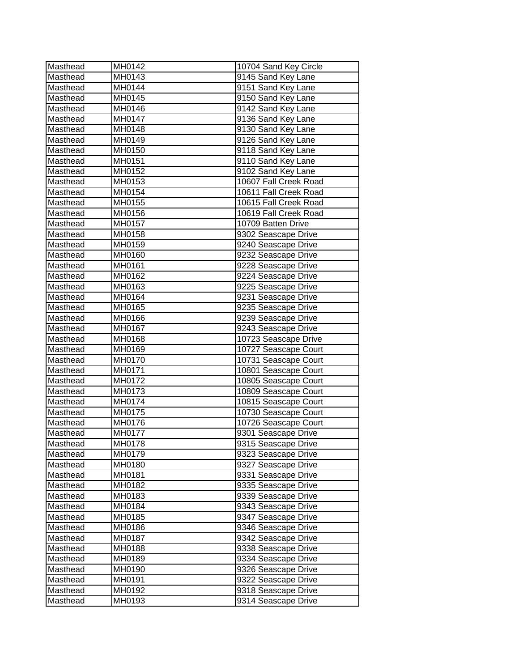| Masthead | MH0142 | 10704 Sand Key Circle |
|----------|--------|-----------------------|
| Masthead | MH0143 | 9145 Sand Key Lane    |
| Masthead | MH0144 | 9151 Sand Key Lane    |
| Masthead | MH0145 | 9150 Sand Key Lane    |
| Masthead | MH0146 | 9142 Sand Key Lane    |
| Masthead | MH0147 | 9136 Sand Key Lane    |
| Masthead | MH0148 | 9130 Sand Key Lane    |
| Masthead | MH0149 | 9126 Sand Key Lane    |
| Masthead | MH0150 | 9118 Sand Key Lane    |
| Masthead | MH0151 | 9110 Sand Key Lane    |
| Masthead | MH0152 | 9102 Sand Key Lane    |
| Masthead | MH0153 | 10607 Fall Creek Road |
| Masthead | MH0154 | 10611 Fall Creek Road |
| Masthead | MH0155 | 10615 Fall Creek Road |
| Masthead | MH0156 | 10619 Fall Creek Road |
| Masthead | MH0157 | 10709 Batten Drive    |
| Masthead | MH0158 | 9302 Seascape Drive   |
| Masthead | MH0159 | 9240 Seascape Drive   |
| Masthead | MH0160 | 9232 Seascape Drive   |
| Masthead | MH0161 | 9228 Seascape Drive   |
| Masthead | MH0162 | 9224 Seascape Drive   |
| Masthead | MH0163 | 9225 Seascape Drive   |
| Masthead | MH0164 | 9231 Seascape Drive   |
| Masthead | MH0165 | 9235 Seascape Drive   |
| Masthead | MH0166 | 9239 Seascape Drive   |
| Masthead | MH0167 | 9243 Seascape Drive   |
| Masthead | MH0168 | 10723 Seascape Drive  |
| Masthead | MH0169 | 10727 Seascape Court  |
| Masthead | MH0170 | 10731 Seascape Court  |
| Masthead | MH0171 | 10801 Seascape Court  |
| Masthead | MH0172 | 10805 Seascape Court  |
| Masthead | MH0173 | 10809 Seascape Court  |
| Masthead | MH0174 | 10815 Seascape Court  |
| Masthead | MH0175 | 10730 Seascape Court  |
| Masthead | MH0176 | 10726 Seascape Court  |
| Masthead | MH0177 | 9301 Seascape Drive   |
| Masthead | MH0178 | 9315 Seascape Drive   |
| Masthead | MH0179 | 9323 Seascape Drive   |
| Masthead | MH0180 | 9327 Seascape Drive   |
| Masthead | MH0181 | 9331 Seascape Drive   |
| Masthead | MH0182 | 9335 Seascape Drive   |
| Masthead | MH0183 | 9339 Seascape Drive   |
| Masthead | MH0184 | 9343 Seascape Drive   |
| Masthead | MH0185 | 9347 Seascape Drive   |
| Masthead | MH0186 | 9346 Seascape Drive   |
| Masthead | MH0187 | 9342 Seascape Drive   |
| Masthead | MH0188 | 9338 Seascape Drive   |
| Masthead | MH0189 | 9334 Seascape Drive   |
| Masthead | MH0190 | 9326 Seascape Drive   |
| Masthead | MH0191 | 9322 Seascape Drive   |
| Masthead | MH0192 | 9318 Seascape Drive   |
| Masthead | MH0193 | 9314 Seascape Drive   |
|          |        |                       |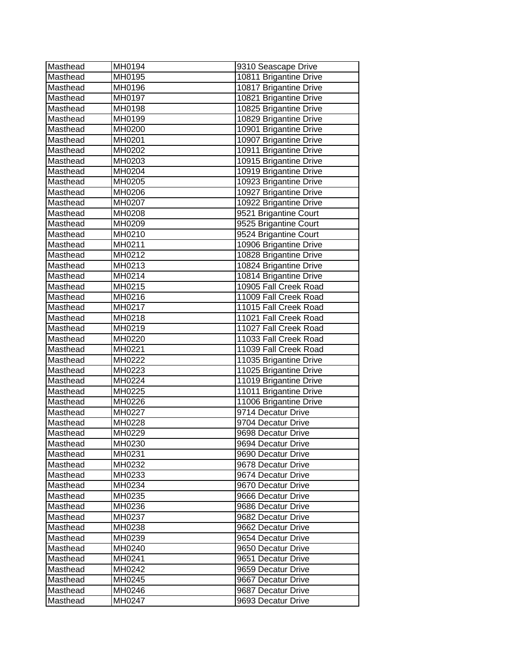| Masthead | MH0194 | 9310 Seascape Drive    |
|----------|--------|------------------------|
| Masthead | MH0195 | 10811 Brigantine Drive |
| Masthead | MH0196 | 10817 Brigantine Drive |
| Masthead | MH0197 | 10821 Brigantine Drive |
| Masthead | MH0198 | 10825 Brigantine Drive |
| Masthead | MH0199 | 10829 Brigantine Drive |
| Masthead | MH0200 | 10901 Brigantine Drive |
| Masthead | MH0201 | 10907 Brigantine Drive |
| Masthead | MH0202 | 10911 Brigantine Drive |
| Masthead | MH0203 | 10915 Brigantine Drive |
| Masthead | MH0204 | 10919 Brigantine Drive |
| Masthead | MH0205 | 10923 Brigantine Drive |
| Masthead | MH0206 | 10927 Brigantine Drive |
| Masthead | MH0207 | 10922 Brigantine Drive |
| Masthead | MH0208 | 9521 Brigantine Court  |
| Masthead | MH0209 | 9525 Brigantine Court  |
| Masthead | MH0210 | 9524 Brigantine Court  |
| Masthead | MH0211 | 10906 Brigantine Drive |
| Masthead | MH0212 | 10828 Brigantine Drive |
| Masthead | MH0213 | 10824 Brigantine Drive |
| Masthead | MH0214 | 10814 Brigantine Drive |
| Masthead | MH0215 | 10905 Fall Creek Road  |
| Masthead | MH0216 | 11009 Fall Creek Road  |
| Masthead | MH0217 | 11015 Fall Creek Road  |
| Masthead | MH0218 | 11021 Fall Creek Road  |
| Masthead | MH0219 | 11027 Fall Creek Road  |
| Masthead | MH0220 | 11033 Fall Creek Road  |
| Masthead | MH0221 | 11039 Fall Creek Road  |
| Masthead | MH0222 | 11035 Brigantine Drive |
| Masthead | MH0223 | 11025 Brigantine Drive |
| Masthead | MH0224 | 11019 Brigantine Drive |
| Masthead | MH0225 | 11011 Brigantine Drive |
| Masthead | MH0226 | 11006 Brigantine Drive |
| Masthead | MH0227 | 9714 Decatur Drive     |
| Masthead | MH0228 | 9704 Decatur Drive     |
| Masthead | MH0229 | 9698 Decatur Drive     |
| Masthead | MH0230 | 9694 Decatur Drive     |
| Masthead | MH0231 | 9690 Decatur Drive     |
| Masthead | MH0232 | 9678 Decatur Drive     |
| Masthead | MH0233 | 9674 Decatur Drive     |
| Masthead | MH0234 | 9670 Decatur Drive     |
| Masthead | MH0235 | 9666 Decatur Drive     |
| Masthead | MH0236 | 9686 Decatur Drive     |
| Masthead | MH0237 | 9682 Decatur Drive     |
| Masthead | MH0238 | 9662 Decatur Drive     |
| Masthead | MH0239 | 9654 Decatur Drive     |
| Masthead | MH0240 | 9650 Decatur Drive     |
| Masthead | MH0241 | 9651 Decatur Drive     |
| Masthead | MH0242 | 9659 Decatur Drive     |
| Masthead | MH0245 | 9667 Decatur Drive     |
| Masthead | MH0246 | 9687 Decatur Drive     |
| Masthead | MH0247 | 9693 Decatur Drive     |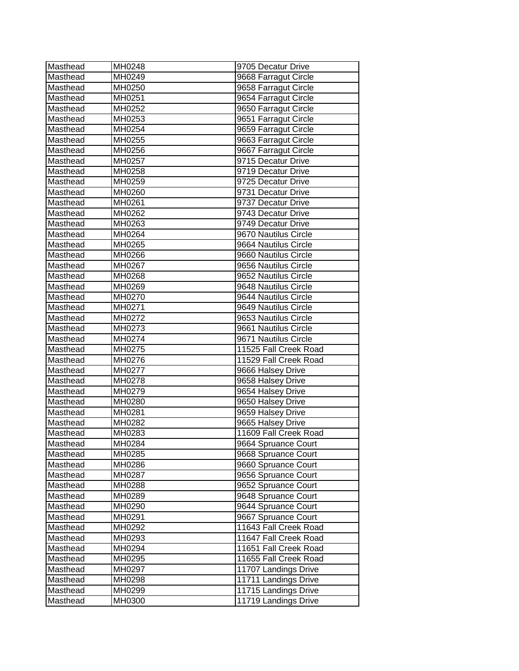| Masthead | MH0248 | 9705 Decatur Drive    |
|----------|--------|-----------------------|
| Masthead | MH0249 | 9668 Farragut Circle  |
| Masthead | MH0250 | 9658 Farragut Circle  |
| Masthead | MH0251 | 9654 Farragut Circle  |
| Masthead | MH0252 | 9650 Farragut Circle  |
| Masthead | MH0253 | 9651 Farragut Circle  |
| Masthead | MH0254 | 9659 Farragut Circle  |
| Masthead | MH0255 | 9663 Farragut Circle  |
| Masthead | MH0256 | 9667 Farragut Circle  |
| Masthead | MH0257 | 9715 Decatur Drive    |
| Masthead | MH0258 | 9719 Decatur Drive    |
| Masthead | MH0259 | 9725 Decatur Drive    |
| Masthead | MH0260 | 9731 Decatur Drive    |
| Masthead | MH0261 | 9737 Decatur Drive    |
| Masthead | MH0262 | 9743 Decatur Drive    |
| Masthead | MH0263 | 9749 Decatur Drive    |
| Masthead | MH0264 | 9670 Nautilus Circle  |
| Masthead | MH0265 | 9664 Nautilus Circle  |
| Masthead | MH0266 | 9660 Nautilus Circle  |
| Masthead | MH0267 | 9656 Nautilus Circle  |
| Masthead | MH0268 | 9652 Nautilus Circle  |
| Masthead | MH0269 | 9648 Nautilus Circle  |
| Masthead | MH0270 | 9644 Nautilus Circle  |
| Masthead | MH0271 | 9649 Nautilus Circle  |
| Masthead | MH0272 | 9653 Nautilus Circle  |
| Masthead | MH0273 | 9661 Nautilus Circle  |
| Masthead | MH0274 | 9671 Nautilus Circle  |
| Masthead | MH0275 | 11525 Fall Creek Road |
| Masthead | MH0276 | 11529 Fall Creek Road |
| Masthead | MH0277 | 9666 Halsey Drive     |
| Masthead | MH0278 | 9658 Halsey Drive     |
| Masthead | MH0279 | 9654 Halsey Drive     |
| Masthead | MH0280 | 9650 Halsey Drive     |
| Masthead | MH0281 | 9659 Halsey Drive     |
| Masthead | MH0282 | 9665 Halsey Drive     |
| Masthead | MH0283 | 11609 Fall Creek Road |
| Masthead | MH0284 | 9664 Spruance Court   |
| Masthead | MH0285 | 9668 Spruance Court   |
| Masthead | MH0286 | 9660 Spruance Court   |
| Masthead | MH0287 | 9656 Spruance Court   |
| Masthead | MH0288 | 9652 Spruance Court   |
| Masthead | MH0289 | 9648 Spruance Court   |
| Masthead | MH0290 | 9644 Spruance Court   |
| Masthead | MH0291 | 9667 Spruance Court   |
| Masthead | MH0292 | 11643 Fall Creek Road |
| Masthead | MH0293 | 11647 Fall Creek Road |
| Masthead | MH0294 | 11651 Fall Creek Road |
| Masthead | MH0295 | 11655 Fall Creek Road |
| Masthead | MH0297 | 11707 Landings Drive  |
| Masthead | MH0298 | 11711 Landings Drive  |
| Masthead | MH0299 | 11715 Landings Drive  |
| Masthead | MH0300 | 11719 Landings Drive  |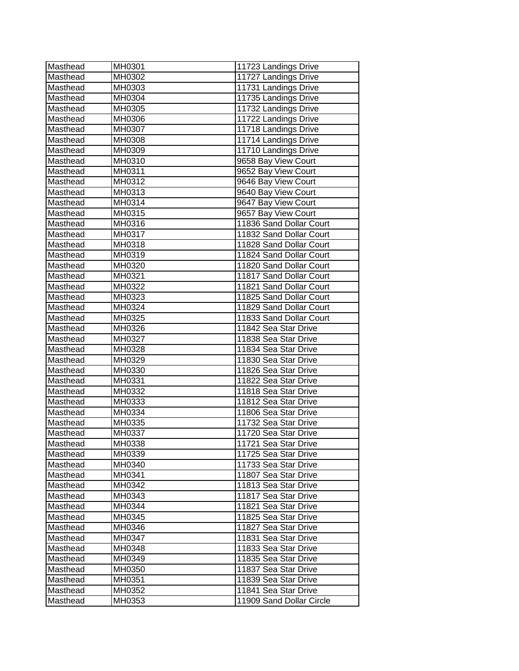| Masthead | MH0301 | 11723 Landings Drive     |
|----------|--------|--------------------------|
| Masthead | MH0302 | 11727 Landings Drive     |
| Masthead | MH0303 | 11731 Landings Drive     |
| Masthead | MH0304 | 11735 Landings Drive     |
| Masthead | MH0305 | 11732 Landings Drive     |
| Masthead | MH0306 | 11722 Landings Drive     |
| Masthead | MH0307 | 11718 Landings Drive     |
| Masthead | MH0308 | 11714 Landings Drive     |
| Masthead | MH0309 | 11710 Landings Drive     |
| Masthead | MH0310 | 9658 Bay View Court      |
| Masthead | MH0311 | 9652 Bay View Court      |
| Masthead | MH0312 | 9646 Bay View Court      |
| Masthead | MH0313 | 9640 Bay View Court      |
| Masthead | MH0314 | 9647 Bay View Court      |
| Masthead | MH0315 | 9657 Bay View Court      |
| Masthead | MH0316 | 11836 Sand Dollar Court  |
| Masthead | MH0317 | 11832 Sand Dollar Court  |
| Masthead | MH0318 | 11828 Sand Dollar Court  |
| Masthead | MH0319 | 11824 Sand Dollar Court  |
| Masthead | MH0320 | 11820 Sand Dollar Court  |
| Masthead | MH0321 | 11817 Sand Dollar Court  |
| Masthead | MH0322 | 11821 Sand Dollar Court  |
| Masthead | MH0323 | 11825 Sand Dollar Court  |
| Masthead | MH0324 | 11829 Sand Dollar Court  |
| Masthead | MH0325 | 11833 Sand Dollar Court  |
| Masthead | MH0326 | 11842 Sea Star Drive     |
| Masthead | MH0327 | 11838 Sea Star Drive     |
| Masthead | MH0328 | 11834 Sea Star Drive     |
| Masthead | MH0329 | 11830 Sea Star Drive     |
| Masthead | MH0330 | 11826 Sea Star Drive     |
| Masthead | MH0331 | 11822 Sea Star Drive     |
| Masthead | MH0332 | 11818 Sea Star Drive     |
| Masthead | MH0333 | 11812 Sea Star Drive     |
| Masthead | MH0334 | 11806 Sea Star Drive     |
| Masthead | MH0335 | 11732 Sea Star Drive     |
| Masthead | MH0337 | 11720 Sea Star Drive     |
| Masthead | MH0338 | 11721 Sea Star Drive     |
| Masthead | MH0339 | 11725 Sea Star Drive     |
| Masthead | MH0340 | 11733 Sea Star Drive     |
| Masthead | MH0341 | 11807 Sea Star Drive     |
| Masthead | MH0342 | 11813 Sea Star Drive     |
| Masthead | MH0343 | 11817 Sea Star Drive     |
| Masthead | MH0344 | 11821 Sea Star Drive     |
| Masthead | MH0345 | 11825 Sea Star Drive     |
| Masthead | MH0346 | 11827 Sea Star Drive     |
| Masthead | MH0347 | 11831 Sea Star Drive     |
| Masthead | MH0348 | 11833 Sea Star Drive     |
| Masthead | MH0349 | 11835 Sea Star Drive     |
| Masthead | MH0350 | 11837 Sea Star Drive     |
| Masthead | MH0351 | 11839 Sea Star Drive     |
| Masthead | MH0352 | 11841 Sea Star Drive     |
| Masthead | MH0353 | 11909 Sand Dollar Circle |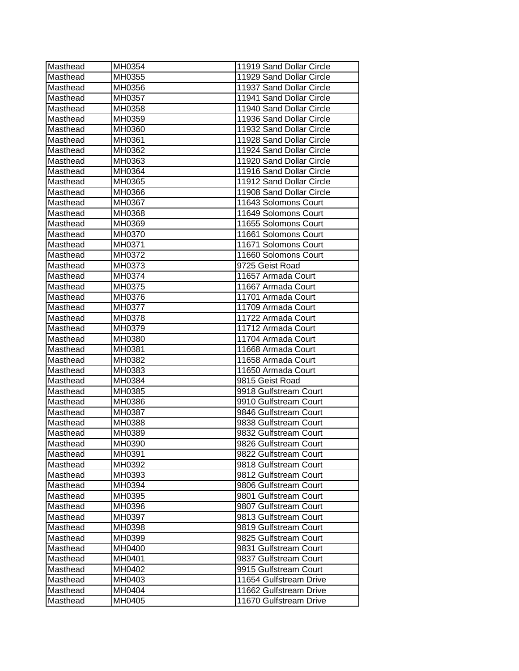| Masthead | MH0354 | 11919 Sand Dollar Circle |
|----------|--------|--------------------------|
| Masthead | MH0355 | 11929 Sand Dollar Circle |
| Masthead | MH0356 | 11937 Sand Dollar Circle |
| Masthead | MH0357 | 11941 Sand Dollar Circle |
| Masthead | MH0358 | 11940 Sand Dollar Circle |
| Masthead | MH0359 | 11936 Sand Dollar Circle |
| Masthead | MH0360 | 11932 Sand Dollar Circle |
| Masthead | MH0361 | 11928 Sand Dollar Circle |
| Masthead | MH0362 | 11924 Sand Dollar Circle |
| Masthead | MH0363 | 11920 Sand Dollar Circle |
| Masthead | MH0364 | 11916 Sand Dollar Circle |
| Masthead | MH0365 | 11912 Sand Dollar Circle |
| Masthead | MH0366 | 11908 Sand Dollar Circle |
| Masthead | MH0367 | 11643 Solomons Court     |
| Masthead | MH0368 | 11649 Solomons Court     |
| Masthead | MH0369 | 11655 Solomons Court     |
| Masthead | MH0370 | 11661 Solomons Court     |
| Masthead | MH0371 | 11671 Solomons Court     |
| Masthead | MH0372 | 11660 Solomons Court     |
| Masthead | MH0373 | 9725 Geist Road          |
| Masthead | MH0374 | 11657 Armada Court       |
| Masthead | MH0375 | 11667 Armada Court       |
| Masthead | MH0376 | 11701 Armada Court       |
| Masthead | MH0377 | 11709 Armada Court       |
| Masthead | MH0378 | 11722 Armada Court       |
| Masthead | MH0379 | 11712 Armada Court       |
| Masthead | MH0380 | 11704 Armada Court       |
| Masthead | MH0381 | 11668 Armada Court       |
| Masthead | MH0382 | 11658 Armada Court       |
| Masthead | MH0383 | 11650 Armada Court       |
| Masthead | MH0384 | 9815 Geist Road          |
| Masthead | MH0385 | 9918 Gulfstream Court    |
| Masthead | MH0386 | 9910 Gulfstream Court    |
| Masthead | MH0387 | 9846 Gulfstream Court    |
| Masthead | MH0388 | 9838 Gulfstream Court    |
| Masthead | MH0389 | 9832 Gulfstream Court    |
| Masthead | MH0390 | 9826 Gulfstream Court    |
| Masthead | MH0391 | 9822 Gulfstream Court    |
| Masthead | MH0392 | 9818 Gulfstream Court    |
| Masthead | MH0393 | 9812 Gulfstream Court    |
| Masthead | MH0394 | 9806 Gulfstream Court    |
| Masthead | MH0395 | 9801 Gulfstream Court    |
| Masthead | MH0396 | 9807 Gulfstream Court    |
| Masthead | MH0397 | 9813 Gulfstream Court    |
| Masthead | MH0398 | 9819 Gulfstream Court    |
| Masthead | MH0399 | 9825 Gulfstream Court    |
| Masthead | MH0400 | 9831 Gulfstream Court    |
| Masthead | MH0401 | 9837 Gulfstream Court    |
| Masthead | MH0402 | 9915 Gulfstream Court    |
| Masthead | MH0403 | 11654 Gulfstream Drive   |
| Masthead | MH0404 | 11662 Gulfstream Drive   |
| Masthead | MH0405 | 11670 Gulfstream Drive   |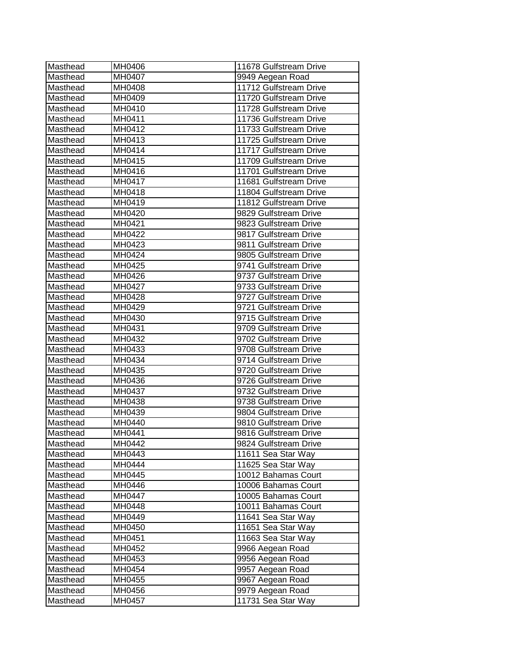| Masthead | MH0406 | 11678 Gulfstream Drive |
|----------|--------|------------------------|
| Masthead | MH0407 | 9949 Aegean Road       |
| Masthead | MH0408 | 11712 Gulfstream Drive |
| Masthead | MH0409 | 11720 Gulfstream Drive |
| Masthead | MH0410 | 11728 Gulfstream Drive |
| Masthead | MH0411 | 11736 Gulfstream Drive |
| Masthead | MH0412 | 11733 Gulfstream Drive |
| Masthead | MH0413 | 11725 Gulfstream Drive |
| Masthead | MH0414 | 11717 Gulfstream Drive |
| Masthead | MH0415 | 11709 Gulfstream Drive |
| Masthead | MH0416 | 11701 Gulfstream Drive |
| Masthead | MH0417 | 11681 Gulfstream Drive |
| Masthead | MH0418 | 11804 Gulfstream Drive |
| Masthead | MH0419 | 11812 Gulfstream Drive |
| Masthead | MH0420 | 9829 Gulfstream Drive  |
| Masthead | MH0421 | 9823 Gulfstream Drive  |
| Masthead | MH0422 | 9817 Gulfstream Drive  |
| Masthead | MH0423 | 9811 Gulfstream Drive  |
| Masthead | MH0424 | 9805 Gulfstream Drive  |
| Masthead | MH0425 | 9741 Gulfstream Drive  |
| Masthead | MH0426 | 9737 Gulfstream Drive  |
| Masthead | MH0427 | 9733 Gulfstream Drive  |
| Masthead | MH0428 | 9727 Gulfstream Drive  |
| Masthead | MH0429 | 9721 Gulfstream Drive  |
| Masthead | MH0430 | 9715 Gulfstream Drive  |
| Masthead | MH0431 | 9709 Gulfstream Drive  |
| Masthead | MH0432 | 9702 Gulfstream Drive  |
| Masthead | MH0433 | 9708 Gulfstream Drive  |
| Masthead | MH0434 | 9714 Gulfstream Drive  |
| Masthead | MH0435 | 9720 Gulfstream Drive  |
| Masthead | MH0436 | 9726 Gulfstream Drive  |
| Masthead | MH0437 | 9732 Gulfstream Drive  |
| Masthead | MH0438 | 9738 Gulfstream Drive  |
| Masthead | MH0439 | 9804 Gulfstream Drive  |
| Masthead | MH0440 | 9810 Gulfstream Drive  |
| Masthead | MH0441 | 9816 Gulfstream Drive  |
| Masthead | MH0442 | 9824 Gulfstream Drive  |
| Masthead | MH0443 | 11611 Sea Star Way     |
| Masthead | MH0444 | 11625 Sea Star Way     |
| Masthead | MH0445 | 10012 Bahamas Court    |
| Masthead | MH0446 | 10006 Bahamas Court    |
| Masthead | MH0447 | 10005 Bahamas Court    |
| Masthead | MH0448 | 10011 Bahamas Court    |
| Masthead | MH0449 | 11641 Sea Star Way     |
| Masthead | MH0450 | 11651 Sea Star Way     |
| Masthead | MH0451 | 11663 Sea Star Way     |
| Masthead | MH0452 | 9966 Aegean Road       |
| Masthead | MH0453 | 9956 Aegean Road       |
| Masthead | MH0454 | 9957 Aegean Road       |
| Masthead | MH0455 | 9967 Aegean Road       |
| Masthead | MH0456 | 9979 Aegean Road       |
| Masthead | MH0457 | 11731 Sea Star Way     |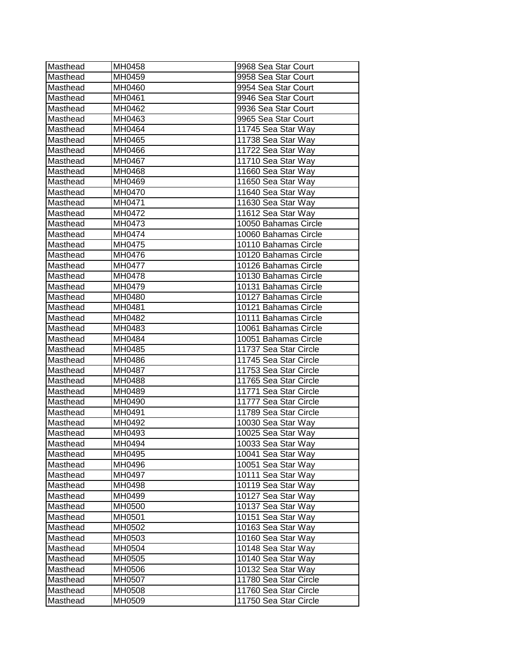| Masthead | MH0458 | 9968 Sea Star Court   |
|----------|--------|-----------------------|
| Masthead | MH0459 | 9958 Sea Star Court   |
| Masthead | MH0460 | 9954 Sea Star Court   |
| Masthead | MH0461 | 9946 Sea Star Court   |
| Masthead | MH0462 | 9936 Sea Star Court   |
| Masthead | MH0463 | 9965 Sea Star Court   |
| Masthead | MH0464 | 11745 Sea Star Way    |
| Masthead | MH0465 | 11738 Sea Star Way    |
| Masthead | MH0466 | 11722 Sea Star Way    |
| Masthead | MH0467 | 11710 Sea Star Way    |
| Masthead | MH0468 | 11660 Sea Star Way    |
| Masthead | MH0469 | 11650 Sea Star Way    |
| Masthead | MH0470 | 11640 Sea Star Way    |
| Masthead | MH0471 | 11630 Sea Star Way    |
| Masthead | MH0472 | 11612 Sea Star Way    |
| Masthead | MH0473 | 10050 Bahamas Circle  |
| Masthead | MH0474 | 10060 Bahamas Circle  |
| Masthead | MH0475 | 10110 Bahamas Circle  |
| Masthead | MH0476 | 10120 Bahamas Circle  |
| Masthead | MH0477 | 10126 Bahamas Circle  |
| Masthead | MH0478 | 10130 Bahamas Circle  |
| Masthead | MH0479 | 10131 Bahamas Circle  |
| Masthead | MH0480 | 10127 Bahamas Circle  |
| Masthead | MH0481 | 10121 Bahamas Circle  |
| Masthead | MH0482 | 10111 Bahamas Circle  |
| Masthead | MH0483 | 10061 Bahamas Circle  |
| Masthead | MH0484 | 10051 Bahamas Circle  |
| Masthead | MH0485 | 11737 Sea Star Circle |
| Masthead | MH0486 | 11745 Sea Star Circle |
| Masthead | MH0487 | 11753 Sea Star Circle |
| Masthead | MH0488 | 11765 Sea Star Circle |
| Masthead | MH0489 | 11771 Sea Star Circle |
| Masthead | MH0490 | 11777 Sea Star Circle |
| Masthead | MH0491 | 11789 Sea Star Circle |
| Masthead | MH0492 | 10030 Sea Star Way    |
| Masthead | MH0493 | 10025 Sea Star Way    |
| Masthead | MH0494 | 10033 Sea Star Way    |
| Masthead | MH0495 | 10041 Sea Star Way    |
| Masthead | MH0496 | 10051 Sea Star Way    |
| Masthead | MH0497 | 10111 Sea Star Way    |
| Masthead | MH0498 | 10119 Sea Star Way    |
| Masthead | MH0499 | 10127 Sea Star Way    |
| Masthead | MH0500 | 10137 Sea Star Way    |
| Masthead | MH0501 | 10151 Sea Star Way    |
| Masthead | MH0502 | 10163 Sea Star Way    |
| Masthead | MH0503 | 10160 Sea Star Way    |
| Masthead | MH0504 | 10148 Sea Star Way    |
| Masthead | MH0505 | 10140 Sea Star Way    |
| Masthead | MH0506 | 10132 Sea Star Way    |
| Masthead | MH0507 | 11780 Sea Star Circle |
| Masthead | MH0508 | 11760 Sea Star Circle |
| Masthead | MH0509 | 11750 Sea Star Circle |